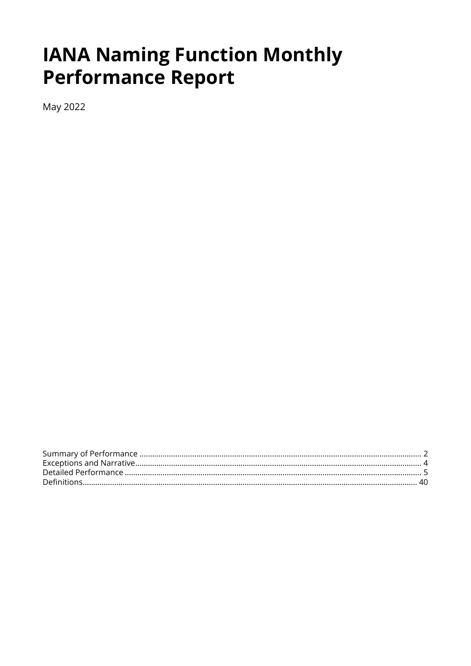# **IANA Naming Function Monthly Performance Report**

May 2022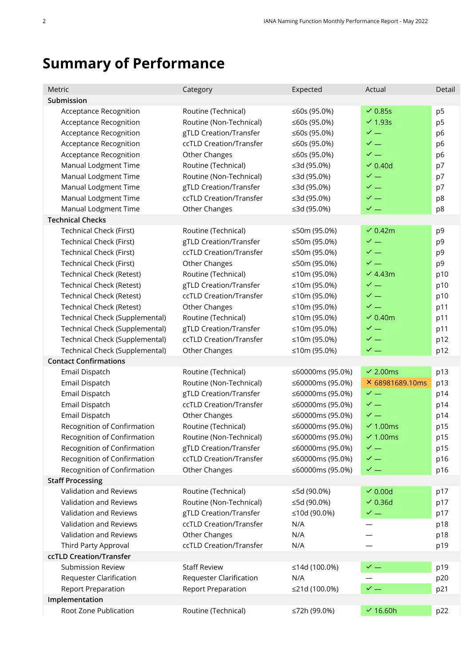# <span id="page-1-0"></span>**Summary of Performance**

| Metric                                                                                                      | Category                                                                                            | Expected                                                     | Actual                                                               | Detail                                                   |
|-------------------------------------------------------------------------------------------------------------|-----------------------------------------------------------------------------------------------------|--------------------------------------------------------------|----------------------------------------------------------------------|----------------------------------------------------------|
| Submission                                                                                                  |                                                                                                     |                                                              |                                                                      |                                                          |
| Acceptance Recognition<br>Acceptance Recognition<br><b>Acceptance Recognition</b><br>Acceptance Recognition | Routine (Technical)<br>Routine (Non-Technical)<br>gTLD Creation/Transfer<br>ccTLD Creation/Transfer | ≤60s (95.0%)<br>≤60s (95.0%)<br>≤60s (95.0%)<br>≤60s (95.0%) | $\vee$ 0.85s<br>$\vee$ 1.93s<br>$\checkmark$ $-$<br>$\checkmark$ $-$ | p <sub>5</sub><br>p <sub>5</sub><br>p6<br>p <sub>6</sub> |
| Acceptance Recognition<br>Manual Lodgment Time                                                              | Other Changes<br>Routine (Technical)                                                                | ≤60s (95.0%)<br>≤3d (95.0%)                                  | $\checkmark$ —<br>$\vee$ 0.40d                                       | p6<br>p7                                                 |
| Manual Lodgment Time<br>Manual Lodgment Time<br>Manual Lodgment Time                                        | Routine (Non-Technical)<br>gTLD Creation/Transfer<br>ccTLD Creation/Transfer                        | ≤3d (95.0%)<br>≤3d (95.0%)<br>≤3d (95.0%)                    | $\checkmark$ $-$<br>$\checkmark$ $-$<br>$\checkmark$ $-$             | p7<br>p7<br>p8                                           |
| Manual Lodgment Time                                                                                        | Other Changes                                                                                       | ≤3d (95.0%)                                                  | $\checkmark$ $-$                                                     | p8                                                       |
| <b>Technical Checks</b>                                                                                     |                                                                                                     |                                                              |                                                                      |                                                          |
| <b>Technical Check (First)</b>                                                                              | Routine (Technical)                                                                                 | ≤50m (95.0%)                                                 | $\vee$ 0.42m                                                         | p9                                                       |
| <b>Technical Check (First)</b><br><b>Technical Check (First)</b>                                            | gTLD Creation/Transfer<br>ccTLD Creation/Transfer                                                   | ≤50m (95.0%)<br>≤50m (95.0%)                                 | $\checkmark$ $=$<br>$\checkmark$ $=$                                 | p9<br>p9                                                 |
| Technical Check (First)                                                                                     | Other Changes                                                                                       | ≤50m (95.0%)                                                 | $\checkmark$ $-$                                                     | p9                                                       |
| <b>Technical Check (Retest)</b>                                                                             | Routine (Technical)                                                                                 | ≤10m (95.0%)                                                 | $\vee$ 4.43m                                                         | p10                                                      |
| <b>Technical Check (Retest)</b>                                                                             | gTLD Creation/Transfer                                                                              | ≤10m (95.0%)                                                 | $\checkmark$ $-$                                                     | p10                                                      |
| <b>Technical Check (Retest)</b>                                                                             | ccTLD Creation/Transfer                                                                             | ≤10m (95.0%)                                                 | $\checkmark$ $-$                                                     | p10                                                      |
| <b>Technical Check (Retest)</b>                                                                             | Other Changes                                                                                       | ≤10m (95.0%)                                                 | $\checkmark$ —                                                       | p11                                                      |
| Technical Check (Supplemental)                                                                              | Routine (Technical)                                                                                 | ≤10m (95.0%)                                                 | $\sim$ 0.40m                                                         | p11                                                      |
| Technical Check (Supplemental)                                                                              | gTLD Creation/Transfer                                                                              | ≤10m (95.0%)                                                 | $\checkmark$ $-$                                                     | p11                                                      |
| Technical Check (Supplemental)                                                                              | ccTLD Creation/Transfer                                                                             | ≤10m (95.0%)                                                 | $\checkmark$ —                                                       | p12                                                      |
| Technical Check (Supplemental)                                                                              | Other Changes                                                                                       | ≤10m (95.0%)                                                 | $\checkmark$ $=$                                                     | p12                                                      |
| <b>Contact Confirmations</b>                                                                                |                                                                                                     |                                                              |                                                                      |                                                          |
| Email Dispatch                                                                                              | Routine (Technical)                                                                                 | ≤60000ms (95.0%)                                             | $\sim$ 2.00ms                                                        | p13                                                      |
| Email Dispatch                                                                                              | Routine (Non-Technical)                                                                             | ≤60000ms (95.0%)                                             | × 68981689.10ms                                                      | p13                                                      |
| Email Dispatch                                                                                              | gTLD Creation/Transfer                                                                              | ≤60000ms (95.0%)                                             | $\checkmark$ $-$                                                     | p14                                                      |
| Email Dispatch                                                                                              | ccTLD Creation/Transfer                                                                             | ≤60000ms (95.0%)                                             | $\checkmark$ $-$                                                     | p14                                                      |
| Email Dispatch                                                                                              | Other Changes                                                                                       | ≤60000ms (95.0%)                                             | $\checkmark$ $-$                                                     | p14                                                      |
| Recognition of Confirmation                                                                                 | Routine (Technical)                                                                                 | ≤60000ms (95.0%)                                             | $\sim$ 1.00ms                                                        | p15                                                      |
| Recognition of Confirmation                                                                                 | Routine (Non-Technical)                                                                             | ≤60000ms (95.0%)                                             | $\sim$ 1.00ms                                                        | p15                                                      |
| Recognition of Confirmation                                                                                 | gTLD Creation/Transfer                                                                              | ≤60000ms (95.0%)                                             | $\checkmark$ $-$                                                     | p15                                                      |
| Recognition of Confirmation                                                                                 | ccTLD Creation/Transfer                                                                             | ≤60000ms (95.0%)                                             | $\checkmark$ $=$                                                     | p16                                                      |
| Recognition of Confirmation                                                                                 | Other Changes                                                                                       | ≤60000ms (95.0%)                                             | $\checkmark$ $-$                                                     | p16                                                      |
| <b>Staff Processing</b>                                                                                     |                                                                                                     |                                                              |                                                                      |                                                          |
| Validation and Reviews                                                                                      | Routine (Technical)                                                                                 | ≤5d (90.0%)                                                  | $\sim$ 0.00d                                                         | p17                                                      |
| Validation and Reviews                                                                                      | Routine (Non-Technical)                                                                             | ≤5d (90.0%)                                                  | $\vee$ 0.36d                                                         | p17                                                      |
| Validation and Reviews<br>Validation and Reviews                                                            | gTLD Creation/Transfer<br>ccTLD Creation/Transfer                                                   | ≤10d (90.0%)<br>N/A                                          | $\checkmark$ $-$                                                     | p17                                                      |
| Validation and Reviews                                                                                      | Other Changes                                                                                       | N/A                                                          |                                                                      | p18                                                      |
| Third Party Approval                                                                                        | ccTLD Creation/Transfer                                                                             | N/A                                                          |                                                                      | p18<br>p19                                               |
| ccTLD Creation/Transfer                                                                                     |                                                                                                     |                                                              |                                                                      |                                                          |
| <b>Submission Review</b>                                                                                    | <b>Staff Review</b>                                                                                 | ≤14d (100.0%)                                                | $\checkmark$ $-$                                                     | p19                                                      |
| <b>Requester Clarification</b>                                                                              | <b>Requester Clarification</b>                                                                      | N/A                                                          |                                                                      | p20                                                      |
| <b>Report Preparation</b>                                                                                   | <b>Report Preparation</b>                                                                           | ≤21d (100.0%)                                                | $\checkmark$ $-$                                                     | p21                                                      |
| Implementation                                                                                              |                                                                                                     |                                                              |                                                                      |                                                          |
| Root Zone Publication                                                                                       | Routine (Technical)                                                                                 | ≤72h (99.0%)                                                 | $\times$ 16.60h                                                      | p22                                                      |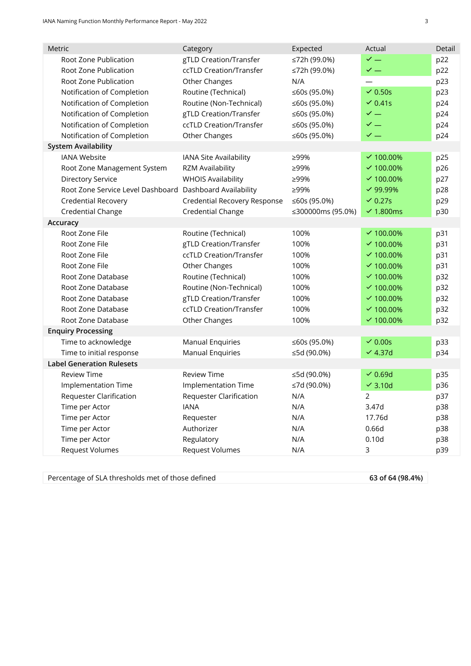| Metric                                                   | Category                       | Expected          | Actual             | Detail |
|----------------------------------------------------------|--------------------------------|-------------------|--------------------|--------|
| Root Zone Publication                                    | gTLD Creation/Transfer         | ≤72h (99.0%)      | $\checkmark$ $=$   | p22    |
| Root Zone Publication                                    | ccTLD Creation/Transfer        | ≤72h (99.0%)      | $\checkmark$ $-$   | p22    |
| Root Zone Publication                                    | Other Changes                  | N/A               |                    | p23    |
| Notification of Completion                               | Routine (Technical)            | ≤60s (95.0%)      | $\vee$ 0.50s       | p23    |
| Notification of Completion                               | Routine (Non-Technical)        | ≤60s (95.0%)      | $\vee$ 0.41s       | p24    |
| Notification of Completion                               | gTLD Creation/Transfer         | ≤60s (95.0%)      | $\checkmark$ $-$   | p24    |
| Notification of Completion                               | ccTLD Creation/Transfer        | ≤60s (95.0%)      | $\checkmark$ $-$   | p24    |
| Notification of Completion                               | Other Changes                  | ≤60s (95.0%)      | $\checkmark$ $-$   | p24    |
| <b>System Availability</b>                               |                                |                   |                    |        |
| <b>IANA Website</b>                                      | IANA Site Availability         | ≥99%              | $\vee$ 100.00%     | p25    |
| Root Zone Management System                              | <b>RZM Availability</b>        | ≥99%              | $\times$ 100.00%   | p26    |
| <b>Directory Service</b>                                 | <b>WHOIS Availability</b>      | ≥99%              | $\times$ 100.00%   | p27    |
| Root Zone Service Level Dashboard Dashboard Availability |                                | ≥99%              | $\vee$ 99.99%      | p28    |
| <b>Credential Recovery</b>                               | Credential Recovery Response   | ≤60s (95.0%)      | $\vee$ 0.27s       | p29    |
| <b>Credential Change</b>                                 | Credential Change              | ≤300000ms (95.0%) | $\sim$ 1.800ms     | p30    |
| Accuracy                                                 |                                |                   |                    |        |
| Root Zone File                                           | Routine (Technical)            | 100%              | $\vee$ 100.00%     | p31    |
| Root Zone File                                           | gTLD Creation/Transfer         | 100%              | $\times$ 100.00%   | p31    |
| Root Zone File                                           | ccTLD Creation/Transfer        | 100%              | $\vee$ 100.00%     | p31    |
| Root Zone File                                           | Other Changes                  | 100%              | $\times$ 100.00%   | p31    |
| Root Zone Database                                       | Routine (Technical)            | 100%              | $\times$ 100.00%   | p32    |
| Root Zone Database                                       | Routine (Non-Technical)        | 100%              | $\times$ 100.00%   | p32    |
| Root Zone Database                                       | gTLD Creation/Transfer         | 100%              | $\times$ 100.00%   | p32    |
| Root Zone Database                                       | ccTLD Creation/Transfer        | 100%              | $\times$ 100.00%   | p32    |
| Root Zone Database                                       | Other Changes                  | 100%              | $\times$ 100.00%   | p32    |
| <b>Enquiry Processing</b>                                |                                |                   |                    |        |
| Time to acknowledge                                      | <b>Manual Enquiries</b>        | ≤60s (95.0%)      | $\sim$ 0.00s       | p33    |
| Time to initial response                                 | <b>Manual Enquiries</b>        | ≤5d (90.0%)       | $\vee$ 4.37d       | p34    |
| <b>Label Generation Rulesets</b>                         |                                |                   |                    |        |
| <b>Review Time</b>                                       | <b>Review Time</b>             | ≤5d (90.0%)       | $\sqrt{0.69}$ d    | p35    |
| Implementation Time                                      | <b>Implementation Time</b>     | ≤7d (90.0%)       | $\checkmark$ 3.10d | p36    |
| <b>Requester Clarification</b>                           | <b>Requester Clarification</b> | N/A               | 2                  | p37    |
| Time per Actor                                           | <b>IANA</b>                    | N/A               | 3.47d              | p38    |
| Time per Actor                                           | Requester                      | N/A               | 17.76d             | p38    |
| Time per Actor                                           | Authorizer                     | N/A               | 0.66d              | p38    |
| Time per Actor                                           | Regulatory                     | N/A               | 0.10d              | p38    |
| <b>Request Volumes</b>                                   | <b>Request Volumes</b>         | N/A               | 3                  | p39    |
|                                                          |                                |                   |                    |        |

Percentage of SLA thresholds met of those defined **63 of 64 (98.4%)**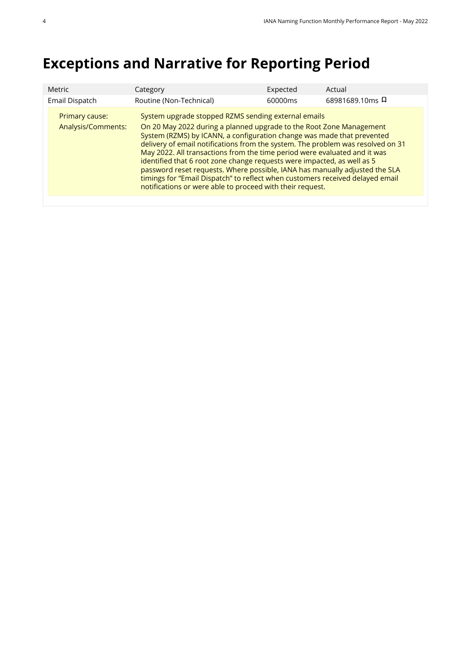# <span id="page-3-0"></span>**Exceptions and Narrative for Reporting Period**

| Expected<br><b>Metric</b><br>Actual<br>Category                                                                                                                                                                                                                                                                                                                                                                                                                                                                                                                                                                                                                                                                      |  |
|----------------------------------------------------------------------------------------------------------------------------------------------------------------------------------------------------------------------------------------------------------------------------------------------------------------------------------------------------------------------------------------------------------------------------------------------------------------------------------------------------------------------------------------------------------------------------------------------------------------------------------------------------------------------------------------------------------------------|--|
| 68981689.10ms 디<br>Routine (Non-Technical)<br>Email Dispatch<br>60000ms                                                                                                                                                                                                                                                                                                                                                                                                                                                                                                                                                                                                                                              |  |
| System upgrade stopped RZMS sending external emails<br>Primary cause:<br>On 20 May 2022 during a planned upgrade to the Root Zone Management<br>Analysis/Comments:<br>System (RZMS) by ICANN, a configuration change was made that prevented<br>delivery of email notifications from the system. The problem was resolved on 31<br>May 2022. All transactions from the time period were evaluated and it was<br>identified that 6 root zone change requests were impacted, as well as 5<br>password reset requests. Where possible, IANA has manually adjusted the SLA<br>timings for "Email Dispatch" to reflect when customers received delayed email<br>notifications or were able to proceed with their request. |  |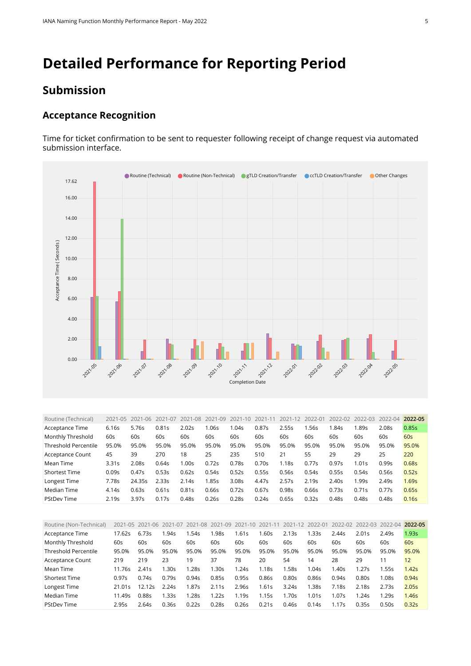# <span id="page-4-0"></span>**Detailed Performance for Reporting Period**

### **Submission**

#### **Acceptance Recognition**

Time for ticket confirmation to be sent to requester following receipt of change request via automated submission interface.



<span id="page-4-1"></span>

| Routine (Technical)         | 2021-05 | 2021-06 | 2021-07 | 2021-08 | 2021-09 | $2021 - 10$       | 2021-11 | 2021-12 | 2022-01 | 2022-02 | 2022-03 | 2022-04 | 2022-05 |
|-----------------------------|---------|---------|---------|---------|---------|-------------------|---------|---------|---------|---------|---------|---------|---------|
| Acceptance Time             | 6.16s   | 5.76s   | 0.81s   | 2.02s   | 1.06s   | 1.04s             | 0.87s   | 2.55s   | .56s    | l.84s   | 1.89s   | 2.08s   | 0.85s   |
| Monthly Threshold           | 60s     | 60s     | 60s     | 60s     | 60s     | 60s               | 60s     | 60s     | 60s     | 60s     | 60s     | 60s     | 60s     |
| <b>Threshold Percentile</b> | 95.0%   | 95.0%   | 95.0%   | 95.0%   | 95.0%   | 95.0%             | 95.0%   | 95.0%   | 95.0%   | 95.0%   | 95.0%   | 95.0%   | 95.0%   |
| Acceptance Count            | 45      | 39      | 270     | 18      | 25      | 235               | 510     | 21      | 55      | 29      | 29      | 25      | 220     |
| Mean Time                   | 3.31s   | 2.08s   | 0.64s   | 1.00s   | 0.72s   | 0.78s             | 0.70s   | 1.18s   | 0.77s   | 0.97s   | 1.01s   | 0.99s   | 0.68s   |
| <b>Shortest Time</b>        | 0.09s   | 0.47s   | 0.53s   | 0.62s   | 0.54s   | 0.52s             | 0.55s   | 0.56s   | 0.54s   | 0.55s   | 0.54s   | 0.56s   | 0.52s   |
| Longest Time                | 7.78s   | 24.35s  | 2.335   | 2.14s   | 1.85s   | 3.08 <sub>S</sub> | 4.47s   | 2.57s   | 2.19s   | 2.40s   | 1.99s   | 2.49s   | 1.69s   |
| Median Time                 | 4.14s   | 0.63s   | 0.61s   | 0.81s   | 0.66s   | 0.72s             | 0.67s   | 0.98s   | 0.66s   | 0.73s   | 0.71s   | 0.77s   | 0.65s   |
| <b>PStDev Time</b>          | 2.19s   | 3.97s   | 0.17s   | 0.48s   | 0.26s   | 0.28 <sub>S</sub> | 0.24s   | 0.65s   | 0.32s   | 0.48s   | 0.48s   | 0.48s   | 0.16s   |

<span id="page-4-2"></span>

| Routine (Non-Technical) |        | 2021-05 2021-06 | 2021-07 | 2021-08 | 2021-09 | 2021-10 2021-11 |       | 2021-12 | 2022-01 |       | 2022-02 2022-03 2022-04 |       | 2022-05           |
|-------------------------|--------|-----------------|---------|---------|---------|-----------------|-------|---------|---------|-------|-------------------------|-------|-------------------|
| Acceptance Time         | 17.62s | 6.73s           | .94s    | .54s    | .98s    | .61s            | 1.60s | 2.13s   | .33s    | 2.44s | 2.01s                   | 2.49s | 1.93s             |
| Monthly Threshold       | 60s    | 60s             | 60s     | 60s     | 60s     | 60s             | 60s   | 60s     | 60s     | 60s   | 60s                     | 60s   | 60s               |
| Threshold Percentile    | 95.0%  | 95.0%           | 95.0%   | 95.0%   | 95.0%   | 95.0%           | 95.0% | 95.0%   | 95.0%   | 95.0% | 95.0%                   | 95.0% | 95.0%             |
| Acceptance Count        | 219    | 219             | 23      | 19      | 37      | 78              | 20    | 54      | 14      | 28    | 29                      | 11    | $12 \overline{ }$ |
| Mean Time               | 11.76s | 2.41s           | .30s    | 1.28s   | 1.30s   | 1.24s           | 1.18s | 1.58s   | 1.04s   | 1.40s | 1.27s                   | 1.55s | 1.42s             |
| <b>Shortest Time</b>    | 0.97s  | 0.74s           | 0.79s   | 0.94s   | 0.85s   | 0.95s           | 0.86s | 0.80s   | 0.86s   | 0.94s | 0.80s                   | 1.08s | 0.94s             |
| Longest Time            | 21.01s | 12.12s          | 2.24s   | 1.87s   | 2.11s   | 2.96s           | 1.61s | 3.24s   | 1.38s   | 7.18s | 2.18s                   | 2.73s | 2.05s             |
| Median Time             | 11.49s | 0.885           | .33s    | 1.28s   | 1.22s   | .19s            | 1.15s | 1.70s   | 1.01s   | 1.07s | 1.24s                   | 1.29s | 1.46s             |
| <b>PStDev Time</b>      | 2.95s  | 2.64s           | 0.36s   | 0.22s   | 0.28s   | 0.26s           | 0.21s | 0.46s   | 0.14s   | 1.17s | 0.35s                   | 0.50s | 0.32s             |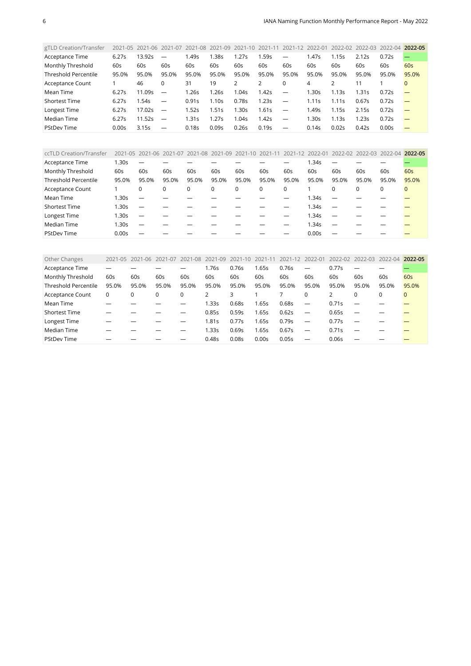<span id="page-5-0"></span>

| gTLD Creation/Transfer      | 2021-05           | 2021-06 | 2021-07                  | 2021-08           | 2021-09 | 2021-10 | 2021-11 | 2021-12                  | 2022-01 | 2022-02 2022-03 |       | 2022-04 | 2022-05  |
|-----------------------------|-------------------|---------|--------------------------|-------------------|---------|---------|---------|--------------------------|---------|-----------------|-------|---------|----------|
| Acceptance Time             | 6.27s             | 13.92s  | $\overline{\phantom{m}}$ | 1.49s             | 1.38s   | 1.27s   | 1.59s   | $\overline{\phantom{0}}$ | .47s    | .15s            | 2.12s | 0.72s   |          |
| Monthly Threshold           | 60s               | 60s     | 60s                      | 60s               | 60s     | 60s     | 60s     | 60s                      | 60s     | 60s             | 60s   | 60s     | 60s      |
| <b>Threshold Percentile</b> | 95.0%             | 95.0%   | 95.0%                    | 95.0%             | 95.0%   | 95.0%   | 95.0%   | 95.0%                    | 95.0%   | 95.0%           | 95.0% | 95.0%   | 95.0%    |
| Acceptance Count            |                   | 46      | 0                        | 31                | 19      |         |         |                          | 4       |                 |       |         | $\Omega$ |
| Mean Time                   | 6.27s             | 11.09s  | $\overline{\phantom{m}}$ | 1.26s             | 1.26s   | 1.04s   | 1.42s   | $\overline{\phantom{0}}$ | .30s    | 1.13s           | 1.31s | 0.72s   |          |
| <b>Shortest Time</b>        | 6.27s             | 1.54s   | $\overline{\phantom{m}}$ | 0.91s             | 1.10s   | 0.78s   | 1.23s   | $\overline{\phantom{m}}$ | l.11s   | 1.11s           | 0.67s | 0.72s   |          |
| Longest Time                | 6.27s             | 17.02s  | $\overline{\phantom{m}}$ | 1.52s             | 1.51s   | .30s    | 1.61s   | $\overline{\phantom{0}}$ | .49s    | 1.15s           | 2.15s | 0.72s   |          |
| Median Time                 | 6.27s             | 11.52s  |                          | 1.31s             | 1.27s   | 1.04s   | 1.42s   | $\overline{\phantom{m}}$ | .30s    | 1.13s           | l.23s | 0.72s   |          |
| <b>PStDev Time</b>          | 0.00 <sub>S</sub> | 3.15s   |                          | 0.18 <sub>S</sub> | 0.09s   | 0.26s   | 0.19s   |                          | 0.14s   | 0.02s           | 0.42s | 0.00s   |          |

<span id="page-5-1"></span>

| ccTLD Creation/Transfer     | 2021-05 | 2021-06 2021-07 2021-08 2021-09 2021-10 2021-11 2021-12 2022-01 |       |             |       |          |       |       |       |          | 2022-02 2022-03 2022-04 |       | 2022-05      |
|-----------------------------|---------|-----------------------------------------------------------------|-------|-------------|-------|----------|-------|-------|-------|----------|-------------------------|-------|--------------|
| Acceptance Time             | 1.30s   |                                                                 |       |             |       |          |       |       | 1.34s |          |                         |       |              |
| Monthly Threshold           | 60s     | 60s                                                             | 60s   | 60s         | 60s   | 60s      | 60s   | 60s   | 60s   | 60s      | 60s                     | 60s   | 60s          |
| <b>Threshold Percentile</b> | 95.0%   | 95.0%                                                           | 95.0% | 95.0%       | 95.0% | 95.0%    | 95.0% | 95.0% | 95.0% | 95.0%    | 95.0%                   | 95.0% | 95.0%        |
| Acceptance Count            |         |                                                                 | 0     | $\mathbf 0$ | 0     | $\Omega$ | 0     | 0     |       | $\Omega$ | 0                       | 0     | $\mathbf{0}$ |
| Mean Time                   | 1.30s   |                                                                 |       |             |       |          |       |       | 1.34s |          |                         |       |              |
| <b>Shortest Time</b>        | 1.30s   |                                                                 |       |             |       |          |       |       | 1.34s |          |                         |       |              |
| Longest Time                | 1.30s   |                                                                 |       |             |       |          |       |       | 1.34s |          |                         |       |              |
| Median Time                 | 1.30s   |                                                                 |       |             |       |          |       |       | 1.34s |          |                         |       |              |
| <b>PStDev Time</b>          | 0.00s   |                                                                 |       |             |       |          |       |       | 0.00s |          |                         |       |              |

<span id="page-5-2"></span>

| Other Changes               | 2021-05 | 2021-06 | 2021-07 | 2021-08 | 2021-09 | 2021-10           | 2021-11 | 2021-12 2022-01 |                          | 2022-02 | 2022-03 2022-04 |       | 2022-05     |
|-----------------------------|---------|---------|---------|---------|---------|-------------------|---------|-----------------|--------------------------|---------|-----------------|-------|-------------|
| Acceptance Time             |         |         |         |         | 1.76s   | 0.76s             | .65s    | 0.76s           | $\overline{\phantom{m}}$ | 0.77s   |                 |       |             |
| Monthly Threshold           | 60s     | 60s     | 60s     | 60s     | 60s     | 60s               | 60s     | 60s             | 60s                      | 60s     | 60s             | 60s   | 60s         |
| <b>Threshold Percentile</b> | 95.0%   | 95.0%   | 95.0%   | 95.0%   | 95.0%   | 95.0%             | 95.0%   | 95.0%           | 95.0%                    | 95.0%   | 95.0%           | 95.0% | 95.0%       |
| Acceptance Count            | 0       | 0       | 0       | 0       |         | 3                 |         |                 | 0                        |         | $\Omega$        | 0     | $\mathbf 0$ |
| Mean Time                   |         |         |         |         | 1.33s   | 0.68s             | 1.65s   | 0.68s           | $\overline{\phantom{m}}$ | 0.71s   |                 |       |             |
| Shortest Time               |         |         |         |         | 0.85s   | 0.59s             | 1.65s   | 0.62s           |                          | 0.65s   |                 |       |             |
| Longest Time                |         |         |         |         | 1.81s   | 0.77s             | .65s    | 0.79s           |                          | 0.77s   |                 |       |             |
| Median Time                 |         |         |         |         | 1.33s   | 0.69s             | 1.65s   | 0.67s           | $\overline{\phantom{0}}$ | 0.71s   |                 |       |             |
| <b>PStDev Time</b>          |         |         |         |         | 0.48s   | 0.08 <sub>S</sub> | 0.00s   | 0.05s           |                          | 0.06s   |                 |       |             |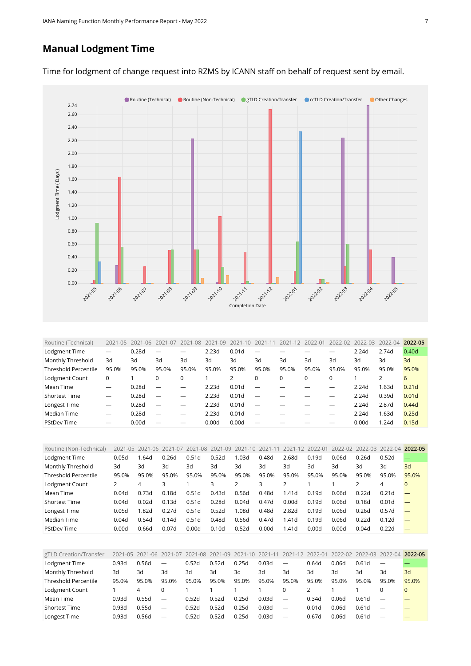## **Manual Lodgment Time**



Time for lodgment of change request into RZMS by ICANN staff on behalf of request sent by email.

<span id="page-6-0"></span>

| Routine (Technical)         | $2021 - 05$              | 2021<br>$-06$ | 2021-07                  | 2021-08 | 2021-09 | 2021              |                          | 2021-12  | 2022-01 | 2022-02  | 2022-03 | $2022 - 04$ | 2022-05           |
|-----------------------------|--------------------------|---------------|--------------------------|---------|---------|-------------------|--------------------------|----------|---------|----------|---------|-------------|-------------------|
| Lodgment Time               | $\overline{\phantom{0}}$ | 0.28d         |                          |         | 2.23d   | 0.01 <sub>d</sub> |                          |          |         |          | 2.24d   | 2.74d       | 0.40 <sub>d</sub> |
| Monthly Threshold           | 3d                       | 3d            | 3d                       | 3d      | 3d      | 3d                | 3d                       | 3d       | 3d      | 3d       | 3d      | 3d          | 3d                |
| <b>Threshold Percentile</b> | 95.0%                    | 95.0%         | 95.0%                    | 95.0%   | 95.0%   | 95.0%             | 95.0%                    | 95.0%    | 95.0%   | 95.0%    | 95.0%   | 95.0%       | 95.0%             |
| Lodgment Count              | 0                        |               | 0                        |         |         |                   |                          | $\Omega$ | 0       | $\Omega$ |         |             | 6                 |
| Mean Time                   |                          | 0.28d         | $\overline{\phantom{m}}$ |         | 2.23d   | 0.01d             |                          |          |         |          | 2.24d   | 1.63d       | 0.21 <sub>d</sub> |
| Shortest Time               |                          | 0.28d         |                          |         | 2.23d   | 0.01d             |                          |          |         |          | 2.24d   | 0.39d       | 0.01 <sub>d</sub> |
| Longest Time                | $\overline{\phantom{m}}$ | 0.28d         | $\overline{\phantom{0}}$ |         | 2.23d   | 0.01 <sub>d</sub> | $\overline{\phantom{0}}$ |          |         |          | 2.24d   | 2.87d       | 0.44d             |
| Median Time                 | $\overline{\phantom{m}}$ | 0.28d         | $\overline{\phantom{0}}$ |         | 2.23d   | 0.01d             | $\overline{\phantom{0}}$ |          |         |          | 2.24d   | 1.63d       | 0.25d             |
| <b>PStDev Time</b>          | —                        | 0.00d         |                          |         | 0.00d   | 0.00d             |                          |          |         |          | 0.00d   | 1.24d       | 0.15d             |

<span id="page-6-1"></span>

| Routine (Non-Technical)     |       | 2021-05 2021-06 | 2021-07 | 2021-08 | 2021-09           | 2021-10 2021-11 |       | 2021-12           | 2022-01 |       | 2022-02 2022-03 2022-04 |                   | 2022-05 |
|-----------------------------|-------|-----------------|---------|---------|-------------------|-----------------|-------|-------------------|---------|-------|-------------------------|-------------------|---------|
| Lodgment Time               | 0.05d | l.64d           | 0.26d   | 0.51d   | 0.52d             | 0.03d           | 0.48d | 2.68d             | 0.19d   | 0.06d | 0.26d                   | 0.52d             |         |
| Monthly Threshold           | 3d    | 3d              | 3d      | 3d      | 3d                | 3d              | 3d    | Зd                | 3d      | 3d    | Зq                      | 3d                | 3d      |
| <b>Threshold Percentile</b> | 95.0% | 95.0%           | 95.0%   | 95.0%   | 95.0%             | 95.0%           | 95.0% | 95.0%             | 95.0%   | 95.0% | 95.0%                   | 95.0%             | 95.0%   |
| Lodgment Count              |       | 4               |         |         | 3                 |                 | 3     |                   |         |       |                         | 4                 | 0       |
| Mean Time                   | 0.04d | 0.73d           | 0.18d   | 0.51d   | 0.43d             | 0.56d           | 0.48d | 1.41 <sub>d</sub> | 0.19d   | 0.06d | 0.22d                   | 0.21d             |         |
| Shortest Time               | 0.04d | 0.02d           | 0.13d   | 0.51d   | 0.28d             | 0.04d           | 0.47d | 0.00d             | 0.19d   | 0.06d | 0.18d                   | 0.01 <sub>d</sub> |         |
| Longest Time                | 0.05d | 1.82d           | 0.27d   | 0.51d   | 0.52d             | 1.08d           | 0.48d | 2.82d             | 0.19d   | 0.06d | 0.26d                   | 0.57d             |         |
| Median Time                 | 0.04d | 0.54d           | 0.14d   | 0.51d   | 0.48d             | 0.56d           | 0.47d | 1.41 <sub>d</sub> | 0.19d   | 0.06d | 0.22d                   | 0.12d             |         |
| <b>PStDev Time</b>          | 0.00d | 0.66d           | 0.07d   | 0.00d   | 0.10 <sub>d</sub> | 0.52d           | 0.00d | 1.41d             | 0.00d   | 0.00d | 0.04d                   | 0.22d             |         |

<span id="page-6-2"></span>

| gTLD Creation/Transfer      |       | 2021-05 2021-06 | 2021-07                  |       | 2021-08 2021-09 2021-10 |       | 2021-11 | 2021-12                  | 2022-01 | 2022-02 | 2022-03 | 2022-04                  | 2022-05 |
|-----------------------------|-------|-----------------|--------------------------|-------|-------------------------|-------|---------|--------------------------|---------|---------|---------|--------------------------|---------|
| Lodgment Time               | 0.93d | 0.56d           | $\overline{\phantom{0}}$ | 0.52d | 0.52d                   | 0.25d | 0.03d   | $\overline{\phantom{0}}$ | 0.64d   | 0.06d   | 0.61d   | $\overline{\phantom{0}}$ |         |
| Monthly Threshold           | 3d    | 3d              | 3d                       | 3d    | Зd                      | Зd    | 3d      | 3d                       | 3d      | 3d      | 3d      | 3d                       | 3d      |
| <b>Threshold Percentile</b> | 95.0% | 95.0%           | 95.0%                    | 95.0% | 95.0%                   | 95.0% | 95.0%   | 95.0%                    | 95.0%   | 95.0%   | 95.0%   | 95.0%                    | 95.0%   |
| Lodgment Count              |       | 4               |                          |       |                         |       |         |                          |         |         |         |                          |         |
| Mean Time                   | 0.93d | 0.55d           | $\overline{\phantom{0}}$ | 0.52d | 0.52d                   | 0.25d | 0.03d   | $\overline{\phantom{a}}$ | 0.34d   | 0.06d   | 0.61d   |                          |         |
| <b>Shortest Time</b>        | 0.93d | 0.55d           | $\overline{\phantom{0}}$ | 0.52d | 0.52d                   | 0.25d | 0.03d   | $\overline{\phantom{a}}$ | 0.01d   | 0.06d   | 0.61d   | $\overline{\phantom{0}}$ |         |
| Longest Time                | 0.93d | 0.56d           | $\overline{\phantom{0}}$ | 0.52d | 0.52d                   | 0.25d | 0.03d   |                          | 0.67d   | 0.06d   | 0.61d   |                          |         |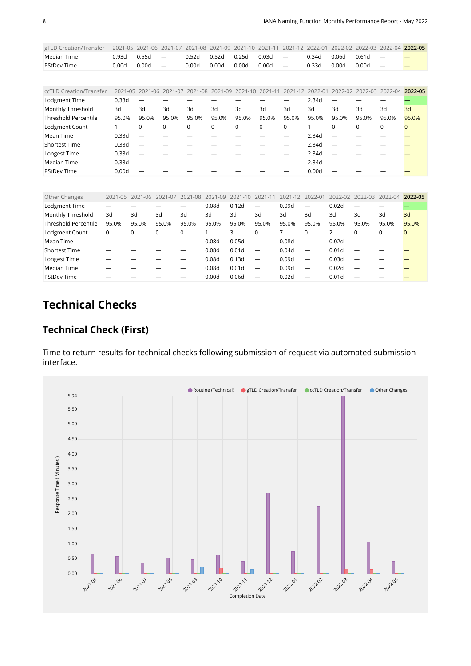| gTLD Creation/Transfer 2021-05 2021-06 2021-07 2021-08 2021-09 2021-10 2021-11 2021-12 2022-01 2022-02 2022-03 2022-04 2022-05 |                     |         |                                     |             |           |             |       |           |  |
|--------------------------------------------------------------------------------------------------------------------------------|---------------------|---------|-------------------------------------|-------------|-----------|-------------|-------|-----------|--|
| Median Time                                                                                                                    | $0.93d$ $0.55d$ $-$ |         | $0.52d$ $0.52d$ $0.25d$ $0.03d$ $-$ |             |           | 0.34d 0.06d |       | $0.61d =$ |  |
| <b>PStDev Time</b>                                                                                                             | 0.00d               | 0.00d — | 0.00d                               | 0.00d 0.00d | $0.00d =$ | 0.33d       | 0.00d | $0.00d =$ |  |
|                                                                                                                                |                     |         |                                     |             |           |             |       |           |  |

<span id="page-7-0"></span>

| ccTLD Creation/Transfer     |       | 2021-05 2021-06 2021-07 2021-08 2021-09 2021-10 2021-11 |       |       |          |          |             | 2021-12 2022-01 |       |       | 2022-02 2022-03 2022-04 2022-05 |          |          |
|-----------------------------|-------|---------------------------------------------------------|-------|-------|----------|----------|-------------|-----------------|-------|-------|---------------------------------|----------|----------|
| Lodgment Time               | 0.33d |                                                         |       |       |          |          |             |                 | 2.34d |       |                                 |          |          |
| Monthly Threshold           | 3d    | 3d                                                      | 3d    | 3d    | 3d       | 3d       | 3d          | 3d              | 3d    | 3d    | 3d                              | 3d       | 3d       |
| <b>Threshold Percentile</b> | 95.0% | 95.0%                                                   | 95.0% | 95.0% | 95.0%    | 95.0%    | 95.0%       | 95.0%           | 95.0% | 95.0% | 95.0%                           | 95.0%    | 95.0%    |
| Lodgment Count              |       | $\Omega$                                                | 0     | 0     | $\Omega$ | $\Omega$ | $\mathbf 0$ | $\Omega$        |       |       | 0                               | $\Omega$ | $\Omega$ |
| Mean Time                   | 0.33d |                                                         |       |       |          |          |             |                 | 2.34d |       |                                 |          |          |
| <b>Shortest Time</b>        | 0.33d |                                                         |       |       |          |          |             |                 | 2.34d |       |                                 |          |          |
| Longest Time                | 0.33d |                                                         |       |       |          |          |             |                 | 2.34d |       |                                 |          |          |
| Median Time                 | 0.33d |                                                         |       |       |          |          |             |                 | 2.34d |       |                                 |          |          |
| <b>PStDev Time</b>          | 0.00d |                                                         |       |       |          |          |             |                 | 0.00d |       |                                 |          |          |

<span id="page-7-1"></span>

| Other Changes               | 2021-05 | 2021-06 2021-07 |          | 2021-08 | 2021-09 | $2021 - 10$       | 2021-11                  | 2021-12 2022-01 |                          | 2022-02           |          | 2022-03 2022-04 | 2022-05  |
|-----------------------------|---------|-----------------|----------|---------|---------|-------------------|--------------------------|-----------------|--------------------------|-------------------|----------|-----------------|----------|
| Lodgment Time               |         |                 |          |         | 0.08d   | 0.12d             | $\overline{\phantom{0}}$ | 0.09d           |                          | 0.02d             |          |                 |          |
| Monthly Threshold           | 3d      | 3d              | 3d       | 3d      | 3d      | 3d                | 3d                       | 3d              | 3d                       | 3d                | 3d       | 3d              | 3d       |
| <b>Threshold Percentile</b> | 95.0%   | 95.0%           | 95.0%    | 95.0%   | 95.0%   | 95.0%             | 95.0%                    | 95.0%           | 95.0%                    | 95.0%             | 95.0%    | 95.0%           | 95.0%    |
| Lodgment Count              | 0       | 0               | $\Omega$ | 0       |         | 3                 | $\Omega$                 |                 | $\Omega$                 |                   | $\Omega$ | $\Omega$        | $\Omega$ |
| Mean Time                   |         |                 |          |         | 0.08d   | 0.05d             | $\overline{\phantom{m}}$ | 0.08d           | $\overline{\phantom{m}}$ | 0.02d             |          |                 |          |
| <b>Shortest Time</b>        |         |                 |          |         | 0.08d   | 0.01 <sub>d</sub> | $\overline{\phantom{m}}$ | 0.04d           |                          | 0.01 <sub>d</sub> |          |                 |          |
| Longest Time                |         |                 |          |         | 0.08d   | 0.13d             | $\overline{\phantom{0}}$ | 0.09d           |                          | 0.03d             |          |                 |          |
| Median Time                 |         |                 |          |         | 0.08d   | 0.01 <sub>d</sub> | $\overline{\phantom{0}}$ | 0.09d           | $\overline{\phantom{0}}$ | 0.02d             |          |                 |          |
| <b>PStDev Time</b>          |         |                 |          |         | 0.00d   | 0.06d             |                          | 0.02d           |                          | 0.01 <sub>d</sub> |          |                 |          |

# **Technical Checks**

#### **Technical Check (First)**

Time to return results for technical checks following submission of request via automated submission interface.

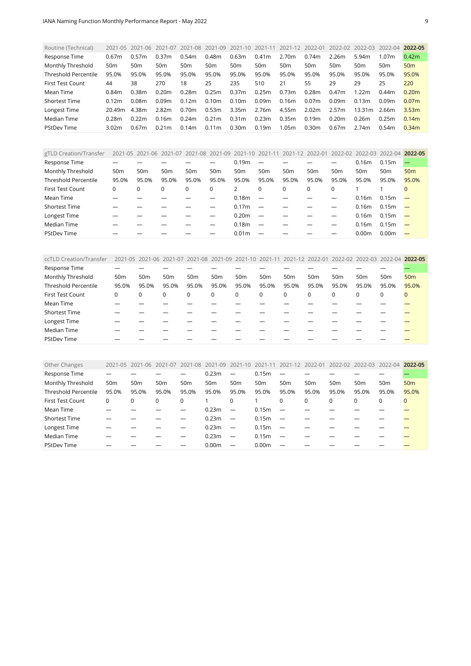<span id="page-8-0"></span>

| Routine (Technical)         | 2021-05           | $2021 - 06$     | 2021-07           | 2021-08           | 2021-09           | 2021-10           | 2021-11 | 2021-12         | 2022-01           | 2022-02           | 2022-03           | 2022-04           | 2022-05           |
|-----------------------------|-------------------|-----------------|-------------------|-------------------|-------------------|-------------------|---------|-----------------|-------------------|-------------------|-------------------|-------------------|-------------------|
| Response Time               | 0.67m             | 0.57m           | 0.37m             | 0.54m             | 0.48m             | 0.63m             | 0.41m   | 2.70m           | 0.74m             | 2.26m             | 5.94m             | 1.07m             | 0.42 <sub>m</sub> |
| Monthly Threshold           | 50 <sub>m</sub>   | 50 <sub>m</sub> | 50m               | 50 <sub>m</sub>   | 50 <sub>m</sub>   | 50 <sub>m</sub>   | 50m     | 50 <sub>m</sub> | 50 <sub>m</sub>   | 50m               | 50 <sub>m</sub>   | 50 <sub>m</sub>   | 50 <sub>m</sub>   |
| <b>Threshold Percentile</b> | 95.0%             | 95.0%           | 95.0%             | 95.0%             | 95.0%             | 95.0%             | 95.0%   | 95.0%           | 95.0%             | 95.0%             | 95.0%             | 95.0%             | 95.0%             |
| First Test Count            | 44                | 38              | 270               | 18                | 25                | 235               | 510     | 21              | 55                | 29                | 29                | 25                | 220               |
| Mean Time                   | 0.84m             | 0.38m           | 0.20 <sub>m</sub> | 0.28m             | 0.25m             | 0.37m             | 0.25m   | 0.73m           | 0.28m             | 0.47 <sub>m</sub> | 1.22 <sub>m</sub> | 0.44 <sub>m</sub> | 0.20 <sub>m</sub> |
| <b>Shortest Time</b>        | 0.12 <sub>m</sub> | 0.08m           | 0.09 <sub>m</sub> | 0.12 <sub>m</sub> | 0.10 <sub>m</sub> | 0.10 <sub>m</sub> | 0.09m   | 0.16m           | 0.07 <sub>m</sub> | 0.09m             | 0.13m             | 0.09 <sub>m</sub> | 0.07 <sub>m</sub> |
| Longest Time                | 20.49m            | 4.38m           | 2.82m             | 0.70 <sub>m</sub> | 0.53m             | 3.35m             | 2.76m   | 4.55m           | 2.02m             | 2.57m             | 13.31m            | 2.66m             | 3.53 <sub>m</sub> |
| Median Time                 | 0.28m             | 0.22m           | 0.16m             | 0.24m             | 0.21m             | 0.31 <sub>m</sub> | 0.23m   | 0.35m           | 0.19m             | 0.20 <sub>m</sub> | 0.26m             | 0.25m             | 0.14m             |
| <b>PStDev Time</b>          | 3.02m             | 0.67m           | 0.21 <sub>m</sub> | 0.14m             | 0.11 <sub>m</sub> | 0.30m             | 0.19m   | 1.05m           | 0.30m             | 0.67 <sub>m</sub> | 2.74m             | 0.54m             | 0.34m             |

<span id="page-8-1"></span>

| gTLD Creation/Transfer      |                 | 2021-05 2021-06 2021-07 |                 | 2021-08 2021-09 2021-10 2021-11 |                 |                   |                          | 2021-12         | 2022-01         | 2022-02 2022-03 |                   | 2022-04 2022-05   |                 |
|-----------------------------|-----------------|-------------------------|-----------------|---------------------------------|-----------------|-------------------|--------------------------|-----------------|-----------------|-----------------|-------------------|-------------------|-----------------|
| Response Time               |                 |                         |                 |                                 |                 | 0.19 <sub>m</sub> |                          |                 |                 |                 | 0.16 <sub>m</sub> | 0.15m             |                 |
| Monthly Threshold           | 50 <sub>m</sub> | 50 <sub>m</sub>         | 50 <sub>m</sub> | 50 <sub>m</sub>                 | 50 <sub>m</sub> | 50 <sub>m</sub>   | 50 <sub>m</sub>          | 50 <sub>m</sub> | 50 <sub>m</sub> | 50 <sub>m</sub> | 50 <sub>m</sub>   | 50 <sub>m</sub>   | 50 <sub>m</sub> |
| <b>Threshold Percentile</b> | 95.0%           | 95.0%                   | 95.0%           | 95.0%                           | 95.0%           | 95.0%             | 95.0%                    | 95.0%           | 95.0%           | 95.0%           | 95.0%             | 95.0%             | 95.0%           |
| <b>First Test Count</b>     | 0               | 0                       | 0               |                                 | $\Omega$        |                   | 0                        |                 | $\Omega$        | $\Omega$        |                   |                   | $\Omega$        |
| Mean Time                   |                 |                         |                 |                                 |                 | 0.18 <sub>m</sub> |                          |                 |                 |                 | 0.16 <sub>m</sub> | 0.15m             |                 |
| <b>Shortest Time</b>        |                 |                         |                 |                                 |                 | 0.17 <sub>m</sub> | $\overline{\phantom{a}}$ |                 |                 |                 | 0.16 <sub>m</sub> | 0.15m             |                 |
| Longest Time                |                 |                         |                 |                                 |                 | 0.20 <sub>m</sub> | $\overline{\phantom{a}}$ |                 |                 |                 | 0.16 <sub>m</sub> | 0.15m             |                 |
| Median Time                 |                 |                         |                 |                                 |                 | 0.18 <sub>m</sub> |                          |                 |                 |                 | 0.16 <sub>m</sub> | 0.15m             |                 |
| <b>PStDev Time</b>          |                 |                         |                 |                                 |                 | 0.01 <sub>m</sub> |                          |                 |                 |                 | 0.00 <sub>m</sub> | 0.00 <sub>m</sub> |                 |

<span id="page-8-2"></span>

| ccTLD Creation/Transfer     |                 |                 |                 | 2021-05 2021-06 2021-07 2021-08 2021-09 2021-10 2021-11 2021-12 2022-01 2022-02 2022-03 2022-04 2022-05 |                 |                 |                 |                 |          |                 |                 |                 |                 |
|-----------------------------|-----------------|-----------------|-----------------|---------------------------------------------------------------------------------------------------------|-----------------|-----------------|-----------------|-----------------|----------|-----------------|-----------------|-----------------|-----------------|
| Response Time               |                 |                 |                 |                                                                                                         |                 |                 |                 |                 |          |                 |                 |                 |                 |
| Monthly Threshold           | 50 <sub>m</sub> | 50 <sub>m</sub> | 50 <sub>m</sub> | 50 <sub>m</sub>                                                                                         | 50 <sub>m</sub> | 50 <sub>m</sub> | 50 <sub>m</sub> | 50 <sub>m</sub> | 50m      | 50 <sub>m</sub> | 50 <sub>m</sub> | 50 <sub>m</sub> | 50 <sub>m</sub> |
| <b>Threshold Percentile</b> | 95.0%           | 95.0%           | 95.0%           | 95.0%                                                                                                   | 95.0%           | 95.0%           | 95.0%           | 95.0%           | 95.0%    | 95.0%           | 95.0%           | 95.0%           | 95.0%           |
| First Test Count            | 0               | $\Omega$        | 0               | $\mathbf 0$                                                                                             | 0               | 0               | 0               | $\mathbf 0$     | $\Omega$ | $\mathbf 0$     | 0               | 0               | $\mathbf{0}$    |
| Mean Time                   |                 |                 |                 |                                                                                                         |                 |                 |                 |                 |          |                 |                 |                 |                 |
| <b>Shortest Time</b>        |                 |                 |                 |                                                                                                         |                 |                 |                 |                 |          |                 |                 |                 |                 |
| Longest Time                |                 |                 |                 |                                                                                                         |                 |                 |                 |                 |          |                 |                 |                 |                 |
| Median Time                 |                 |                 |                 |                                                                                                         |                 |                 |                 |                 |          |                 |                 |                 |                 |
| <b>PStDev Time</b>          |                 |                 |                 |                                                                                                         |                 |                 |                 |                 |          |                 |                 |                 |                 |

<span id="page-8-3"></span>

| Other Changes               | 2021-05         | 2021-06         | 2021-07         | 2021-08         | 2021-09           | 2021-10 2021-11          |                   | 2021-12 2022-01          |                 | 2022-02         | 2022-03         | 2022-04         | 2022-05         |
|-----------------------------|-----------------|-----------------|-----------------|-----------------|-------------------|--------------------------|-------------------|--------------------------|-----------------|-----------------|-----------------|-----------------|-----------------|
| Response Time               |                 |                 |                 |                 | 0.23m             |                          | 0.15m             |                          |                 |                 |                 |                 |                 |
| Monthly Threshold           | 50 <sub>m</sub> | 50 <sub>m</sub> | 50 <sub>m</sub> | 50 <sub>m</sub> | 50 <sub>m</sub>   | 50 <sub>m</sub>          | 50 <sub>m</sub>   | 50 <sub>m</sub>          | 50 <sub>m</sub> | 50 <sub>m</sub> | 50 <sub>m</sub> | 50 <sub>m</sub> | 50 <sub>m</sub> |
| <b>Threshold Percentile</b> | 95.0%           | 95.0%           | 95.0%           | 95.0%           | 95.0%             | 95.0%                    | 95.0%             | 95.0%                    | 95.0%           | 95.0%           | 95.0%           | 95.0%           | 95.0%           |
| <b>First Test Count</b>     | 0               |                 | 0               | 0               |                   | 0                        |                   | 0                        | 0               | 0               | $\Omega$        | 0               | $\mathbf{0}$    |
| Mean Time                   |                 |                 |                 |                 | 0.23m             | $\overline{\phantom{0}}$ | 0.15m             |                          |                 |                 |                 |                 |                 |
| <b>Shortest Time</b>        |                 |                 |                 |                 | 0.23m             |                          | 0.15m             |                          |                 |                 |                 |                 |                 |
| Longest Time                |                 |                 |                 |                 | 0.23m             | $\overline{\phantom{a}}$ | 0.15m             | $\overline{\phantom{m}}$ |                 |                 |                 |                 |                 |
| Median Time                 |                 |                 |                 |                 | 0.23m             | $\overline{\phantom{0}}$ | 0.15m             |                          |                 |                 |                 |                 |                 |
| <b>PStDev Time</b>          |                 |                 |                 |                 | 0.00 <sub>m</sub> |                          | 0.00 <sub>m</sub> |                          |                 |                 |                 |                 |                 |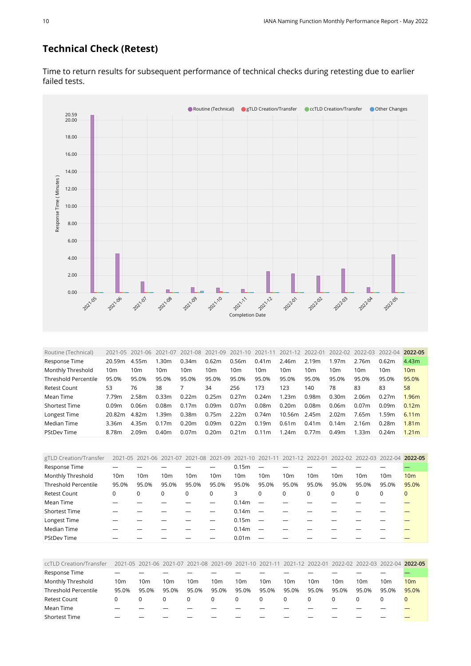## **Technical Check (Retest)**



Time to return results for subsequent performance of technical checks during retesting due to earlier failed tests.

<span id="page-9-0"></span>

| Routine (Technical)         |                 | 2021-05 2021-06 | 2021-07         | 2021-08           | 2021-09 | 2021-10           | 2021-11           | 2021-12           | 2022-01         | 2022-02           | 2022-03           | 2022-04 | 2022-05           |
|-----------------------------|-----------------|-----------------|-----------------|-------------------|---------|-------------------|-------------------|-------------------|-----------------|-------------------|-------------------|---------|-------------------|
| Response Time               | 20.59m          | 4.55m           | 1.30m           | 0.34m             | 0.62m   | 0.56m             | 0.41 <sub>m</sub> | 2.46m             | 2.19m           | 1.97m             | 2.76m             | 0.62m   | 4.43 <sub>m</sub> |
| Monthly Threshold           | 10 <sub>m</sub> | 10m             | 10 <sub>m</sub> | 10m               | 10m     | 10m               | 10m               | 10 <sub>m</sub>   | 10 <sub>m</sub> | 10m               | 10 <sub>m</sub>   | 10m     | 10 <sub>m</sub>   |
| <b>Threshold Percentile</b> | 95.0%           | 95.0%           | 95.0%           | 95.0%             | 95.0%   | 95.0%             | 95.0%             | 95.0%             | 95.0%           | 95.0%             | 95.0%             | 95.0%   | 95.0%             |
| Retest Count                | 53              | 76              | 38              |                   | 34      | 256               | 173               | 123               | 140             | 78                | 83                | 83      | 58                |
| Mean Time                   | 7.79m           | 2.58m           | 0.33m           | 0.22m             | 0.25m   | 0.27m             | 0.24m             | 1.23m             | 0.98m           | 0.30 <sub>m</sub> | 2.06m             | 0.27m   | 1.96 <sub>m</sub> |
| <b>Shortest Time</b>        | 0.09m           | 0.06m           | 0.08m           | 0.17m             | 0.09m   | 0.07 <sub>m</sub> | 0.08m             | 0.20m             | 0.08m           | 0.06 <sub>m</sub> | 0.07 <sub>m</sub> | 0.09m   | 0.12m             |
| Longest Time                | 20.82m          | 4.82m           | 1.39m           | 0.38m             | 0.75m   | 2.22m             | 0.74m             | 10.56m            | 2.45m           | 2.02 <sub>m</sub> | 7.65m             | 1.59m   | 6.11m             |
| Median Time                 | 3.36m           | 4.35m           | 0.17m           | 0.20m             | 0.09m   | 0.22m             | 0.19 <sub>m</sub> | 0.61 <sub>m</sub> | 0.41m           | 0.14m             | 2.16m             | 0.28m   | 1.81 <sub>m</sub> |
| <b>PStDev Time</b>          | 8.78m           | 2.09m           | 0.40m           | 0.07 <sub>m</sub> | 0.20m   | 0.21m             | 0.11 <sub>m</sub> | 1.24m             | 0.77m           | 0.49 <sub>m</sub> | 1.33m             | 0.24m   | 1.21 <sub>m</sub> |

<span id="page-9-1"></span>

| gTLD Creation/Transfer      |       |       | 2021-05 2021-06 2021-07 2021-08 2021-09 2021-10 2021-11 |                 |          |                   |                 | 2021-12 2022-01 |                 |                 | 2022-02 2022-03 2022-04 2022-05 |                 |                 |
|-----------------------------|-------|-------|---------------------------------------------------------|-----------------|----------|-------------------|-----------------|-----------------|-----------------|-----------------|---------------------------------|-----------------|-----------------|
| Response Time               |       |       |                                                         |                 |          | 0.15m             |                 |                 |                 |                 |                                 |                 |                 |
| Monthly Threshold           | 10m   | 10m   | 10 <sub>m</sub>                                         | 10 <sub>m</sub> | 10m      | 10 <sub>m</sub>   | 10 <sub>m</sub> | 10 <sub>m</sub> | 10 <sub>m</sub> | 10 <sub>m</sub> | 10 <sub>m</sub>                 | 10 <sub>m</sub> | 10 <sub>m</sub> |
| <b>Threshold Percentile</b> | 95.0% | 95.0% | 95.0%                                                   | 95.0%           | 95.0%    | 95.0%             | 95.0%           | 95.0%           | 95.0%           | 95.0%           | 95.0%                           | 95.0%           | 95.0%           |
| <b>Retest Count</b>         | 0     |       | $\Omega$                                                |                 | $\Omega$ | 3                 | 0               | $\Omega$        | 0               | $\Omega$        | $\Omega$                        | $\Omega$        | $\Omega$        |
| Mean Time                   |       |       |                                                         |                 |          | 0.14m             |                 |                 |                 |                 |                                 |                 |                 |
| <b>Shortest Time</b>        |       |       |                                                         |                 |          | 0.14m             |                 |                 |                 |                 |                                 |                 |                 |
| Longest Time                |       |       |                                                         |                 |          | 0.15 <sub>m</sub> |                 |                 |                 |                 |                                 |                 |                 |
| Median Time                 |       |       |                                                         |                 |          | 0.14m             |                 |                 |                 |                 |                                 |                 |                 |
| <b>PStDev Time</b>          |       |       |                                                         |                 |          | 0.01 <sub>m</sub> |                 |                 |                 |                 |                                 |                 |                 |

<span id="page-9-2"></span>

| ccTLD Creation/Transfer | 2021-05 2021-06 2021-07 2021-08 2021-09 2021-10 2021-11 2021-12 2022-01 2022-02 2022-03 2022-04 2022-05 |       |       |       |       |                 |          |       |       |       |                 |       |       |
|-------------------------|---------------------------------------------------------------------------------------------------------|-------|-------|-------|-------|-----------------|----------|-------|-------|-------|-----------------|-------|-------|
| Response Time           |                                                                                                         |       |       |       |       |                 |          |       |       |       |                 |       |       |
| Monthly Threshold       | 10m                                                                                                     | 10m   | 10m   | 10m   | 10m   | 10 <sub>m</sub> | 10m      | 10m   | 10m   | 10m   | 10 <sub>m</sub> | 10m   | 10m   |
| Threshold Percentile    | 95.0%                                                                                                   | 95.0% | 95.0% | 95.0% | 95.0% | 95.0%           | 95.0%    | 95.0% | 95.0% | 95.0% | 95.0%           | 95.0% | 95.0% |
| <b>Retest Count</b>     |                                                                                                         |       |       |       |       |                 | $\Omega$ | 0     |       |       |                 |       |       |
| Mean Time               |                                                                                                         |       |       |       |       |                 |          |       |       |       |                 |       |       |
| Shortest Time           |                                                                                                         |       |       |       |       |                 |          |       |       |       |                 |       |       |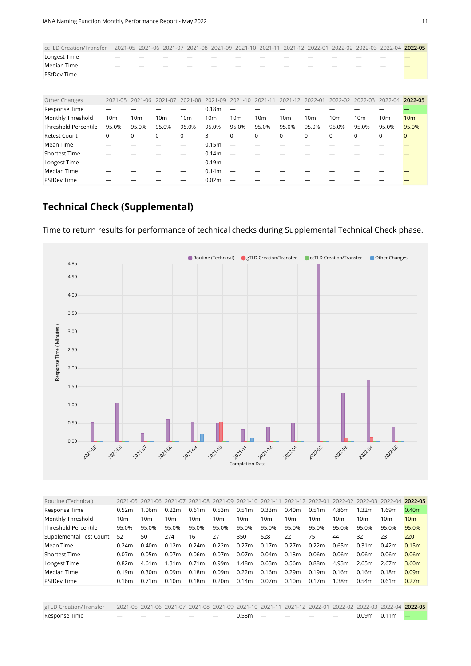| ccTLD Creation/Transfer 2021-05 2021-06 2021-07 2021-08 2021-09 2021-10 2021-11 2021-12 2022-01 2022-02 2022-03 2022-04 2022-05 |   |  |  |  |  |  |  |
|---------------------------------------------------------------------------------------------------------------------------------|---|--|--|--|--|--|--|
| Longest Time                                                                                                                    |   |  |  |  |  |  |  |
| Median Time                                                                                                                     |   |  |  |  |  |  |  |
| <b>PStDev Time</b>                                                                                                              | — |  |  |  |  |  |  |

<span id="page-10-0"></span>

| Other Changes               |                 | 2021-05 2021-06 2021-07 |       | 2021-08 |                   |                 |                 | 2021-09 2021-10 2021-11 2021-12 2022-01 |                 |          | 2022-02 2022-03 2022-04 2022-05 |                 |                 |
|-----------------------------|-----------------|-------------------------|-------|---------|-------------------|-----------------|-----------------|-----------------------------------------|-----------------|----------|---------------------------------|-----------------|-----------------|
| Response Time               |                 |                         |       |         | 0.18 <sub>m</sub> |                 |                 |                                         |                 |          |                                 |                 |                 |
| Monthly Threshold           | 10 <sub>m</sub> | 10 <sub>m</sub>         | 10m   | 10m     | 10m               | 10 <sub>m</sub> | 10 <sub>m</sub> | 10 <sub>m</sub>                         | 10 <sub>m</sub> | 10m      | 10 <sub>m</sub>                 | 10 <sub>m</sub> | 10 <sub>m</sub> |
| <b>Threshold Percentile</b> | 95.0%           | 95.0%                   | 95.0% | 95.0%   | 95.0%             | 95.0%           | 95.0%           | 95.0%                                   | 95.0%           | 95.0%    | 95.0%                           | 95.0%           | 95.0%           |
| <b>Retest Count</b>         | 0               | 0                       | 0     | 0       | 3.                | $\Omega$        | 0               | $\Omega$                                | $\Omega$        | $\Omega$ | $\Omega$                        | 0               | $\mathbf{0}$    |
| Mean Time                   |                 |                         |       |         | 0.15m             |                 |                 |                                         |                 |          |                                 |                 |                 |
| Shortest Time               |                 |                         |       |         | 0.14 <sub>m</sub> |                 |                 |                                         |                 |          |                                 |                 |                 |
| Longest Time                |                 |                         |       |         | 0.19 <sub>m</sub> |                 |                 |                                         |                 |          |                                 |                 |                 |
| Median Time                 |                 |                         |       |         | 0.14m             |                 |                 |                                         |                 |          |                                 |                 |                 |
| <b>PStDev Time</b>          |                 |                         |       |         | 0.02 <sub>m</sub> |                 |                 |                                         |                 |          |                                 |                 |                 |

# **Technical Check (Supplemental)**



Time to return results for performance of technical checks during Supplemental Technical Check phase.

<span id="page-10-1"></span>

| Routine (Technical)     |                   |                   |                   |                   |                 |                   |       | 2021-05 2021-06 2021-07 2021-08 2021-09 2021-10 2021-11 2021-12 2022-01 2022-02 2022-03 2022-04 2022-05 |                   |                 |                   |                 |                   |
|-------------------------|-------------------|-------------------|-------------------|-------------------|-----------------|-------------------|-------|---------------------------------------------------------------------------------------------------------|-------------------|-----------------|-------------------|-----------------|-------------------|
| Response Time           | 0.52m             | 1.06m             | 0.22m             | 0.61 <sub>m</sub> | 0.53m           | 0.51m             | 0.33m | 0.40m                                                                                                   | 0.51 <sub>m</sub> | 4.86m           | 1.32m             | 1.69m           | 0.40 <sub>m</sub> |
| Monthly Threshold       | 10 <sub>m</sub>   | 10 <sub>m</sub>   | 10m               | 10 <sub>m</sub>   | 10 <sub>m</sub> | 10m               | 10m   | 10 <sub>m</sub>                                                                                         | 10 <sub>m</sub>   | 10 <sub>m</sub> | 10 <sub>m</sub>   | 10 <sub>m</sub> | 10 <sub>m</sub>   |
| Threshold Percentile    | 95.0%             | 95.0%             | 95.0%             | 95.0%             | 95.0%           | 95.0%             | 95.0% | 95.0%                                                                                                   | 95.0%             | 95.0%           | 95.0%             | 95.0%           | 95.0%             |
| Supplemental Test Count | 52                | 50                | 274               | 16                | 27              | 350               | 528   | 22                                                                                                      | 75                | 44              | 32                | 23              | 220               |
| Mean Time               | 0.24m             | 0.40m             | 0.12m             | 0.24m             | 0.22m           | 0.27m             | 0.17m | 0.27m                                                                                                   | 0.22m             | 0.65m           | 0.31 <sub>m</sub> | 0.42m           | 0.15m             |
| <b>Shortest Time</b>    | 0.07 <sub>m</sub> | 0.05m             | 0.07 <sub>m</sub> | 0.06m             | 0.07m           | 0.07 <sub>m</sub> | 0.04m | 0.13m                                                                                                   | 0.06m             | 0.06m           | 0.06m             | 0.06m           | 0.06 <sub>m</sub> |
| Longest Time            | 0.82m             | 4.61m             | 1.31 <sub>m</sub> | 0.71 <sub>m</sub> | 0.99m           | 1.48m             | 0.63m | 0.56m                                                                                                   | 0.88m             | 4.93m           | 2.65m             | 2.67m           | 3.60 <sub>m</sub> |
| Median Time             | 0.19 <sub>m</sub> | 0.30m             | 0.09m             | 0.18m             | 0.09m           | 0.22m             | 0.16m | 0.29m                                                                                                   | 0.19m             | 0.16m           | 0.16 <sub>m</sub> | 0.18m           | 0.09 <sub>m</sub> |
| <b>PStDev Time</b>      | 0.16m             | 0.71 <sub>m</sub> | 0.10 <sub>m</sub> | 0.18m             | 0.20m           | 0.14m             | 0.07m | 0.10 <sub>m</sub>                                                                                       | 0.17m             | 1.38m           | 0.54m             | 0.61m           | 0.27m             |
|                         |                   |                   |                   |                   |                 |                   |       |                                                                                                         |                   |                 |                   |                 |                   |

<span id="page-10-2"></span>

| Response Time | — — — — — — 0.53m — — — — |  |  |  |  | $0.09m$ $0.11m$ $\rightarrow$ |  |
|---------------|---------------------------|--|--|--|--|-------------------------------|--|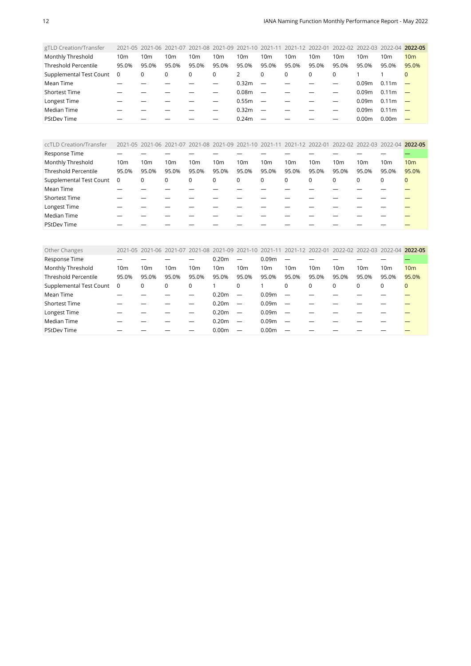| gTLD Creation/Transfer      |                 |                 |          |       |                 |                   |                          |                 |          |                 | 2021-05 2021-06 2021-07 2021-08 2021-09 2021-10 2021-11 2021-12 2022-01 2022-02 2022-03 2022-04 |                   | 2022-05         |
|-----------------------------|-----------------|-----------------|----------|-------|-----------------|-------------------|--------------------------|-----------------|----------|-----------------|-------------------------------------------------------------------------------------------------|-------------------|-----------------|
| Monthly Threshold           | 10 <sub>m</sub> | 10 <sub>m</sub> | 10m      | 10m   | 10 <sub>m</sub> | 10 <sub>m</sub>   | 10 <sub>m</sub>          | 10 <sub>m</sub> | 10m      | 10 <sub>m</sub> | 10 <sub>m</sub>                                                                                 | 10m               | 10 <sub>m</sub> |
| <b>Threshold Percentile</b> | 95.0%           | 95.0%           | 95.0%    | 95.0% | 95.0%           | 95.0%             | 95.0%                    | 95.0%           | 95.0%    | 95.0%           | 95.0%                                                                                           | 95.0%             | 95.0%           |
| Supplemental Test Count     | 0               | 0               | $\Omega$ | 0     | 0               | 2                 | 0                        | 0               | $\Omega$ | $\Omega$        |                                                                                                 |                   | $\Omega$        |
| Mean Time                   |                 |                 |          |       |                 | 0.32 <sub>m</sub> | $\overline{\phantom{a}}$ |                 |          |                 | 0.09m                                                                                           | 0.11 <sub>m</sub> |                 |
| <b>Shortest Time</b>        |                 |                 |          |       |                 | 0.08 <sub>m</sub> | $\overline{\phantom{0}}$ |                 |          |                 | 0.09m                                                                                           | 0.11 <sub>m</sub> |                 |
| Longest Time                |                 |                 |          |       |                 | 0.55m             | $\overline{\phantom{0}}$ |                 |          |                 | 0.09m                                                                                           | 0.11 <sub>m</sub> |                 |
| Median Time                 |                 |                 |          |       |                 | 0.32 <sub>m</sub> | $\overline{\phantom{0}}$ |                 |          |                 | 0.09m                                                                                           | 0.11 <sub>m</sub> |                 |
| <b>PStDev Time</b>          |                 |                 |          |       |                 | 0.24m             |                          |                 |          |                 | 0.00 <sub>m</sub>                                                                               | 0.00 <sub>m</sub> |                 |
|                             |                 |                 |          |       |                 |                   |                          |                 |          |                 |                                                                                                 |                   |                 |

<span id="page-11-0"></span>

| ccTLD Creation/Transfer     |                |                 |       |       | 2021-05 2021-06 2021-07 2021-08 2021-09 2021-10 2021-11 2021-12 2022-01 2022-02 2022-03 2022-04 2022-05 |       |                 |                 |                 |          |                 |       |                 |
|-----------------------------|----------------|-----------------|-------|-------|---------------------------------------------------------------------------------------------------------|-------|-----------------|-----------------|-----------------|----------|-----------------|-------|-----------------|
| Response Time               |                |                 |       |       |                                                                                                         |       |                 |                 |                 |          |                 |       |                 |
| Monthly Threshold           | 10m            | 10 <sub>m</sub> | 10m   | 10m   | 10 <sub>m</sub>                                                                                         | 10m   | 10 <sub>m</sub> | 10 <sub>m</sub> | 10 <sub>m</sub> | 10m      | 10 <sub>m</sub> | 10m   | 10 <sub>m</sub> |
| <b>Threshold Percentile</b> | 95.0%          | 95.0%           | 95.0% | 95.0% | 95.0%                                                                                                   | 95.0% | 95.0%           | 95.0%           | 95.0%           | 95.0%    | 95.0%           | 95.0% | 95.0%           |
| Supplemental Test Count     | $\overline{0}$ | 0               | 0     | 0     | $\mathbf 0$                                                                                             | 0     | 0               | 0               | 0               | $\Omega$ | 0               | 0     | $\mathbf{0}$    |
| Mean Time                   |                |                 |       |       |                                                                                                         |       |                 |                 |                 |          |                 |       |                 |
| <b>Shortest Time</b>        |                |                 |       |       |                                                                                                         |       |                 |                 |                 |          |                 |       |                 |
| Longest Time                |                |                 |       |       |                                                                                                         |       |                 |                 |                 |          |                 |       |                 |
| Median Time                 |                |                 |       |       |                                                                                                         |       |                 |                 |                 |          |                 |       |                 |
| <b>PStDev Time</b>          |                |                 |       |       |                                                                                                         |       |                 |                 |                 |          |                 |       |                 |

<span id="page-11-1"></span>

| Other Changes                             |       |                 |                 |                 | 2021-05 2021-06 2021-07 2021-08 2021-09 2021-10 2021-11 2021-12 2022-01 |                          |                   |                          |       |                 | 2022-02 2022-03 2022-04 2022-05 |                 |                 |
|-------------------------------------------|-------|-----------------|-----------------|-----------------|-------------------------------------------------------------------------|--------------------------|-------------------|--------------------------|-------|-----------------|---------------------------------|-----------------|-----------------|
| Response Time                             |       |                 |                 |                 | 0.20 <sub>m</sub>                                                       | $\overline{\phantom{0}}$ | 0.09 <sub>m</sub> | $\overline{\phantom{a}}$ |       |                 |                                 |                 |                 |
| Monthly Threshold                         | 10m   | 10 <sub>m</sub> | 10 <sub>m</sub> | 10 <sub>m</sub> | 10 <sub>m</sub>                                                         | 10 <sub>m</sub>          | 10 <sub>m</sub>   | 10 <sub>m</sub>          | 10m   | 10 <sub>m</sub> | 10m                             | 10 <sub>m</sub> | 10 <sub>m</sub> |
| <b>Threshold Percentile</b>               | 95.0% | 95.0%           | 95.0%           | 95.0%           | 95.0%                                                                   | 95.0%                    | 95.0%             | 95.0%                    | 95.0% | 95.0%           | 95.0%                           | 95.0%           | 95.0%           |
| Supplemental Test Count<br>$\overline{0}$ |       | 0               |                 | $\mathbf 0$     |                                                                         | 0                        |                   | $\Omega$                 | 0     | $\mathbf 0$     | 0                               | 0               | $\mathbf{0}$    |
| Mean Time                                 |       |                 |                 |                 | 0.20 <sub>m</sub>                                                       |                          | 0.09 <sub>m</sub> |                          |       |                 |                                 |                 |                 |
| <b>Shortest Time</b>                      |       |                 |                 |                 | 0.20 <sub>m</sub>                                                       | $\overline{\phantom{m}}$ | 0.09 <sub>m</sub> |                          |       |                 |                                 |                 |                 |
| Longest Time                              |       |                 |                 |                 | 0.20 <sub>m</sub>                                                       | $\overline{\phantom{m}}$ | 0.09 <sub>m</sub> | $\overline{\phantom{m}}$ |       |                 |                                 |                 |                 |
| Median Time                               |       |                 |                 |                 | 0.20 <sub>m</sub>                                                       | $\overline{\phantom{0}}$ | 0.09 <sub>m</sub> |                          |       |                 |                                 |                 |                 |
| <b>PStDev Time</b>                        |       |                 |                 |                 | 0.00 <sub>m</sub>                                                       | $\overline{\phantom{0}}$ | 0.00 <sub>m</sub> |                          |       |                 |                                 |                 |                 |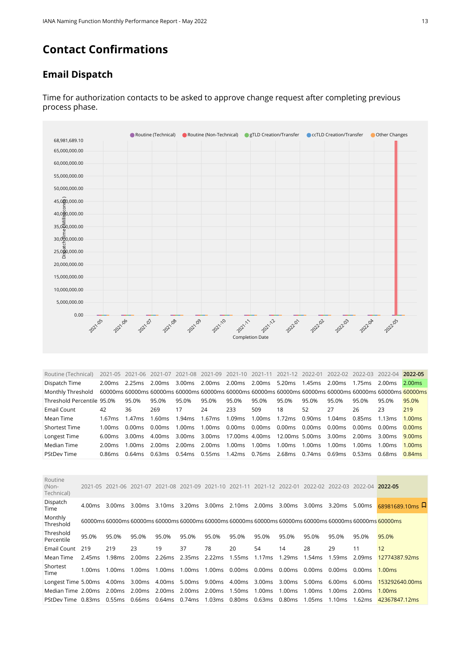# **Contact Confirmations**

#### **Email Dispatch**



Time for authorization contacts to be asked to approve change request after completing previous process phase.

<span id="page-12-0"></span>

| Routine (Technical)        |           |                  |                                                  |               |        |                        |               |                                                           |        |        |               | 2021-05 2021-06 2021-07 2021-08 2021-09 2021-10 2021-11 2021-12 2022-01 2022-02 2022-03 2022-04 2022-05 |                    |
|----------------------------|-----------|------------------|--------------------------------------------------|---------------|--------|------------------------|---------------|-----------------------------------------------------------|--------|--------|---------------|---------------------------------------------------------------------------------------------------------|--------------------|
| Dispatch Time              | 2.00ms    | 2.25ms 2.00ms    |                                                  |               |        |                        |               | 3.00ms 2.00ms 2.00ms 2.00ms 5.20ms 1.45ms 2.00ms          |        |        | 1.75ms        | 2.00ms                                                                                                  | 2.00ms             |
| Monthly Threshold          |           |                  |                                                  |               |        |                        |               |                                                           |        |        |               | 60000ms 60000ms 60000ms 60000ms 60000ms 60000ms 60000ms 60000ms 60000ms 60000ms 60000ms 60000ms 60000ms |                    |
| Threshold Percentile 95.0% |           | 95.0%            | 95.0%                                            | 95.0%         | 95.0%  | 95.0%                  | 95.0%         | 95.0%                                                     | 95.0%  | 95.0%  | 95.0%         | 95.0%                                                                                                   | 95.0%              |
| Email Count                | 42        | 36               | 269                                              | 17            | 24     | 233                    | 509           | 18                                                        | 52     | 27     | 26            | 23                                                                                                      | 219                |
| Mean Time                  | 1.67ms    | 1.47ms           | 1.60ms                                           | 1.94ms        | 1.67ms | 1.09ms                 | 1.00ms 1.72ms |                                                           | 0.90ms | 1.04ms | 0.85ms 1.13ms |                                                                                                         | 1.00 <sub>ms</sub> |
| <b>Shortest Time</b>       | 1.00 $ms$ | 0.00 ms          | 0.00ms                                           | 1.00ms        | 1.00ms | 0.00ms  0.00ms  0.00ms |               |                                                           | 0.00ms | 0.00ms | 0.00ms        | 0.00ms                                                                                                  | 0.00ms             |
| Longest Time               | 6.00ms    | 3.00ms           | 4.00ms                                           |               |        |                        |               | 3.00ms 3.00ms 17.00ms 4.00ms 12.00ms 5.00ms 3.00ms 2.00ms |        |        |               | 3.00ms                                                                                                  | 9.00 <sub>ms</sub> |
| Median Time                | 2.00ms    | $1.00 \text{ms}$ | 2.00ms                                           | 2.00ms 2.00ms |        | 1.00ms 1.00ms 1.00ms   |               |                                                           | 1.00ms | 1.00ms | 1.00ms        | 1.00ms                                                                                                  | 1.00 <sub>ms</sub> |
| <b>PStDev Time</b>         | 0.86ms    | 0.64ms           | 0.63ms 0.54ms 0.55ms 1.42ms 0.76ms 2.68ms 0.74ms |               |        |                        |               |                                                           |        | 0.69ms | 0.53ms        | 0.68ms                                                                                                  | $0.84$ ms          |

<span id="page-12-1"></span>

|        | 3.00ms                                                                                                          | 3.00 <sub>ms</sub> |        |       |                                                                             |                                |                                           |                                                                             |                                                     |                                      |                                | 68981689.10ms $\overline{M}$                                                                                                                                                                                                                                       |
|--------|-----------------------------------------------------------------------------------------------------------------|--------------------|--------|-------|-----------------------------------------------------------------------------|--------------------------------|-------------------------------------------|-----------------------------------------------------------------------------|-----------------------------------------------------|--------------------------------------|--------------------------------|--------------------------------------------------------------------------------------------------------------------------------------------------------------------------------------------------------------------------------------------------------------------|
|        |                                                                                                                 |                    |        |       |                                                                             |                                |                                           |                                                                             |                                                     |                                      |                                |                                                                                                                                                                                                                                                                    |
|        | 95.0%                                                                                                           | 95.0%              | 95.0%  | 95.0% | 95.0%                                                                       | 95.0%                          | 95.0%                                     | 95.0%                                                                       | 95.0%                                               | 95.0%                                | 95.0%                          | 95.0%                                                                                                                                                                                                                                                              |
|        | 219                                                                                                             | 23                 | 19     | 37    | 78                                                                          | 20                             | 54                                        | 14                                                                          | 28                                                  | 29                                   | 11                             | 12                                                                                                                                                                                                                                                                 |
|        | 1.98ms                                                                                                          | 2.00ms             |        |       |                                                                             |                                | 1.17ms                                    | 1.29ms                                                                      |                                                     | 1.59ms                               |                                | 12774387.92ms                                                                                                                                                                                                                                                      |
| 1.00ms | 1.00ms                                                                                                          | 1.00ms             | 1.00ms |       |                                                                             |                                |                                           |                                                                             |                                                     |                                      |                                | 1.00 <sub>ms</sub>                                                                                                                                                                                                                                                 |
|        |                                                                                                                 |                    |        |       |                                                                             |                                |                                           |                                                                             |                                                     |                                      |                                | 153292640.00ms                                                                                                                                                                                                                                                     |
|        |                                                                                                                 |                    |        |       |                                                                             |                                | 1.00ms                                    | 1.00ms                                                                      |                                                     | 1.00ms                               |                                | 1.00 <sub>ms</sub>                                                                                                                                                                                                                                                 |
|        |                                                                                                                 |                    |        |       |                                                                             |                                |                                           |                                                                             |                                                     | 1.10ms                               | 1.62ms                         | 42367847.12ms                                                                                                                                                                                                                                                      |
|        | 4.00ms<br>95.0%<br>219<br>2.45 <sub>ms</sub><br>Longest Time 5.00ms<br>Median Time 2.00ms<br>PStDev Time 0.83ms | 2.00ms<br>0.55ms   | 2.00ms |       | 2021-05 2021-06 2021-07 2021-08 2021-09<br>1.00ms<br>0.66ms  0.64ms  0.74ms | 2.26ms 2.35ms 2.22ms<br>1.03ms | 1.55ms<br>2.00 ms 2.00 ms 2.00 ms 1.50 ms | 3.10ms 3.20ms 3.00ms 2.10ms 2.00ms<br>1.00ms 0.00ms 0.00ms<br>0.80ms 0.63ms | 2021-10 2021-11 2021-12 2022-01<br>0.00ms<br>0.80ms | 1.54ms<br>0.00ms<br>1.00ms<br>1.05ms | 3.00ms 3.00ms 3.20ms<br>0.00ms | 2022-02 2022-03 2022-04 2022-05<br>5.00ms<br>60000ms 60000ms 60000ms 60000ms 60000ms 60000ms 60000ms 60000ms 60000ms 60000ms 60000ms 60000ms 60000ms<br>2.09ms<br>0.00ms<br>4.00ms 3.00ms 4.00ms 5.00ms 9.00ms 4.00ms 3.00ms 3.00ms 5.00ms 6.00ms 6.00ms<br>2.00ms |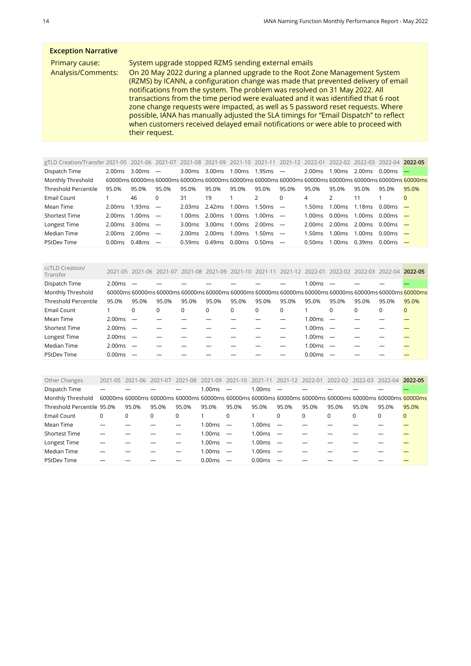#### **Exception Narrative** Primary cause: System upgrade stopped RZMS sending external emails Analysis/Comments: On 20 May 2022 during a planned upgrade to the Root Zone Management System (RZMS) by ICANN, a configuration change was made that prevented delivery of email notifications from the system. The problem was resolved on 31 May 2022. All transactions from the time period were evaluated and it was identified that 6 root zone change requests were impacted, as well as 5 password reset requests. Where possible, IANA has manually adjusted the SLA timings for "Email Dispatch" to reflect when customers received delayed email notifications or were able to proceed with their request.

<span id="page-13-0"></span>

| gTLD Creation/Transfer 2021-05 2021-06 2021-07 |                    |                    |                          |                    | 2021-08 2021-09 2021-10 2021-11 |                    |                  | 2021-12 2022-01          |           |                    | 2022-02 2022-03 2022-04 |        | 2022-05                                                                                                         |
|------------------------------------------------|--------------------|--------------------|--------------------------|--------------------|---------------------------------|--------------------|------------------|--------------------------|-----------|--------------------|-------------------------|--------|-----------------------------------------------------------------------------------------------------------------|
| Dispatch Time                                  | 2.00ms             | 3.00 <sub>ms</sub> | $\overline{\phantom{m}}$ | 3.00 <sub>ms</sub> | 3.00 <sub>ms</sub>              | 1.00ms             | 1.95ms           | $\overline{\phantom{a}}$ | 2.00ms    | 1.90ms             | 2.00ms                  | 0.00ms |                                                                                                                 |
| Monthly Threshold                              |                    |                    |                          |                    |                                 |                    |                  |                          |           |                    |                         |        | 60000ms 60000ms 60000ms 60000ms 60000ms 60000ms 60000ms 60000ms 60000ms 60000ms 60000ms 60000ms 60000ms 60000ms |
| <b>Threshold Percentile</b>                    | 95.0%              | 95.0%              | 95.0%                    | 95.0%              | 95.0%                           | 95.0%              | 95.0%            | 95.0%                    | 95.0%     | 95.0%              | 95.0%                   | 95.0%  | 95.0%                                                                                                           |
| Email Count                                    |                    | 46                 | 0                        | 31                 | 19                              |                    |                  | $\Omega$                 | 4         |                    |                         |        | $\Omega$                                                                                                        |
| Mean Time                                      | 2.00ms             | 1.93ms             | $\overline{\phantom{m}}$ | 2.03ms             | 2.42ms                          | 1.00ms             | 1.50ms           | $\overline{\phantom{a}}$ | 1.50ms    | 1.00ms             | 1.18ms                  | 0.00ms |                                                                                                                 |
| <b>Shortest Time</b>                           | 2.00ms             | 1.00ms             | $\overline{\phantom{m}}$ | 1.00 $ms$          | 2.00ms                          | 1.00ms             | $1.00 \text{ms}$ |                          | 1.00 $ms$ | 0.00ms             | $1.00 \text{ms}$        | 0.00ms |                                                                                                                 |
| Longest Time                                   | 2.00ms             | 3.00 <sub>ms</sub> | $\overline{\phantom{0}}$ | 3.00 ms            | 3.00ms                          | 1.00ms             | 2.00ms           | $\overline{\phantom{a}}$ | 2.00ms    | 2.00 ms 2.00 ms    |                         | 0.00ms |                                                                                                                 |
| Median Time                                    | 2.00ms             | 2.00ms             |                          | 2.00 ms            | 2.00ms                          | 1.00 <sub>ms</sub> | 1.50ms           |                          | 1.50ms    | 1.00 <sub>ms</sub> | 1.00ms                  | 0.00ms |                                                                                                                 |
| <b>PStDev Time</b>                             | 0.00 <sub>ms</sub> | 0.48ms             | $\overline{\phantom{m}}$ | 0.59ms             | <u>በ 49ms</u>                   | 0.00ms             | 0.50ms           | $\overline{\phantom{m}}$ | 0.50ms    | 1.00ms             | 0.39ms                  | 0.00ms |                                                                                                                 |

<span id="page-13-1"></span>

| ccTLD Creation/<br>Transfer |        | 2021-05 2021-06 2021-07  |       | 2021-08 | 2021-09  | 2021-10 2021-11 |       | 2021-12 2022-01 |        | 2022-02  | 2022-03 2022-04 |          | 2022-05                                                                                                 |
|-----------------------------|--------|--------------------------|-------|---------|----------|-----------------|-------|-----------------|--------|----------|-----------------|----------|---------------------------------------------------------------------------------------------------------|
| Dispatch Time               | 2.00ms |                          |       |         |          |                 |       |                 | 1.00ms |          |                 |          |                                                                                                         |
| Monthly Threshold           |        |                          |       |         |          |                 |       |                 |        |          |                 |          | 60000ms 60000ms 60000ms 60000ms 60000ms 60000ms 60000ms 60000ms 60000ms 60000ms 60000ms 60000ms 60000ms |
| <b>Threshold Percentile</b> | 95.0%  | 95.0%                    | 95.0% | 95.0%   | 95.0%    | 95.0%           | 95.0% | 95.0%           | 95.0%  | 95.0%    | 95.0%           | 95.0%    | 95.0%                                                                                                   |
| Email Count                 |        | 0                        | 0     | 0       | $\Omega$ | 0               | 0     | 0               |        | $\Omega$ | $\Omega$        | $\Omega$ |                                                                                                         |
| Mean Time                   | 2.00ms |                          |       |         |          |                 |       |                 | 1.00ms |          |                 |          |                                                                                                         |
| <b>Shortest Time</b>        | 2.00ms |                          |       |         |          |                 |       |                 | 1.00ms |          |                 |          |                                                                                                         |
| Longest Time                | 2.00ms | $\overline{\phantom{a}}$ |       |         |          |                 |       |                 | 1.00ms |          |                 |          |                                                                                                         |
| Median Time                 | 2.00ms | $\overline{\phantom{m}}$ |       |         |          |                 |       |                 | 1.00ms |          |                 |          |                                                                                                         |
| <b>PStDev Time</b>          | 0.00ms |                          |       |         |          |                 |       |                 | 0.00ms |          |                 |          |                                                                                                         |

<span id="page-13-2"></span>

| Other Changes              | 2021-05 | 2021-06                                                                                                 | 2021-07  | 2021-08  | 2021-09      | $2021 - 10$              | 2021-11 | 2021-12 2022-01 |          | 2022-02 2022-03 |       | 2022-04 | 2022-05  |
|----------------------------|---------|---------------------------------------------------------------------------------------------------------|----------|----------|--------------|--------------------------|---------|-----------------|----------|-----------------|-------|---------|----------|
| Dispatch Time              |         |                                                                                                         |          |          | 1.00ms       |                          | 1.00ms  |                 |          |                 |       |         |          |
| Monthly Threshold          |         | 60000ms 60000ms 60000ms 60000ms 60000ms 60000ms 60000ms 60000ms 60000ms 60000ms 60000ms 60000ms 60000ms |          |          |              |                          |         |                 |          |                 |       |         |          |
| Threshold Percentile 95.0% |         | 95.0%                                                                                                   | 95.0%    | 95.0%    | 95.0%        | 95.0%                    | 95.0%   | 95.0%           | 95.0%    | 95.0%           | 95.0% | 95.0%   | 95.0%    |
| Email Count                | 0       | 0                                                                                                       | $\Omega$ | $\Omega$ |              | $\Omega$                 |         | $\Omega$        | $\Omega$ | $\Omega$        |       |         | $\Omega$ |
| Mean Time                  |         |                                                                                                         |          |          | 1.00ms       | $\overline{\phantom{m}}$ | 1.00ms  |                 |          |                 |       |         |          |
| <b>Shortest Time</b>       |         |                                                                                                         |          |          | 1.00ms       |                          | 1.00ms  |                 |          |                 |       |         |          |
| Longest Time               |         |                                                                                                         |          |          | $1.00ms$ $-$ |                          | 1.00ms  |                 |          |                 |       |         |          |
| Median Time                |         |                                                                                                         |          |          | $1.00ms$ -   |                          | 1.00ms  |                 |          |                 |       |         |          |
| <b>PStDev Time</b>         |         |                                                                                                         |          |          | 0.00ms       |                          | 0.00ms  |                 |          |                 |       |         |          |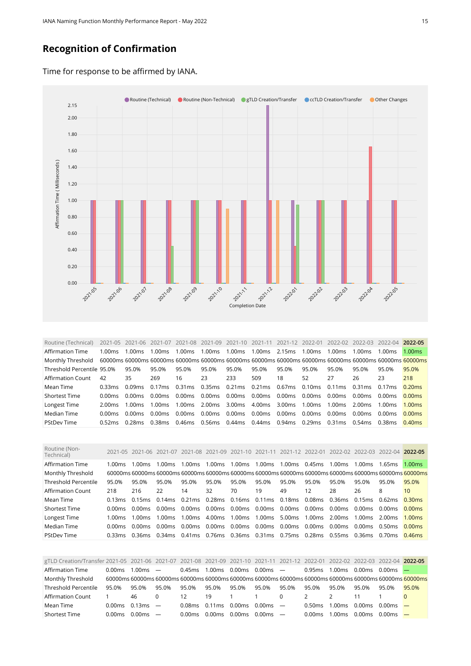#### **Recognition of Confirmation**

Time for response to be affirmed by IANA.



<span id="page-14-0"></span>Routine (Technical) 2021-05 2021-06 2021-07 2021-08 2021-09 2021-10 2021-11 2021-12 2022-01 2022-02 2022-03 2022-04 **2022-05** Affirmation Time 1.00ms 1.00ms 1.00ms 1.00ms 1.00ms 1.00ms 1.00ms 2.15ms 1.00ms 1.00ms 1.00ms 1.00ms 1.00ms Monthly Threshold 60000ms 60000ms 60000ms 60000ms 60000ms 60000ms 60000ms 60000ms 60000ms 60000ms 60000ms 60000ms 60000ms Threshold Percentile 95.0% 95.0% 95.0% 95.0% 95.0% 95.0% 95.0% 95.0% 95.0% 95.0% 95.0% 95.0% 95.0% Affirmation Count 42 35 269 16 23 233 509 18 52 27 26 23 218 Mean Time 0.33ms 0.09ms 0.17ms 0.31ms 0.35ms 0.21ms 0.21ms 0.67ms 0.10ms 0.11ms 0.31ms 0.17ms 0.20ms Shortest Time 0.00ms 0.00ms 0.00ms 0.00ms 0.00ms 0.00ms 0.00ms 0.00ms 0.00ms 0.00ms 0.00ms 0.00ms 0.00ms Longest Time 2.00ms 1.00ms 1.00ms 1.00ms 2.00ms 3.00ms 4.00ms 3.00ms 1.00ms 1.00ms 2.00ms 1.00ms 1.00ms Median Time 0.00ms 0.00ms 0.00ms 0.00ms 0.00ms 0.00ms 0.00ms 0.00ms 0.00ms 0.00ms 0.00ms 0.00ms 0.00ms PStDev Time 0.52ms 0.28ms 0.38ms 0.46ms 0.56ms 0.44ms 0.44ms 0.94ms 0.29ms 0.31ms 0.54ms 0.38ms 0.40ms

<span id="page-14-1"></span>

| Routine (Non-<br>Technical) |         | 2021-05 2021-06 2021-07 |                                                                                                          |        |               |                                 |        | 2021-08 2021-09 2021-10 2021-11 2021-12 2022-01                |       | 2022-02          | 2022-03 2022-04 2022-05           |       |                 |
|-----------------------------|---------|-------------------------|----------------------------------------------------------------------------------------------------------|--------|---------------|---------------------------------|--------|----------------------------------------------------------------|-------|------------------|-----------------------------------|-------|-----------------|
| Affirmation Time            | 1.00ms  | 1.00ms                  | 1.00ms                                                                                                   | 1.00ms | 1.00ms 1.00ms |                                 | 1.00ms | $1.00 \text{ms}$ 0.45ms                                        |       | $1.00 \text{ms}$ | $1.00 \text{ms}$ $1.65 \text{ms}$ |       | 1.00ms          |
| Monthly Threshold           |         |                         | .60000ms 60000ms 60000ms 60000ms 60000ms 60000ms 60000ms 60000ms 60000ms 60000ms 60000ms 60000ms 60000ms |        |               |                                 |        |                                                                |       |                  |                                   |       |                 |
| Threshold Percentile        | 95.0%   | 95.0%                   | 95.0%                                                                                                    | 95.0%  | 95.0%         | 95.0%                           | 95.0%  | 95.0%                                                          | 95.0% | 95.0%            | 95.0%                             | 95.0% | 95.0%           |
| <b>Affirmation Count</b>    | 218     | 216                     | 22                                                                                                       | 14     | 32            | 70                              | 19     | 49                                                             | 12    | 28               | 26                                | 8     | 10 <sup>°</sup> |
| Mean Time                   | 0.13ms  |                         | 0.15ms 0.14ms 0.21ms 0.28ms 0.16ms 0.11ms 0.18ms 0.08ms 0.36ms 0.15ms 0.62ms                             |        |               |                                 |        |                                                                |       |                  |                                   |       | 0.30ms          |
| <b>Shortest Time</b>        | 0.00 ms | 0.00 ms                 | 0.00ms                                                                                                   |        |               |                                 |        | 0.00ms 0.00ms 0.00ms 0.00ms 0.00ms 0.00ms 0.00ms 0.00ms 0.00ms |       |                  |                                   |       | 0.00ms          |
| Longest Time                | 1.00ms  | 1.00ms                  | $1.00 \text{ms}$                                                                                         | 1.00ms |               | 4.00 ms 1.00 ms 1.00 ms         |        | 5.00ms                                                         |       |                  | 1.00 ms 2.00 ms 1.00 ms 2.00 ms   |       | 1.00ms          |
| Median Time                 | 0.00ms  | 0.00ms                  | 0.00ms                                                                                                   |        |               | 0.00 ms 0.00 ms 0.00 ms 0.00 ms |        | 0.00ms 0.00ms 0.00ms 0.00ms 0.50ms                             |       |                  |                                   |       | 0.00ms          |
| <b>PStDev Time</b>          | 0.33ms  |                         | 0.36ms 0.34ms 0.41ms 0.76ms 0.36ms 0.31ms 0.75ms 0.28ms 0.55ms 0.36ms 0.70ms 0.46ms                      |        |               |                                 |        |                                                                |       |                  |                                   |       |                 |

<span id="page-14-2"></span>

| gTLD Creation/Transfer 2021-05 2021-06 2021-07 2021-08 2021-09 2021-10 2021-11 2021-12 2022-01 2022-02 2022-03 2022-04 2022-05 |        |                  |          |                   |        |        |            |          |         |                                   |        |            |                                                                                                                |
|--------------------------------------------------------------------------------------------------------------------------------|--------|------------------|----------|-------------------|--------|--------|------------|----------|---------|-----------------------------------|--------|------------|----------------------------------------------------------------------------------------------------------------|
| <b>Affirmation Time</b>                                                                                                        | 0.00ms | $1.00ms$ —       |          | $0.45ms$ 1.00ms   |        | 0.00ms | $0.00ms$ — |          | 0.95ms  | 1.00ms                            | 0.00ms | $0.00ms$ — |                                                                                                                |
| Monthly Threshold                                                                                                              |        |                  |          |                   |        |        |            |          |         |                                   |        |            | 60000ms 60000ms 60000ms 60000ms 60000ms 60000ms 60000ms 60000ms 60000ms 60000ms 60000ms 60000ms 60000ms 60000m |
| Threshold Percentile                                                                                                           | 95.0%  | 95.0%            | 95.0%    | 95.0%             | 95.0%  | 95.0%  | 95.0%      | 95.0%    | 95.0%   | 95.0%                             | 95.0%  | 95.0%      | 95.0%                                                                                                          |
| Affirmation Count                                                                                                              |        | 46               | $\Omega$ | 12                | 19     |        |            | $\Omega$ |         | $\mathcal{P}$                     | 11     |            |                                                                                                                |
| Mean Time                                                                                                                      | 0.00ms | $0.13ms$ —       |          | $0.08ms$ $0.11ms$ |        | 0.00ms | $0.00ms$ — |          | 0.50 ms | $1.00 \text{ms}$ $0.00 \text{ms}$ |        | $0.00ms$ — |                                                                                                                |
| <b>Shortest Time</b>                                                                                                           | 0.00ms | $0.00 \text{ms}$ |          | 0.00ms            | 0.00ms | 0.00ms | 0.00ms     |          | 0.00ms  | $1.00 \text{ms}$                  | 0.00ms | $0.00ms$ — |                                                                                                                |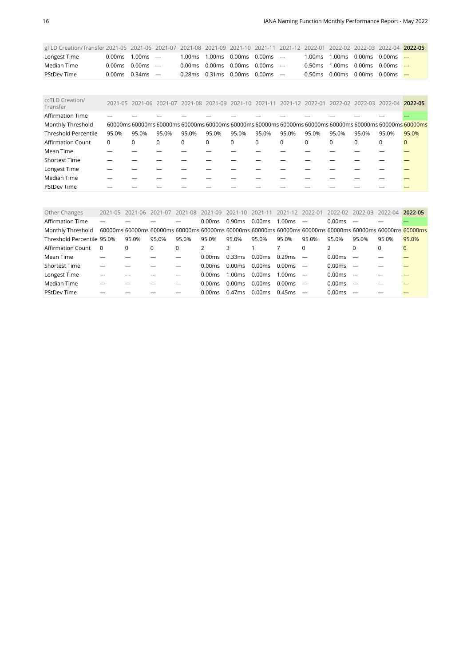| gTLD Creation/Transfer 2021-05 2021-06 2021-07 2021-08 2021-09 2021-10 2021-11 2021-12 2022-01 2022-02 2022-03 2022-04 2022-05 |                              |                                                 |                                                                             |  |  |                                           |  |  |
|--------------------------------------------------------------------------------------------------------------------------------|------------------------------|-------------------------------------------------|-----------------------------------------------------------------------------|--|--|-------------------------------------------|--|--|
| Longest Time                                                                                                                   | $0.00 \text{ms}$ 1.00 ms $-$ |                                                 | $1.00\,\text{ms}$ $1.00\,\text{ms}$ $0.00\,\text{ms}$ $0.00\,\text{ms}$ $-$ |  |  | 1.00ms 1.00ms 0.00ms 0.00ms $-$           |  |  |
| Median Time                                                                                                                    | $0.00 \text{ms}$ 0.00ms $-$  | 0.00ms 0.00ms 0.00ms 0.00ms $-$                 |                                                                             |  |  | 0.50 ms $1.00$ ms $0.00$ ms $0.00$ ms $-$ |  |  |
| <b>PStDev Time</b>                                                                                                             | $0.00 \text{ms}$ 0.34ms $-$  | $0.28\,\mathrm{ms}$ 0.31 ms 0.00 ms 0.00 ms $-$ |                                                                             |  |  | 0.50ms 0.00ms 0.00ms 0.00ms $-$           |  |  |

<span id="page-15-0"></span>

| ccTLD Creation/<br>Transfer |          | 2021-05 2021-06 2021-07 2021-08 2021-09 2021-10 2021-11 2021-12 2022-01 |          |          |          |          |          |          |          |       | 2022-02 2022-03 2022-04 |          | 2022-05                                                                                                 |
|-----------------------------|----------|-------------------------------------------------------------------------|----------|----------|----------|----------|----------|----------|----------|-------|-------------------------|----------|---------------------------------------------------------------------------------------------------------|
| <b>Affirmation Time</b>     |          |                                                                         |          |          |          |          |          |          |          |       |                         |          |                                                                                                         |
| Monthly Threshold           |          |                                                                         |          |          |          |          |          |          |          |       |                         |          | 60000ms 60000ms 60000ms 60000ms 60000ms 60000ms 60000ms 60000ms 60000ms 60000ms 60000ms 60000ms 60000ms |
| <b>Threshold Percentile</b> | 95.0%    | 95.0%                                                                   | 95.0%    | 95.0%    | 95.0%    | 95.0%    | 95.0%    | 95.0%    | 95.0%    | 95.0% | 95.0%                   | 95.0%    | 95.0%                                                                                                   |
| <b>Affirmation Count</b>    | $\Omega$ | $\Omega$                                                                | $\Omega$ | $\Omega$ | $\Omega$ | $\Omega$ | $\Omega$ | $\Omega$ | $\Omega$ |       | $\Omega$                | $\Omega$ | $\Omega$                                                                                                |
| Mean Time                   |          |                                                                         |          |          |          |          |          |          |          |       |                         |          |                                                                                                         |
| <b>Shortest Time</b>        |          |                                                                         |          |          |          |          |          |          |          |       |                         |          |                                                                                                         |
| Longest Time                |          |                                                                         |          |          |          |          |          |          |          |       |                         |          |                                                                                                         |
| Median Time                 |          |                                                                         |          |          |          |          |          |          |          |       |                         |          |                                                                                                         |
| <b>PStDev Time</b>          |          |                                                                         |          |          |          |          |          |          |          |       |                         |          |                                                                                                         |

<span id="page-15-1"></span>

| Other Changes              | 2021-05                                                                                                 | 2021-06 | $2021 - 07$ | 2021-08  | 2021-09            | $2021 - 10$        | 2021-11 2021-12    |        | 2022-01                  | 2022-02 | 2022-03                  | 2022-04 | 2022-05      |
|----------------------------|---------------------------------------------------------------------------------------------------------|---------|-------------|----------|--------------------|--------------------|--------------------|--------|--------------------------|---------|--------------------------|---------|--------------|
| Affirmation Time           |                                                                                                         |         |             |          | 0.00ms             | 0.90 <sub>ms</sub> | 0.00 <sub>ms</sub> | 1.00ms |                          | 0.00ms  |                          |         |              |
| Monthly Threshold          | 60000ms 60000ms 60000ms 60000ms 60000ms 60000ms 60000ms 60000ms 60000ms 60000ms 60000ms 60000ms 60000ms |         |             |          |                    |                    |                    |        |                          |         |                          |         |              |
| Threshold Percentile 95.0% |                                                                                                         | 95.0%   | 95.0%       | 95.0%    | 95.0%              | 95.0%              | 95.0%              | 95.0%  | 95.0%                    | 95.0%   | 95.0%                    | 95.0%   | 95.0%        |
| Affirmation Count          | $\Omega$                                                                                                | 0       | 0           | $\Omega$ |                    | 3                  |                    |        | $\Omega$                 |         | $\Omega$                 | 0       | $\mathbf{0}$ |
| Mean Time                  |                                                                                                         |         |             |          | 0.00ms             | 0.33ms             | 0.00ms             | 0.29ms |                          | 0.00ms  |                          |         |              |
| <b>Shortest Time</b>       |                                                                                                         |         |             |          | 0.00ms             | 0.00ms             | 0.00ms             | 0.00ms | $\overline{\phantom{a}}$ | 0.00ms  | $\overline{\phantom{m}}$ |         |              |
| Longest Time               |                                                                                                         |         |             |          | 0.00 <sub>ms</sub> | 1.00ms             | 0.00ms             | 1.00ms |                          | 0.00ms  | $\overline{\phantom{0}}$ |         |              |
| Median Time                |                                                                                                         |         |             |          | 0.00 <sub>ms</sub> | 0.00ms             | 0.00ms             | 0.00ms |                          | 0.00ms  |                          |         |              |
| <b>PStDev Time</b>         |                                                                                                         |         |             |          | 0.00 <sub>ms</sub> | 0.47ms             | 0.00ms             | 0.45ms |                          | 0.00ms  |                          |         |              |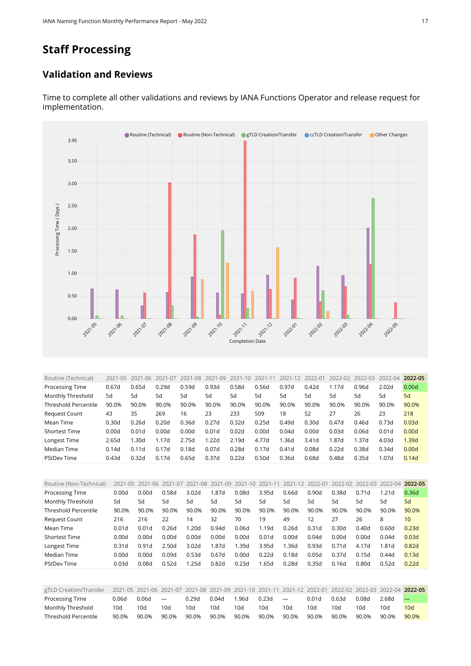# **Staff Processing**

#### **Validation and Reviews**



Time to complete all other validations and reviews by IANA Functions Operator and release request for implementation.

<span id="page-16-0"></span>

| Routine (Technical)    | 2021-05 | 2021-06 | $2021 - 07$ | 2021-08 | 2021-09           | $2021 - 10$ | $2021 - 1$ | 2021-12 | 2022-01 | 2022-02 | 2022-03 | 2022-04 | 2022-05 |
|------------------------|---------|---------|-------------|---------|-------------------|-------------|------------|---------|---------|---------|---------|---------|---------|
| <b>Processing Time</b> | 0.67d   | 0.65d   | 0.29d       | 0.59d   | 0.93d             | 0.58d       | 0.56d      | 0.97d   | 0.42d   | 1.17d   | 0.96d   | 2.02d   | 0.00d   |
| Monthly Threshold      | 5d      | 5d      | 5d          | 5d      | 5d                | 5d          | 5d         | 5d      | 5d      | 5d      | 5d      | 5d      | 5d      |
| Threshold Percentile   | 90.0%   | 90.0%   | 90.0%       | 90.0%   | 90.0%             | 90.0%       | 90.0%      | 90.0%   | 90.0%   | 90.0%   | 90.0%   | 90.0%   | 90.0%   |
| Request Count          | 43      | 35      | 269         | 16      | 23                | 233         | 509        | 18      | 52      | 27      | 26      | 23      | 218     |
| Mean Time              | 0.30d   | 0.26d   | 0.20d       | 0.36d   | 0.27d             | 0.32d       | 0.25d      | 0.49d   | 0.30d   | 0.47d   | 0.46d   | 0.73d   | 0.03d   |
| <b>Shortest Time</b>   | 0.00d   | 0.01d   | 0.00d       | 0.00d   | 0.01 <sub>d</sub> | 0.02d       | 0.00d      | 0.04d   | 0.00d   | 0.03d   | 0.06d   | 0.01d   | 0.00d   |
| Longest Time           | 2.65d   | .30d    | 1.17d       | 2.75d   | 1.22d             | 2.19d       | 4.77d      | .36d    | 3.41d   | 1.87d   | 1.37d   | 4.03d   | 1.39d   |
| Median Time            | 0.14d   | 0.11d   | 7d<br>0.1   | 0.18d   | 0.07d             | 0.28d       | 0.17d      | 0.41d   | 0.08d   | 0.22d   | 0.38d   | 0.34d   | 0.00d   |
| <b>PStDev Time</b>     | 0.43d   | 0.32d   | 7d<br>0.1   | 0.65d   | 0.37d             | 0.22d       | 0.50d      | 0.36d   | 0.68d   | 0.48d   | 0.35d   | 1.07d   | 0.14d   |

<span id="page-16-1"></span>

| Routine (Non-Technical)     | 2021-05 | 2021-06 | 2021-07 | 2021-08           | 2021-09 | 2021-10 | 2021-11 | 2021-12 | 2022-01           | 2022-02 | 2022-03           | 2022-04 | 2022-05 |
|-----------------------------|---------|---------|---------|-------------------|---------|---------|---------|---------|-------------------|---------|-------------------|---------|---------|
| Processing Time             | 0.00d   | 0.00d   | 0.58d   | 3.02 <sub>d</sub> | 1.87d   | 0.08d   | 3.95d   | 0.66d   | 0.90d             | 0.38d   | 0.71d             | 1.21d   | 0.36d   |
| Monthly Threshold           | 5d      | 5d      | 5d      | 5d                | 5d      | 5d      | 5d      | 5d      | 5d                | 5d      | 5d                | 5d      | 5d      |
| <b>Threshold Percentile</b> | 90.0%   | 90.0%   | 90.0%   | 90.0%             | 90.0%   | 90.0%   | 90.0%   | 90.0%   | 90.0%             | 90.0%   | 90.0%             | 90.0%   | 90.0%   |
| <b>Request Count</b>        | 216     | 216     | 22      | 14                | 32      | 70      | 19      | 49      | 12                | 27      | 26                | 8       | 10      |
| Mean Time                   | 0.01d   | 0.01d   | 0.26d   | 1.20d             | 0.94d   | 0.06d   | 1.19d   | 0.26d   | 0.31 <sub>d</sub> | 0.30d   | 0.40 <sub>d</sub> | 0.60d   | 0.23d   |
| <b>Shortest Time</b>        | 0.00d   | 0.00d   | 0.00d   | 0.00d             | 0.00d   | 0.00d   | 0.01d   | 0.00d   | 0.04d             | 0.00d   | 0.00d             | 0.04d   | 0.03d   |
| Longest Time                | 0.31d   | 0.91d   | 2.50d   | 3.02d             | 1.87d   | l.39d   | 3.95d   | 1.36d   | 0.93d             | 0.71d   | 4.17d             | 1.81d   | 0.82d   |
| Median Time                 | 0.00d   | 0.00d   | 0.09d   | 0.53d             | 0.67d   | 0.00d   | 0.22d   | 0.18d   | 0.05d             | 0.37d   | 0.15d             | 0.44d   | 0.13d   |
| <b>PStDev Time</b>          | 0.03d   | 0.08d   | 0.52d   | 1.25d             | 0.82d   | 0.23d   | .65d    | 0.28d   | 0.35d             | 0.16d   | 0.80d             | 0.52d   | 0.22d   |
|                             |         |         |         |                   |         |         |         |         |                   |         |                   |         |         |

<span id="page-16-2"></span>

| gTLD Creation/Transfer | 2021-05 2021-06 2021-07 2021-08 2021-09 2021-10 2021-11 2021-12 2022-01 2022-02 2022-03 2022-04 2022-05 |       |                          |       |       |       |       |        |       |       |       |       |       |
|------------------------|---------------------------------------------------------------------------------------------------------|-------|--------------------------|-------|-------|-------|-------|--------|-------|-------|-------|-------|-------|
| Processing Time        | 0.06d                                                                                                   | 0.06d | $\overline{\phantom{a}}$ | 0.29d | 0.04d | 1.96d | 0.23d | $\sim$ | 0.01d | 0.63d | 0.08d | 2.68d |       |
| Monthly Threshold      | 10d                                                                                                     | 10d   | 10d                      | 10d   | 10d   | 10d   | 10d   | 10d    | 10d   | 10d   | 10d   | 10d   | 10d   |
| Threshold Percentile   | 90.0%                                                                                                   | 90.0% | 90.0%                    | 90.0% | 90.0% | 90.0% | 90.0% | 90.0%  | 90.0% | 90.0% | 90.0% | 90.0% | 90.0% |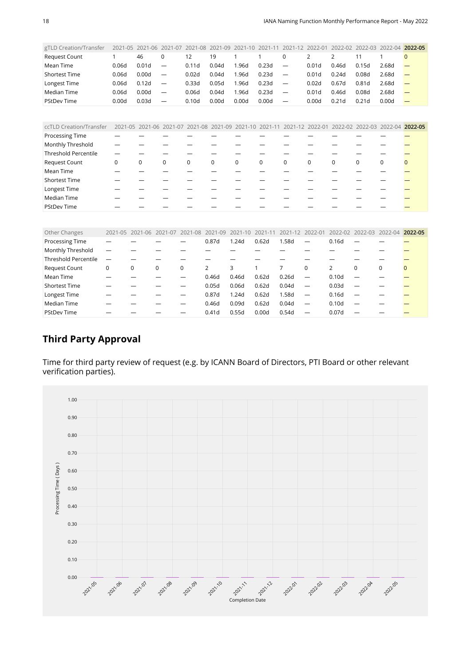<span id="page-17-0"></span>

| gTLD Creation/Transfer          | 2021-05                                                                                               | 2021-06                                                 | 2021-07                  | 2021-08 | 2021-09     | $2021 - 10$ | 2021-11 | $2021 - 12$ | 2022-01           | 2022-02           | 2022-03           | 2022-04 2022-05                                 |              |
|---------------------------------|-------------------------------------------------------------------------------------------------------|---------------------------------------------------------|--------------------------|---------|-------------|-------------|---------|-------------|-------------------|-------------------|-------------------|-------------------------------------------------|--------------|
| <b>Request Count</b>            | 1                                                                                                     | 46                                                      | 0                        | 12      | 19          |             |         | 0           | 2                 | $\overline{2}$    | 11                |                                                 | $\Omega$     |
| Mean Time                       | 0.06d                                                                                                 | 0.01 <sub>d</sub>                                       | $\overline{\phantom{0}}$ | 0.11d   | 0.04d       | 1.96d       | 0.23d   | —           | 0.01d             | 0.46d             | 0.15d             | 2.68d                                           |              |
| <b>Shortest Time</b>            | 0.06d                                                                                                 | 0.00d                                                   | $\overline{\phantom{0}}$ | 0.02d   | 0.04d       | 1.96d       | 0.23d   | —           | 0.01 <sub>d</sub> | 0.24d             | 0.08d             | 2.68d                                           |              |
| Longest Time                    | 0.06d                                                                                                 | 0.12d                                                   | $\overline{\phantom{0}}$ | 0.33d   | 0.05d       | 1.96d       | 0.23d   | —           | 0.02d             | 0.67d             | 0.81 <sub>d</sub> | 2.68d                                           |              |
| Median Time                     | 0.06d                                                                                                 | 0.00d                                                   |                          | 0.06d   | 0.04d       | 1.96d       | 0.23d   | —           | 0.01 <sub>d</sub> | 0.46d             | 0.08d             | 2.68d                                           |              |
| <b>PStDev Time</b>              | 0.00d                                                                                                 | 0.03d                                                   |                          | 0.10d   | 0.00d       | 0.00d       | 0.00d   |             | 0.00d             | 0.21 <sub>d</sub> | 0.21d             | 0.00d                                           |              |
|                                 |                                                                                                       |                                                         |                          |         |             |             |         |             |                   |                   |                   |                                                 |              |
| ccTLD Creation/Transfer         |                                                                                                       | 2021-05 2021-06 2021-07 2021-08 2021-09 2021-10 2021-11 |                          |         |             |             |         |             |                   |                   |                   | 2021-12 2022-01 2022-02 2022-03 2022-04 2022-05 |              |
| Processing Time                 |                                                                                                       |                                                         |                          |         |             |             |         |             |                   |                   |                   |                                                 |              |
| Monthly Threshold               |                                                                                                       |                                                         |                          |         |             |             |         |             |                   |                   |                   |                                                 |              |
| <b>Threshold Percentile</b>     |                                                                                                       |                                                         |                          |         |             |             |         |             |                   |                   |                   |                                                 |              |
| <b>Request Count</b>            | 0                                                                                                     | $\mathbf 0$                                             | $\mathbf 0$              | 0       | $\mathbf 0$ | $\mathbf 0$ | 0       | $\mathbf 0$ | $\mathbf 0$       | $\mathbf 0$       | 0                 | 0                                               | $\mathbf{0}$ |
| Mean Time                       |                                                                                                       |                                                         |                          |         |             |             |         |             |                   |                   |                   |                                                 |              |
| <b>Shortest Time</b>            |                                                                                                       |                                                         |                          |         |             |             |         |             |                   |                   |                   |                                                 |              |
| Longest Time                    |                                                                                                       |                                                         |                          |         |             |             |         |             |                   |                   |                   |                                                 |              |
| Median Time                     |                                                                                                       |                                                         |                          |         |             |             |         |             |                   |                   |                   |                                                 |              |
| <b>PStDev Time</b>              |                                                                                                       |                                                         |                          |         |             |             |         |             |                   |                   |                   |                                                 |              |
|                                 |                                                                                                       |                                                         |                          |         |             |             |         |             |                   |                   |                   |                                                 |              |
| the contract of the contract of | anal am 'anal an 'anal am 'anal an 'anal an 'anal an 'anal la' 'anal al 'anal an 'anal an 'anal an 'a |                                                         |                          |         |             |             |         |             |                   |                   |                   |                                                 |              |

<span id="page-17-1"></span>

| Other Changes               |   | 2021-05 2021-06 2021-07 |   | 2021-08  | 2021-09 | 2021-10 | 2021-11 | 2021-12 | 2022-01                  | $2022 - 02$       |          | 2022-03 2022-04 2022-05 |          |
|-----------------------------|---|-------------------------|---|----------|---------|---------|---------|---------|--------------------------|-------------------|----------|-------------------------|----------|
| Processing Time             |   |                         |   |          | 0.87d   | 1.24d   | 0.62d   | 1.58d   |                          | 0.16d             |          |                         |          |
| Monthly Threshold           |   |                         |   |          |         |         |         |         |                          |                   |          |                         |          |
| <b>Threshold Percentile</b> |   |                         |   |          |         |         |         |         |                          |                   |          |                         |          |
| <b>Request Count</b>        | 0 | 0                       | 0 | $\Omega$ |         | 3       |         |         | $\Omega$                 | 2                 | $\Omega$ | 0                       | $\Omega$ |
| Mean Time                   |   |                         |   |          | 0.46d   | 0.46d   | 0.62d   | 0.26d   | $\overline{\phantom{0}}$ | 0.10 <sub>d</sub> |          |                         |          |
| <b>Shortest Time</b>        |   |                         |   |          | 0.05d   | 0.06d   | 0.62d   | 0.04d   | $\overline{\phantom{0}}$ | 0.03d             |          |                         |          |
| Longest Time                |   |                         |   |          | 0.87d   | 1.24d   | 0.62d   | 1.58d   |                          | 0.16d             |          |                         |          |
| Median Time                 |   |                         |   |          | 0.46d   | 0.09d   | 0.62d   | 0.04d   | $\overline{\phantom{0}}$ | 0.10d             |          |                         |          |
| <b>PStDev Time</b>          |   |                         |   |          | 0.41d   | 0.55d   | 0.00d   | 0.54d   | $\overline{\phantom{0}}$ | 0.07d             |          |                         |          |

#### **Third Party Approval**

Time for third party review of request (e.g. by ICANN Board of Directors, PTI Board or other relevant verification parties).

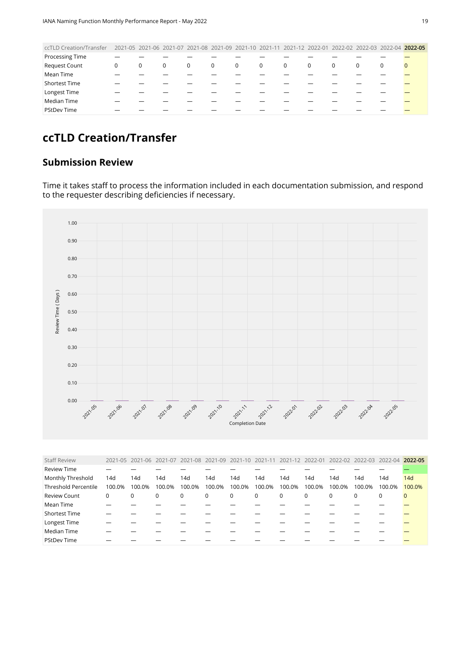<span id="page-18-0"></span>

| ccTLD Creation/Transfer | 2021-05 2021-06 2021-07 2021-08 2021-09 2021-10 2021-11 2021-12 2022-01 2022-02 2022-03 2022-04 2022-05 |   |   |             |             |                |   |                |             |   |          |   |                |
|-------------------------|---------------------------------------------------------------------------------------------------------|---|---|-------------|-------------|----------------|---|----------------|-------------|---|----------|---|----------------|
| <b>Processing Time</b>  |                                                                                                         |   |   |             |             |                |   |                |             |   |          |   |                |
| Request Count           | 0                                                                                                       | 0 | 0 | $\mathbf 0$ | $\mathbf 0$ | $\overline{0}$ | 0 | $\overline{0}$ | $\mathbf 0$ | 0 | $\Omega$ | 0 | $\overline{0}$ |
| Mean Time               |                                                                                                         |   |   |             |             |                |   |                |             |   |          |   |                |
| <b>Shortest Time</b>    |                                                                                                         |   |   |             |             |                |   |                |             |   |          |   |                |
| Longest Time            |                                                                                                         |   |   |             |             |                |   |                |             |   |          |   |                |
| Median Time             |                                                                                                         |   |   |             |             |                |   |                |             |   |          |   |                |
| <b>PStDev Time</b>      |                                                                                                         |   |   |             |             |                |   |                |             |   |          |   |                |
|                         |                                                                                                         |   |   |             |             |                |   |                |             |   |          |   |                |

# **ccTLD Creation/Transfer**

#### **Submission Review**

Time it takes staff to process the information included in each documentation submission, and respond to the requester describing deficiencies if necessary.



<span id="page-18-1"></span>

| <b>Staff Review</b>         |        | 2021-05 2021-06 2021-07 |        |        |              |        |        | 2021-08 2021-09 2021-10 2021-11 2021-12 2022-01 |        |        |          | 2022-02 2022-03 2022-04 | 2022-05 |
|-----------------------------|--------|-------------------------|--------|--------|--------------|--------|--------|-------------------------------------------------|--------|--------|----------|-------------------------|---------|
| <b>Review Time</b>          |        |                         |        |        |              |        |        |                                                 |        |        |          |                         |         |
| Monthly Threshold           | 14d    | 14d                     | 14d    | 14d    | 14d          | 14d    | 14d    | 14d                                             | 14d    | 14d    | 14d      | 14d                     | 14d     |
| <b>Threshold Percentile</b> | 100.0% | 100.0%                  | 100.0% | 100.0% | 100.0%       | 100.0% | 100.0% | 100.0%                                          | 100.0% | 100.0% | 100.0%   | 100.0%                  | 100.0%  |
| <b>Review Count</b>         | 0      | 0                       | 0      | 0      | $\mathbf{0}$ | 0      | 0      | $\mathbf 0$                                     | 0      | 0      | $\Omega$ | 0                       | 0       |
| Mean Time                   |        |                         |        |        |              |        |        |                                                 |        |        |          |                         |         |
| Shortest Time               |        |                         |        |        |              |        |        |                                                 |        |        |          |                         |         |
| Longest Time                |        |                         |        |        |              |        |        |                                                 |        |        |          |                         |         |
| Median Time                 |        |                         |        |        |              |        |        |                                                 |        |        |          |                         |         |
| <b>PStDev Time</b>          |        |                         |        |        |              |        |        |                                                 |        |        |          |                         |         |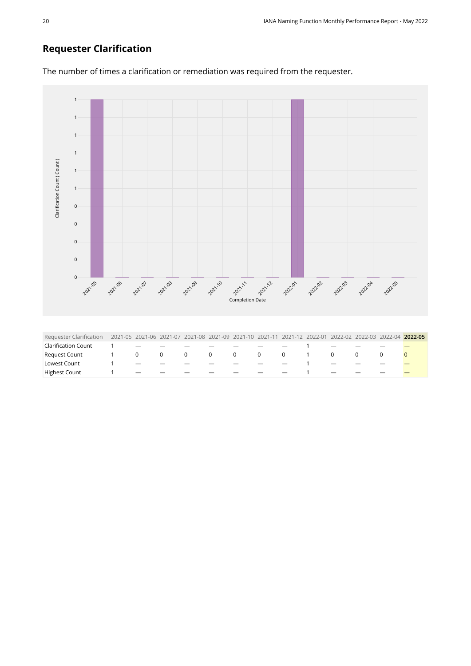### **Requester Clarification**



<span id="page-19-0"></span>Highest Count 1 — — — — — — — — 1 — — — —

The number of times a clarification or remediation was required from the requester.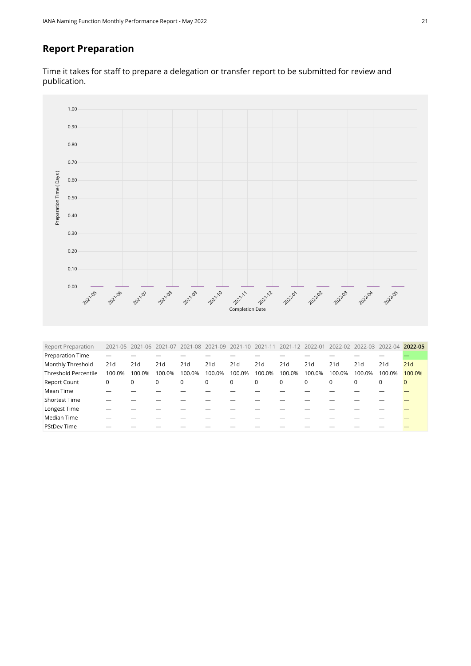#### **Report Preparation**

Time it takes for staff to prepare a delegation or transfer report to be submitted for review and publication.



<span id="page-20-0"></span>

| <b>Report Preparation</b>   |        | 2021-05 2021-06 2021-07 |        |             |             |             |        | 2021-08 2021-09 2021-10 2021-11 2021-12 2022-01 |             |             |          | 2022-02 2022-03 2022-04 2022-05 |              |
|-----------------------------|--------|-------------------------|--------|-------------|-------------|-------------|--------|-------------------------------------------------|-------------|-------------|----------|---------------------------------|--------------|
| Preparation Time            |        |                         |        |             |             |             |        |                                                 |             |             |          |                                 |              |
| Monthly Threshold           | 21d    | 21d                     | 21d    | 21d         | 21d         | 21d         | 21 d   | 21d                                             | 21d         | 21d         | 21d      | 21d                             | 21d          |
| <b>Threshold Percentile</b> | 100.0% | 100.0%                  | 100.0% | 100.0%      | 100.0%      | 100.0%      | 100.0% | 100.0%                                          | 100.0%      | 100.0%      | 100.0%   | 100.0%                          | 100.0%       |
| <b>Report Count</b>         | 0      | 0                       | 0      | $\mathbf 0$ | $\mathbf 0$ | $\mathbf 0$ | 0      | 0                                               | $\mathbf 0$ | $\mathbf 0$ | $\Omega$ | $\Omega$                        | $\mathbf{0}$ |
| Mean Time                   |        |                         |        |             |             |             |        |                                                 |             |             |          |                                 |              |
| <b>Shortest Time</b>        |        |                         |        |             |             |             |        |                                                 |             |             |          |                                 |              |
| Longest Time                |        |                         |        |             |             |             |        |                                                 |             |             |          |                                 |              |
| Median Time                 |        |                         |        |             |             |             |        |                                                 |             |             |          |                                 |              |
| <b>PStDev Time</b>          |        |                         |        |             |             |             |        |                                                 |             |             |          |                                 |              |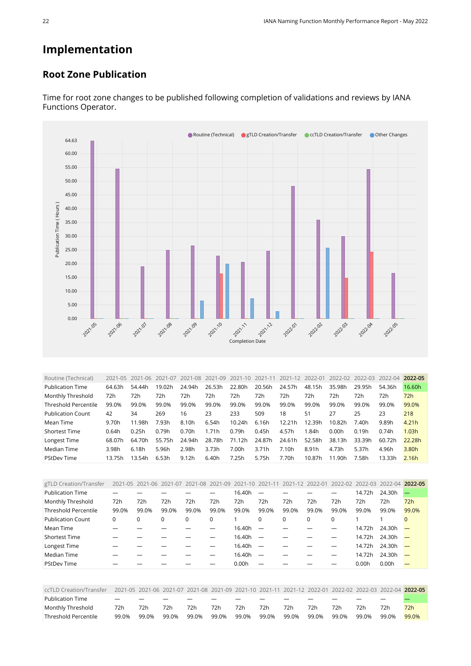# **Implementation**

#### **Root Zone Publication**



Time for root zone changes to be published following completion of validations and reviews by IANA Functions Operator.

<span id="page-21-0"></span>

| Routine (Technical)         | 2021-05 | $2021 - 06$ | 2021-07 | 2021-08 | 2021-09 | 2021-10 | 2021-11 | 2021-12 | 2022-01 | 2022-02 | 2022-03 | 2022-04 | 2022-05 |
|-----------------------------|---------|-------------|---------|---------|---------|---------|---------|---------|---------|---------|---------|---------|---------|
| <b>Publication Time</b>     | 64.63h  | 54.44h      | 19.02h  | 24.94h  | 26.53h  | 22.80h  | 20.56h  | 24.57h  | 48.15h  | 35.98h  | 29.95h  | 54.36h  | 16.60h  |
| Monthly Threshold           | 72h     | 72h         | 72h     | 72h     | 72h     | 72h     | 72h     | 72h     | 72h     | 72h     | 72h     | 72h     | 72h     |
| <b>Threshold Percentile</b> | 99.0%   | 99.0%       | 99.0%   | 99.0%   | 99.0%   | 99.0%   | 99.0%   | 99.0%   | 99.0%   | 99.0%   | 99.0%   | 99.0%   | 99.0%   |
| <b>Publication Count</b>    | 42      | 34          | 269     | 16      | 23      | 233     | 509     | 18      | 51      | 27      | 25      | 23      | 218     |
| Mean Time                   | 9.70h   | 11.98h      | 7.93h   | 8.10h   | 6.54h   | 10.24h  | 6.16h   | 12.21h  | 12.39h  | 10.82h  | 7.40h   | 9.89h   | 4.21h   |
| <b>Shortest Time</b>        | 0.64h   | 0.25h       | 0.79h   | 0.70h   | 1.71h   | 0.79h   | 0.45h   | 4.57h   | 1.84h   | 0.00h   | 0.19h   | 0.74h   | 1.03h   |
| Longest Time                | 68.07h  | 64.70h      | 55.75h  | 24.94h  | 28.78h  | 71.12h  | 24.87h  | 24.61h  | 52.58h  | 38.13h  | 33.39h  | 60.72h  | 22.28h  |
| Median Time                 | 3.98h   | 6.18h       | 5.96h   | 2.98h   | 3.73h   | 7.00h   | 3.71h   | 7.10h   | 8.91h   | 4.73h   | 5.37h   | 4.96h   | 3.80h   |
| <b>PStDev Time</b>          | 13.75h  | 13.54h      | 6.53h   | 9.12h   | 6.40h   | 7.25h   | 5.75h   | 7.70h   | 10.87h  | 11.90h  | 7.58h   | 13.33h  | 2.16h   |

<span id="page-21-1"></span>

| gTLD Creation/Transfer      |          | 2021-05 2021-06 2021-07 |       |       | 2021-08 2021-09 2021-10 2021-11 |        |                          | 2021-12 2022-01 |          |          |        | 2022-02 2022-03 2022-04 2022-05 |          |
|-----------------------------|----------|-------------------------|-------|-------|---------------------------------|--------|--------------------------|-----------------|----------|----------|--------|---------------------------------|----------|
| <b>Publication Time</b>     |          |                         |       |       |                                 | 16.40h |                          |                 |          |          | 14.72h | 24.30h                          |          |
| Monthly Threshold           | 72h      | 72h                     | 72h   | 72h   | 72h                             | 72h    | 72h                      | 72h             | 72h      | 72h      | 72h    | 72h                             | 72h      |
| <b>Threshold Percentile</b> | 99.0%    | 99.0%                   | 99.0% | 99.0% | 99.0%                           | 99.0%  | 99.0%                    | 99.0%           | 99.0%    | 99.0%    | 99.0%  | 99.0%                           | 99.0%    |
| <b>Publication Count</b>    | $\Omega$ | $\Omega$                | 0     | 0     | 0                               |        | 0                        | $\Omega$        | $\Omega$ | $\Omega$ |        |                                 | $\Omega$ |
| Mean Time                   |          |                         |       |       |                                 | 16.40h | $\overline{\phantom{m}}$ |                 |          |          | 14.72h | 24.30h                          |          |
| <b>Shortest Time</b>        |          |                         |       |       |                                 | 16.40h | $\overline{\phantom{0}}$ |                 |          |          | 14.72h | $24.30h$ -                      |          |
| Longest Time                |          |                         |       |       |                                 | 16.40h |                          |                 |          |          | 14.72h | $24.30h$ –                      |          |
| Median Time                 |          |                         |       |       |                                 | 16.40h | $\overline{\phantom{0}}$ |                 |          |          | 14.72h | 24.30h                          |          |
| <b>PStDev Time</b>          |          |                         |       |       |                                 | 0.00h  |                          |                 |          |          | 0.00h  | 0.00h                           |          |

<span id="page-21-2"></span>

| ccTLD Creation/Transfer |                          |       |       |       |       |       |       |       |       |       |       |       | 2021-05 2021-06 2021-07 2021-08 2021-09 2021-10 2021-11 2021-12 2022-01 2022-02 2022-03 2022-04 2022-05 |
|-------------------------|--------------------------|-------|-------|-------|-------|-------|-------|-------|-------|-------|-------|-------|---------------------------------------------------------------------------------------------------------|
| <b>Publication Time</b> | $\overline{\phantom{0}}$ |       |       |       |       |       |       |       |       |       |       |       |                                                                                                         |
| Monthly Threshold       | 72h                      | 72h   | 72h   | 72h   | 72h   | 72h   | 72h   | 72h   | 72h   | 72h   | 72h   | 72h   | 72h                                                                                                     |
| Threshold Percentile    | 99.0%                    | 99.0% | 99.0% | 99.0% | 99.0% | 99.0% | 99.0% | 99.0% | 99.0% | 99.0% | 99.0% | 99.0% | 99.0%                                                                                                   |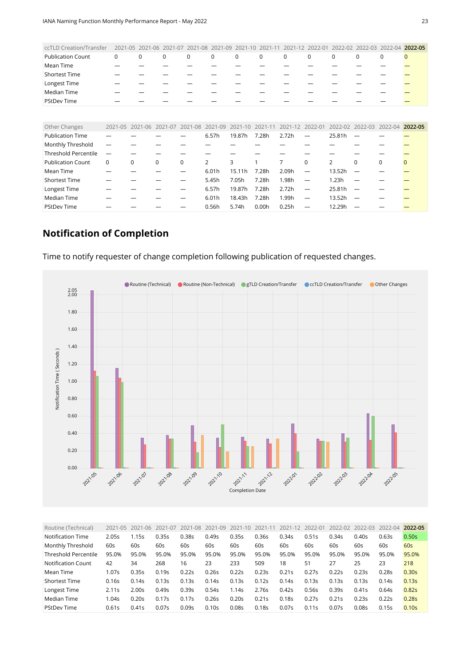<span id="page-22-0"></span>

| ccTLD Creation/Transfer     | 2021-05 | 2021-06     | 2021-07     | 2021-08     | 2021<br>$-09$ |             |             | 2021        | $2022 - 0^{\circ}$       | 2022-02        | 2022-03  | 2022-04         | 2022-05      |
|-----------------------------|---------|-------------|-------------|-------------|---------------|-------------|-------------|-------------|--------------------------|----------------|----------|-----------------|--------------|
| <b>Publication Count</b>    | 0       | $\mathbf 0$ | $\mathbf 0$ | $\mathbf 0$ | $\mathbf 0$   | $\mathbf 0$ | $\mathbf 0$ | 0           | $\mathbf 0$              | $\mathbf 0$    | 0        | $\mathbf 0$     | $\mathbf{0}$ |
| Mean Time                   |         |             |             |             |               |             |             |             |                          |                |          |                 |              |
| <b>Shortest Time</b>        |         |             |             |             |               |             |             |             |                          |                |          |                 |              |
| Longest Time                |         |             |             |             |               |             |             |             |                          |                |          |                 |              |
| Median Time                 |         |             |             |             |               |             |             |             |                          |                |          |                 |              |
| <b>PStDev Time</b>          |         |             |             |             |               |             |             |             |                          |                |          |                 |              |
|                             |         |             |             |             |               |             |             |             |                          |                |          |                 |              |
| Other Changes               | 2021-05 | 2021-06     | 2021-07     | 2021-08     | 2021-09       | $2021 - 10$ | $2021 - 11$ | $2021 - 12$ | 2022-01                  | 2022-02        | 2022-03  | 2022-04 2022-05 |              |
| <b>Publication Time</b>     |         |             |             |             | 6.57h         | 19.87h      | 7.28h       | 2.72h       | $\overline{\phantom{0}}$ | 25.81h         |          |                 |              |
| Monthly Threshold           |         |             |             |             |               |             |             |             |                          |                |          |                 |              |
| <b>Threshold Percentile</b> | —       |             |             |             |               |             |             |             |                          |                |          |                 |              |
| <b>Publication Count</b>    | 0       | $\Omega$    | $\Omega$    | $\Omega$    | 2             | 3           |             | 7           | $\Omega$                 | $\overline{2}$ | $\Omega$ | $\Omega$        | $\Omega$     |
| Mean Time                   |         |             |             |             | 6.01h         | 15.11h      | 7.28h       | 2.09h       | —                        | 13.52h         |          |                 |              |
| <b>Shortest Time</b>        |         |             |             |             | 5.45h         | 7.05h       | 7.28h       | 1.98h       | —                        | 1.23h          |          |                 |              |
| Longest Time                |         |             |             |             | 6.57h         | 19.87h      | 7.28h       | 2.72h       | —                        | 25.81h         |          |                 |              |
| Median Time                 |         |             |             |             | 6.01h         | 18.43h      | 7.28h       | 1.99h       | —                        | 13.52h         |          |                 |              |
| <b>PStDev Time</b>          |         |             |             |             | 0.56h         | 5.74h       | 0.00h       | 0.25h       |                          | 12.29h         |          |                 |              |

## **Notification of Completion**

Time to notify requester of change completion following publication of requested changes.



<span id="page-22-1"></span>

| Routine (Technical)         | $2021 - 05$ | 2021-06 | 2021-07 | 2021-08 | 2021-09           | $2021 - 10$       | $2021 - 1$ | 2021-12 | 2022-01 | 2022-02 | 2022-03 | 2022-04 | 2022-05           |
|-----------------------------|-------------|---------|---------|---------|-------------------|-------------------|------------|---------|---------|---------|---------|---------|-------------------|
| Notification Time           | 2.05s       | 1.15s   | 0.35s   | 0.38s   | 0.49s             | 0.35s             | 0.36s      | 0.34s   | 0.51s   | 0.34s   | 0.40s   | 0.63s   | 0.50s             |
| Monthly Threshold           | 60s         | 60s     | 60s     | 60s     | 60s               | 60s               | 60s        | 60s     | 60s     | 60s     | 60s     | 60s     | 60s               |
| <b>Threshold Percentile</b> | 95.0%       | 95.0%   | 95.0%   | 95.0%   | 95.0%             | 95.0%             | 95.0%      | 95.0%   | 95.0%   | 95.0%   | 95.0%   | 95.0%   | 95.0%             |
| Notification Count          | 42          | 34      | 268     | 16      | 23                | 233               | 509        | 18      | 51      | 27      | 25      | 23      | 218               |
| Mean Time                   | 1.07s       | 0.35s   | 0.19s   | 0.22s   | 0.26s             | 0.22s             | 0.23s      | 0.21s   | 0.27s   | 0.22s   | 0.23s   | 0.28s   | 0.30s             |
| <b>Shortest Time</b>        | 0.16s       | 0.14s   | 0.13s   | 0.13s   | 0.14s             | 0.13s             | 0.12s      | 0.14s   | 0.13s   | 0.13s   | 0.13s   | 0.14s   | 0.13s             |
| Longest Time                | 2.11s       | 2.00s   | 0.49s   | 0.39s   | 0.54s             | 1.14s             | 2.76s      | 0.42s   | 0.56s   | 0.39s   | 0.41s   | 0.64s   | 0.82s             |
| Median Time                 | l.04s       | 0.20s   | 0.17s   | 0.17s   | 0.26s             | 0.20s             | 0.21s      | 0.18s   | 0.27s   | 0.21s   | 0.23s   | 0.22s   | 0.28 <sub>S</sub> |
| <b>PStDev Time</b>          | 0.61s       | 0.41s   | 0.07s   | 0.09s   | 0.10 <sub>S</sub> | 0.08 <sub>S</sub> | 0.18s      | 0.07s   | 0.11s   | 0.07s   | 0.08s   | 0.15s   | 0.10s             |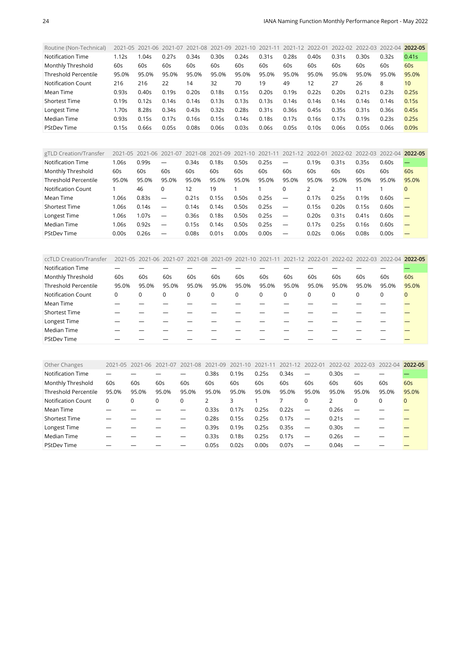<span id="page-23-0"></span>

| Routine (Non-Technical)     |       |       | 2021-05 2021-06 2021-07 2021-08 2021-09 2021-10 2021-11 |       |       |       |       | 2021-12 2022-01 |       |       | 2022-02 2022-03 2022-04 |       | 2022-05 |
|-----------------------------|-------|-------|---------------------------------------------------------|-------|-------|-------|-------|-----------------|-------|-------|-------------------------|-------|---------|
| Notification Time           | 1.12s | .04s  | 0.27s                                                   | 0.34s | 0.30s | 0.24s | 0.31s | 0.28s           | 0.40s | 0.31s | 0.30s                   | 0.32s | 0.41s   |
| Monthly Threshold           | 60s   | 60s   | 60s                                                     | 60s   | 60s   | 60s   | 60s   | 60s             | 60s   | 60s   | 60s                     | 60s   | 60s     |
| <b>Threshold Percentile</b> | 95.0% | 95.0% | 95.0%                                                   | 95.0% | 95.0% | 95.0% | 95.0% | 95.0%           | 95.0% | 95.0% | 95.0%                   | 95.0% | 95.0%   |
| Notification Count          | 216   | 216   | 22                                                      | 14    | 32    | 70    | 19    | 49              | 12    | 27    | 26                      | 8     | 10      |
| Mean Time                   | 0.93s | 0.40s | 0.19s                                                   | 0.20s | 0.18s | 0.15s | 0.20s | 0.19s           | 0.22s | 0.20s | 0.21s                   | 0.23s | 0.25s   |
| <b>Shortest Time</b>        | 0.19s | 0.12s | 0.14s                                                   | 0.14s | 0.13s | 0.13s | 0.13s | 0.14s           | 0.14s | 0.14s | 0.14s                   | 0.14s | 0.15s   |
| Longest Time                | 1.70s | 8.285 | 0.34s                                                   | 0.43s | 0.32s | 0.28s | 0.31s | 0.36s           | 0.45s | 0.35s | 0.31s                   | 0.36s | 0.45s   |
| Median Time                 | 0.93s | 0.15s | 0.17s                                                   | 0.16s | 0.15s | 0.14s | 0.18s | 0.17s           | 0.16s | 0.17s | 0.195                   | 0.23s | 0.25s   |
| <b>PStDev Time</b>          | 0.15s | 0.66s | 0.05s                                                   | 0.08s | 0.06s | 0.03s | 0.06s | 0.05s           | 0.10s | 0.06s | 0.05s                   | 0.06s | 0.09s   |

<span id="page-23-1"></span>

| gTLD Creation/Transfer | $2021 - 05$ | 2021-06 | 2021-07                  | 2021-08 | 2021-09 | 2021-10 2021-11 |       | 2021-12                  | 2022-01       | 2022-02 2022-03 |       | 2022-04 | 2022-05  |
|------------------------|-------------|---------|--------------------------|---------|---------|-----------------|-------|--------------------------|---------------|-----------------|-------|---------|----------|
| Notification Time      | 1.06s       | 0.99s   | $\overline{\phantom{0}}$ | 0.34s   | 0.18s   | 0.50s           | 0.25s |                          | 0.19s         | 0.31s           | 0.35s | 0.60s   |          |
| Monthly Threshold      | 60s         | 60s     | 60s                      | 60s     | 60s     | 60s             | 60s   | 60s                      | 60s           | 60s             | 60s   | 60s     | 60s      |
| Threshold Percentile   | 95.0%       | 95.0%   | 95.0%                    | 95.0%   | 95.0%   | 95.0%           | 95.0% | 95.0%                    | 95.0%         | 95.0%           | 95.0% | 95.0%   | 95.0%    |
| Notification Count     |             | 46      | 0                        | 12      | 19      |                 |       | 0                        | $\mathcal{L}$ |                 | 11    |         | $\Omega$ |
| Mean Time              | 1.06s       | 0.83s   | $\overline{\phantom{m}}$ | 0.21s   | 0.15s   | 0.50s           | 0.25s | $\overline{\phantom{m}}$ | 0.17s         | 0.25s           | 0.19s | 0.60s   |          |
| <b>Shortest Time</b>   | 1.06s       | 0.14s   | $\overline{\phantom{m}}$ | 0.14s   | 0.14s   | 0.50s           | 0.25s | $\overline{\phantom{m}}$ | 0.15s         | 0.20s           | 0.15s | 0.60s   |          |
| Longest Time           | 1.06s       | 1.07s   | $\overline{\phantom{m}}$ | 0.36s   | 0.18s   | 0.50s           | 0.25s | $\overline{\phantom{m}}$ | 0.20s         | 0.31s           | 0.41s | 0.60s   |          |
| Median Time            | 1.06s       | 0.92s   | $\overline{\phantom{m}}$ | 0.15s   | 0.14s   | 0.50s           | 0.25s | $\overline{\phantom{m}}$ | 0.17s         | 0.25s           | 0.16s | 0.60s   |          |
| <b>PStDev Time</b>     | 0.00s       | 0.26s   | $\overline{\phantom{m}}$ | 0.08s   | 0.01s   | 0.00s           | 0.00s |                          | 0.02s         | 0.06s           | 0.08s | 0.00s   |          |

<span id="page-23-2"></span>

| ccTLD Creation/Transfer     |       |          |       | 2021-05 2021-06 2021-07 2021-08 2021-09 2021-10 2021-11 2021-12 2022-01 2022-02 2022-03 2022-04 |          |       |       |       |          |             |       |       | 2022-05      |
|-----------------------------|-------|----------|-------|-------------------------------------------------------------------------------------------------|----------|-------|-------|-------|----------|-------------|-------|-------|--------------|
| <b>Notification Time</b>    |       |          |       |                                                                                                 |          |       |       |       |          |             |       |       |              |
| Monthly Threshold           | 60s   | 60s      | 60s   | 60s                                                                                             | 60s      | 60s   | 60s   | 60s   | 60s      | 60s         | 60s   | 60s   | 60s          |
| <b>Threshold Percentile</b> | 95.0% | 95.0%    | 95.0% | 95.0%                                                                                           | 95.0%    | 95.0% | 95.0% | 95.0% | 95.0%    | 95.0%       | 95.0% | 95.0% | 95.0%        |
| <b>Notification Count</b>   | 0     | $\Omega$ | 0     | 0                                                                                               | $\Omega$ | 0     | 0     | 0     | $\Omega$ | $\mathbf 0$ | 0     | 0     | $\mathbf{0}$ |
| Mean Time                   |       |          |       |                                                                                                 |          |       |       |       |          |             |       |       |              |
| <b>Shortest Time</b>        |       |          |       |                                                                                                 |          |       |       |       |          |             |       |       |              |
| Longest Time                |       |          |       |                                                                                                 |          |       |       |       |          |             |       |       |              |
| Median Time                 |       |          |       |                                                                                                 |          |       |       |       |          |             |       |       |              |
| <b>PStDev Time</b>          |       |          |       |                                                                                                 |          |       |       |       |          |             |       |       |              |

<span id="page-23-3"></span>

| Other Changes               | 2021-05 | 2021-06 | 2021-07 | 2021-08 | 2021-09 | $2021 - 10$       | 2021-11 | 2021-12 | 2022-01                  | 2022-02 | 2022-03  | 2022-04 | 2022-05      |
|-----------------------------|---------|---------|---------|---------|---------|-------------------|---------|---------|--------------------------|---------|----------|---------|--------------|
| Notification Time           |         |         |         |         | 0.38s   | 0.19s             | 0.25s   | 0.34s   | $\overline{\phantom{m}}$ | 0.30s   |          |         |              |
| Monthly Threshold           | 60s     | 60s     | 60s     | 60s     | 60s     | 60s               | 60s     | 60s     | 60s                      | 60s     | 60s      | 60s     | 60s          |
| <b>Threshold Percentile</b> | 95.0%   | 95.0%   | 95.0%   | 95.0%   | 95.0%   | 95.0%             | 95.0%   | 95.0%   | 95.0%                    | 95.0%   | 95.0%    | 95.0%   | 95.0%        |
| Notification Count          | 0       | 0       | 0       | 0       | 2       | 3                 |         |         | 0                        | 2       | $\Omega$ | 0       | $\mathbf{0}$ |
| Mean Time                   |         |         |         |         | 0.33s   | 0.17s             | 0.25s   | 0.22s   | $\overline{\phantom{m}}$ | 0.26s   |          |         |              |
| <b>Shortest Time</b>        |         |         |         |         | 0.28s   | 0.15s             | 0.25s   | 0.17s   | $\overline{\phantom{m}}$ | 0.21s   |          |         |              |
| Longest Time                |         |         |         |         | 0.39s   | 0.19s             | 0.25s   | 0.35s   | $\overline{\phantom{m}}$ | 0.30s   |          |         |              |
| Median Time                 |         |         |         |         | 0.33s   | 0.18 <sub>S</sub> | 0.25s   | 0.17s   | $\overline{\phantom{m}}$ | 0.26s   |          |         |              |
| <b>PStDev Time</b>          |         |         |         |         | 0.05s   | 0.02s             | 0.00s   | 0.07s   |                          | 0.04s   |          |         |              |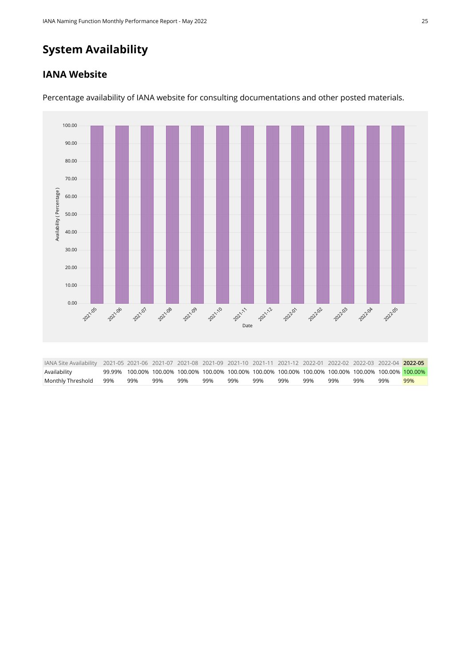# **System Availability**

#### **IANA Website**



Percentage availability of IANA website for consulting documentations and other posted materials.

<span id="page-24-0"></span>

| IANA Site Availability 2021-05 2021-06 2021-07 2021-08 2021-09 2021-10 2021-11 2021-12 2022-01 2022-02 2022-03 2022-04 2022-05 |     |     |     |     |     |     |     |     |     |     |                                                                                                        |     |
|--------------------------------------------------------------------------------------------------------------------------------|-----|-----|-----|-----|-----|-----|-----|-----|-----|-----|--------------------------------------------------------------------------------------------------------|-----|
| Availability                                                                                                                   |     |     |     |     |     |     |     |     |     |     | 99.99% 100.00% 100.00% 100.00% 100.00% 100.00% 100.00% 100.00% 100.00% 100.00% 100.00% 100.00% 100.00% |     |
| Monthly Threshold 99%                                                                                                          | 99% | 99% | 99% | 99% | 99% | 99% | 99% | 99% | 99% | 99% | 99%                                                                                                    | 99% |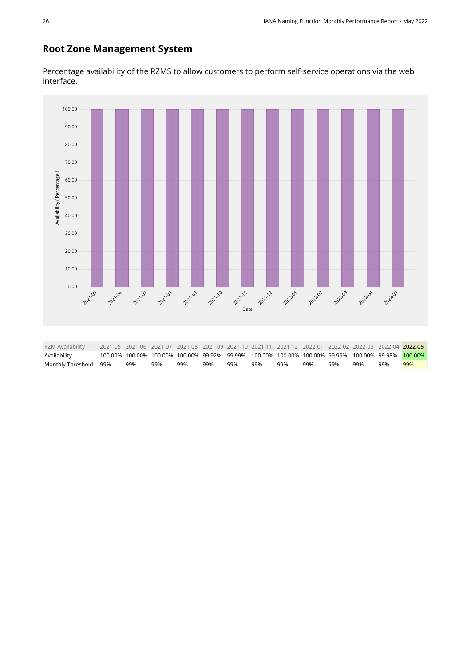#### **Root Zone Management System**

Percentage availability of the RZMS to allow customers to perform self-service operations via the web interface.

<span id="page-25-0"></span>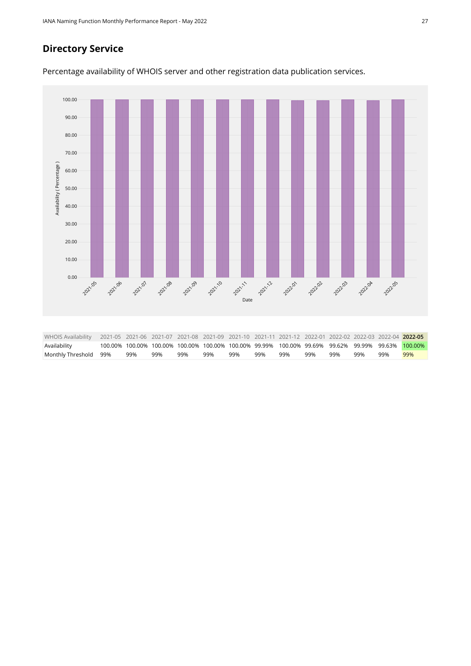#### **Directory Service**

Percentage availability of WHOIS server and other registration data publication services.

<span id="page-26-0"></span>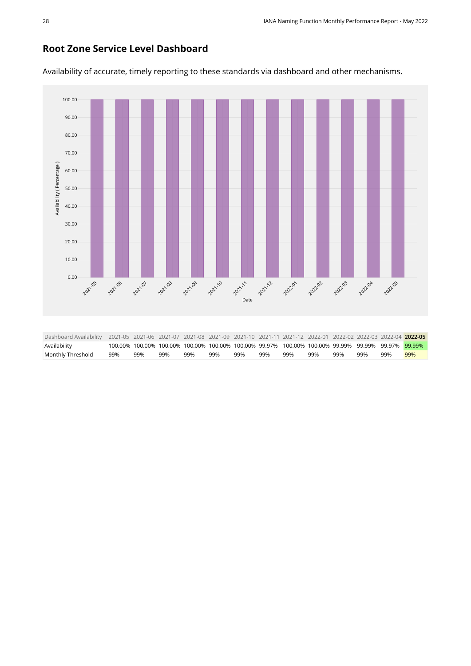#### **Root Zone Service Level Dashboard**

<span id="page-27-0"></span>100.00 90.00 80.00 70.00 Availability (Percentage) [Availability \( Percentage \)](https://sle-dashboard.iana.org/chart/root-zone-service-level-dashboard/?granularity=monthly&start=2021-05-01&end=2022-06-01) 60.00 50.00 40.00 30.00 20.00 10.00 0.00 2021-10 2021-12 2021.05 2021.06 2021.07 2021-08 2021.09 2021-11 202202 **2022**03 **202201** 202204 202255 [Date](https://sle-dashboard.iana.org/chart/root-zone-service-level-dashboard/?granularity=monthly&start=2021-05-01&end=2022-06-01) Dashboard Availability 2021-05 2021-06 2021-07 2021-08 2021-09 2021-10 2021-11 2021-12 2022-01 2022-02 2022-03 2022-04 **2022-05** Availability 100.00% 100.00% 100.00% 100.00% 100.00% 100.00% 99.97% 100.00% 100.00% 99.99% 99.99% 99.97% 99.99% Monthly Threshold 99% 99% 99% 99% 99% 99% 99% 99% 99% 99% 99% 99% 99%

Availability of accurate, timely reporting to these standards via dashboard and other mechanisms.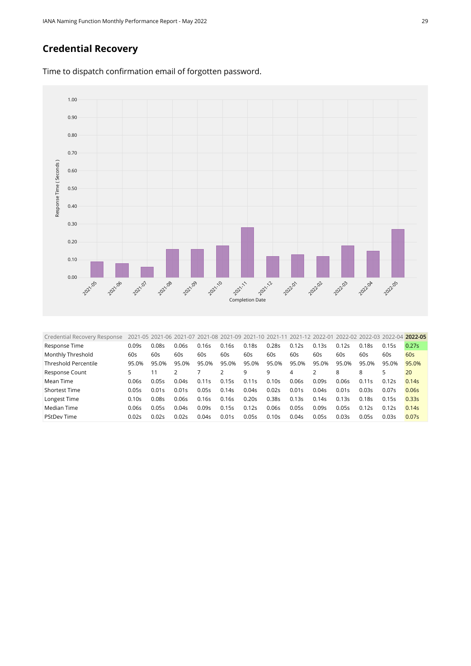## **Credential Recovery**



Time to dispatch confirmation email of forgotten password.

<span id="page-28-0"></span>

| 0.09s | 0.08s | 0.06s          |       |                                                             |                                                    | 0.28s                                                       |       |                                           |                                           |                                                                                                                                        |                                  | 0.27s                                                                                          |
|-------|-------|----------------|-------|-------------------------------------------------------------|----------------------------------------------------|-------------------------------------------------------------|-------|-------------------------------------------|-------------------------------------------|----------------------------------------------------------------------------------------------------------------------------------------|----------------------------------|------------------------------------------------------------------------------------------------|
| 60s   | 60s   | 60s            | 60s   | 60s                                                         | 60s                                                | 60s                                                         | 60s   | 60s                                       | 60s                                       | 60s                                                                                                                                    | 60s                              | 60s                                                                                            |
| 95.0% | 95.0% | 95.0%          |       | 95.0%                                                       |                                                    | 95.0%                                                       | 95.0% | 95.0%                                     |                                           | 95.0%                                                                                                                                  |                                  | 95.0%                                                                                          |
| 5     | 11    |                |       |                                                             | 9                                                  | 9                                                           | 4     |                                           | 8                                         | 8                                                                                                                                      | 5                                | 20                                                                                             |
| 0.06s |       |                |       |                                                             |                                                    | 0.10s                                                       |       |                                           |                                           |                                                                                                                                        |                                  | 0.14s                                                                                          |
| 0.05s | 0.01s | 0.01s          |       |                                                             |                                                    | 0.02s                                                       |       |                                           |                                           | 0.03s                                                                                                                                  |                                  | 0.06s                                                                                          |
| 0.10s | 0.08s | 0.06s          |       |                                                             |                                                    | 0.385                                                       |       |                                           |                                           |                                                                                                                                        |                                  | 0.33s                                                                                          |
| 0.06s | 0.05s | 0.04s          |       |                                                             |                                                    | 0.06s                                                       | 0.05s | 0.09s                                     |                                           |                                                                                                                                        |                                  | 0.14s                                                                                          |
| 0.02s |       | 0.02s          |       |                                                             |                                                    | 0.10 <sub>S</sub>                                           |       |                                           |                                           | 0.05s                                                                                                                                  |                                  | 0.07s                                                                                          |
|       |       | 0.05s<br>0.02s | 0.04s | 0.16s<br>95.0%<br>0.11s<br>0.05s<br>0.16s<br>0.095<br>0.04s | 0.16s<br>0.15s<br>0.14s<br>0.16s<br>0.15s<br>0.01s | 0.185<br>95.0%<br>0.11s<br>0.04s<br>0.20s<br>0.12s<br>0.05s |       | 0.12s<br>0.06s<br>0.01s<br>0.13s<br>0.04s | 0.13s<br>0.09s<br>0.04s<br>0.14s<br>0.05s | 2021-05 2021-06 2021-07 2021-08 2021-09 2021-10 2021-11 2021-12 2022-01<br>0.12s<br>95.0%<br>0.06s<br>0.01s<br>0.13s<br>0.05s<br>0.03s | 0.18s<br>0.11s<br>0.18s<br>0.12s | 2022-02 2022-03 2022-04 2022-05<br>0.15s<br>95.0%<br>0.12s<br>0.07s<br>0.15s<br>0.125<br>0.03s |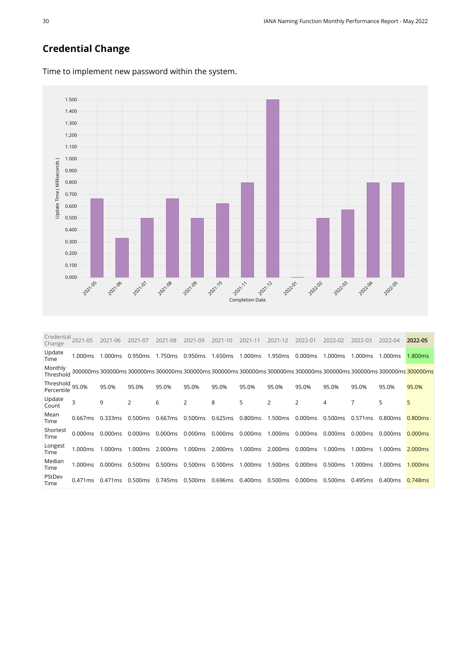## **Credential Change**



Time to implement new password within the system.

<span id="page-29-0"></span>

| Credential<br>Change    | 2021-05 | 2021-06           | 2021-07        | 2021-08 | 2021-09 | 2021-10 | 2021-11 | 2021-12        | 2022-01 | 2022-02 | 2022-03 | 2022-04                                                                                                          | 2022-05             |
|-------------------------|---------|-------------------|----------------|---------|---------|---------|---------|----------------|---------|---------|---------|------------------------------------------------------------------------------------------------------------------|---------------------|
| Update<br>Time          | 1.000ms | 1.000ms           | 0.950ms        | 1.750ms | 0.950ms | 1.650ms | 1.000ms | 1.950ms        | 0.000ms | 1.000ms | 1.000ms | 1.000ms                                                                                                          | 1.800ms             |
| Monthly<br>Threshold    |         | 300000ms 300000ms |                |         |         |         |         |                |         |         |         | 300000ms 300000ms 300000ms 300000ms 300000ms 300000ms 300000ms 300000ms 300000ms 300000ms <mark>300000m</mark> s |                     |
| Threshold<br>Percentile | 95.0%   | 95.0%             | 95.0%          | 95.0%   | 95.0%   | 95.0%   | 95.0%   | 95.0%          | 95.0%   | 95.0%   | 95.0%   | 95.0%                                                                                                            | 95.0%               |
| Update<br>Count         | 3       | 9                 | $\overline{2}$ | 6       | 2       | 8       | 5       | $\overline{2}$ | 2       | 4       | 7       | 5                                                                                                                | 5                   |
| Mean<br>Time            | 0.667ms | 0.333ms           | 0.500ms        | 0.667ms | 0.500ms | 0.625ms | 0.800ms | 1.500ms        | 0.000ms | 0.500ms | 0.571ms | 0.800ms                                                                                                          | 0.800 <sub>ms</sub> |
| Shortest<br>Time        | 0.000ms | 0.000ms           | 0.000ms        | 0.000ms | 0.000ms | 0.000ms | 0.000ms | 1.000ms        | 0.000ms | 0.000ms | 0.000ms | 0.000ms                                                                                                          | 0.000ms             |
| Longest<br>Time         | 1.000ms | 1.000ms           | 1.000ms        | 2.000ms | 1.000ms | 2.000ms | 1.000ms | 2.000ms        | 0.000ms | 1.000ms | 1.000ms | 1.000ms                                                                                                          | 2.000ms             |
| Median<br>Time          | 1.000ms | 0.000ms           | 0.500ms        | 0.500ms | 0.500ms | 0.500ms | 1.000ms | 1.500ms        | 0.000ms | 0.500ms | 1.000ms | 1.000ms                                                                                                          | 1.000ms             |
| PStDev<br>Time          | 0.471ms | 0.471ms           | 0.500ms        | 0.745ms | 0.500ms | 0.696ms | 0.400ms | 0.500ms        | 0.000ms | 0.500ms | 0.495ms | 0.400ms                                                                                                          | 0.748ms             |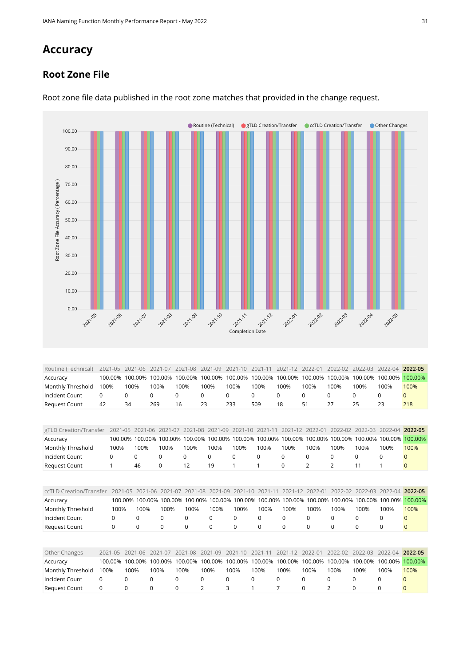# **Accuracy**

#### **Root Zone File**



Root zone file data published in the root zone matches that provided in the change request.

<span id="page-30-1"></span><span id="page-30-0"></span>

| Routine (Technical)     | 2021-05     | 2021-06         | 2021     |         | $-08$        | -09<br>2021 |                 |                 |                 | 2022-01        | 2022-02  | $2022 - 03$     | $2022 - 04$     | 2022-05      |
|-------------------------|-------------|-----------------|----------|---------|--------------|-------------|-----------------|-----------------|-----------------|----------------|----------|-----------------|-----------------|--------------|
| Accuracy                | 100.00%     | 100.00%         | 100.00%  |         | 100.00%      | 100.00%     | 100.00%         | 100.00%         | 100.00%         | 100.00%        | 100.00%  | 100.00%         | 100.00%         | 100.00%      |
| Monthly Threshold       | 100%        | 100%            | 100%     | 100%    |              | 100%        | 100%            | 100%            | 100%            | 100%           | 100%     | 100%            | 100%            | 100%         |
| Incident Count          | 0           | 0               | $\Omega$ | 0       | $\Omega$     |             | 0               | $\Omega$        | 0               | $\Omega$       | 0        | $\Omega$        | $\mathbf 0$     | $\Omega$     |
| <b>Request Count</b>    | 42          | 34              | 269      | 16      | 23           |             | 233             | 509             | 18              | 51             | 27       | 25              | 23              | 218          |
|                         |             |                 |          |         |              |             |                 |                 |                 |                |          |                 |                 |              |
|                         |             |                 |          |         |              |             |                 |                 |                 |                |          |                 |                 |              |
| gTLD Creation/Transfer  | 2021-05     | 2021-06         |          | 2021-07 | 2021-08      | 2021-09     | 2021-10         | 2021-11         | 2021-12         | 2022-01        | 2022-02  | $2022 - 03$     | 2022-04         | 2022-05      |
| Accuracy                |             | 100.00% 100.00% |          | 100.00% | 100.00%      | 100.00%     |                 | 100.00% 100.00% | 100.00%         | 100.00%        |          | 100.00% 100.00% | 100.00%         | 100.00%      |
| Monthly Threshold       | 100%        | 100%            |          | 100%    | 100%         | 100%        | 100%            | 100%            | 100%            | 100%           | 100%     | 100%            | 100%            | 100%         |
| Incident Count          | 0           | $\Omega$        | $\Omega$ |         | $\Omega$     | $\Omega$    | $\Omega$        | $\Omega$        | $\Omega$        | 0              | $\Omega$ | $\Omega$        | $\Omega$        | $\Omega$     |
| <b>Request Count</b>    |             | 46              | 0        |         | 12           | 19          |                 |                 | $\mathbf 0$     | $\overline{2}$ | 2        | 11              |                 | $\mathbf{0}$ |
|                         |             |                 |          |         |              |             |                 |                 |                 |                |          |                 |                 |              |
|                         |             |                 |          |         |              |             |                 |                 |                 |                |          |                 |                 |              |
| ccTLD Creation/Transfer | $2021 - 05$ | $2021 - 06$     |          | 2021-07 | 2021-08      | 2021-09     | $2021 - 10$     | 2021-11         | 2021-12         | 2022-01        | 2022-02  | 2022-03         | 2022-04         | 2022-05      |
| Accuracy                |             | 100.00%         | 100.00%  | 100.00% | 100.00%      |             | 100.00% 100.00% |                 | 100.00% 100.00% | 100.00%        | 100.00%  |                 | 100.00% 100.00% | 100.00%      |
| Monthly Threshold       | 100%        | 100%            |          | 100%    | 100%         | 100%        | 100%            | 100%            | 100%            | 100%           | 100%     | 100%            | 100%            | 100%         |
| Incident Count          | $\Omega$    | $\Omega$        | $\Omega$ |         | $\Omega$     | $\Omega$    | $\Omega$        | $\Omega$        | $\Omega$        | $\Omega$       | $\Omega$ | 0               | $\Omega$        |              |
| <b>Request Count</b>    | $\Omega$    | 0               | $\Omega$ |         | <sup>0</sup> | $\Omega$    | $\Omega$        | 0               | 0               | $\Omega$       | $\Omega$ | 0               | <sup>0</sup>    | $\Omega$     |

<span id="page-30-3"></span><span id="page-30-2"></span>

| Other Changes     |      |      |          |          | 2021-05 2021-06 2021-07 2021-08 2021-09 2021-10 2021-11 2021-12 2022-01 2022-02 2022-03 2022-04 2022-05 |               |      |        |      |          |      |      |                                                                                                         |
|-------------------|------|------|----------|----------|---------------------------------------------------------------------------------------------------------|---------------|------|--------|------|----------|------|------|---------------------------------------------------------------------------------------------------------|
| Accuracy          |      |      |          |          |                                                                                                         |               |      |        |      |          |      |      | 100.00% 100.00% 100.00% 100.00% 100.00% 100.00% 100.00% 100.00% 100.00% 100.00% 100.00% 100.00% 100.00% |
| Monthly Threshold | 100% | 100% | 100%     | 100%     | 100%                                                                                                    | 100%          | 100% | 100%   | 100% | 100%     | 100% | 100% | 100%                                                                                                    |
| Incident Count    | 0    |      |          | $\Omega$ |                                                                                                         | - 0           | 0    | $\cup$ |      | $\Omega$ |      |      |                                                                                                         |
| Request Count     |      |      | $\Omega$ | $\Omega$ |                                                                                                         | $\mathcal{R}$ |      |        |      |          |      |      |                                                                                                         |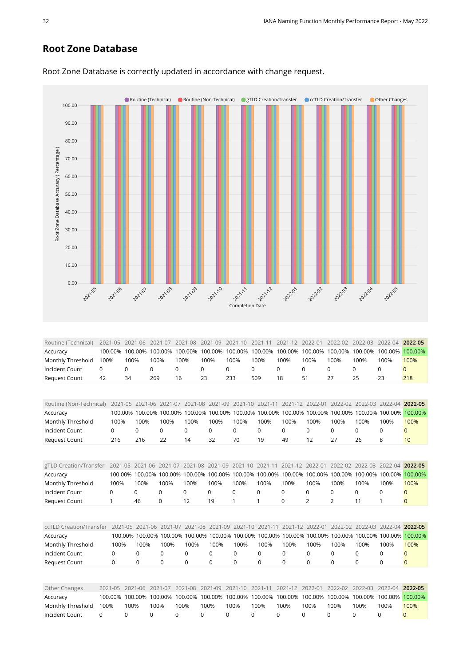#### **Root Zone Database**



Root Zone Database is correctly updated in accordance with change request.

<span id="page-31-0"></span>

| Routine (Technical)  | 2021-05 2021-06 2021-07 2021-08 2021-09 2021-10 2021-11 2021-12 2022-01 2022-02 2022-03 2022-04 2022-05 |      |                                                                                                                      |      |      |      |      |      |      |      |      |      |      |
|----------------------|---------------------------------------------------------------------------------------------------------|------|----------------------------------------------------------------------------------------------------------------------|------|------|------|------|------|------|------|------|------|------|
| Accuracy             |                                                                                                         |      | 100.00% 100.00% 100.00% 100.00% 100.00% 100.00% 100.00% 100.00% 100.00% 100.00% 100.00% 100.00% <mark>100.00%</mark> |      |      |      |      |      |      |      |      |      |      |
| Monthly Threshold    | 100%                                                                                                    | 100% | 100%                                                                                                                 | 100% | 100% | 100% | 100% | 100% | 100% | 100% | 100% | 100% | 100% |
| Incident Count       |                                                                                                         |      |                                                                                                                      |      |      |      |      |      |      |      |      |      |      |
| <b>Request Count</b> | 42                                                                                                      | 34   | 269                                                                                                                  | 16   | 23   | 233  | 509  | 18   | 51   | 27   |      | 23   | 218  |

<span id="page-31-2"></span><span id="page-31-1"></span>

| Routine (Non-Technical) | 2021-05     | 2021-06                 |             | 2021-07 | 2021-08  | 2021-09     |             | 2021-10 2021-11 | $2021 - 12$ | 2022-01         | $2022 - 02$    | 2022-03         | 2022-04 2022-05 |              |
|-------------------------|-------------|-------------------------|-------------|---------|----------|-------------|-------------|-----------------|-------------|-----------------|----------------|-----------------|-----------------|--------------|
| Accuracy                |             | 100.00%<br>100.00%      |             | 100.00% | 100.00%  | 100.00%     | 100.00%     | 100.00%         | 100.00%     | 100.00%         | 100.00%        | 100.00%         | 100.00%         | 100.00%      |
| Monthly Threshold       | 100%        | 100%                    |             | 100%    | 100%     | 100%        | 100%        | 100%            | 100%        | 100%            | 100%           | 100%            | 100%            | 100%         |
| Incident Count          | $\mathbf 0$ | $\mathbf 0$             | $\Omega$    |         | 0        | 0           | 0           | 0               | $\Omega$    | 0               | 0              | $\Omega$        | $\mathbf 0$     | $\mathbf{0}$ |
| <b>Request Count</b>    | 216         | 216                     | 22          |         | 14       | 32          | 70          | 19              | 49          | 12              | 27             | 26              | 8               | 10           |
|                         |             |                         |             |         |          |             |             |                 |             |                 |                |                 |                 |              |
| gTLD Creation/Transfer  | 2021-05     | 2021-06                 |             | 2021-07 | 2021-08  | 2021-09     |             | 2021-10 2021-11 |             | 2021-12 2022-01 | $2022 - 02$    | 2022-03         | $2022 - 04$     | 2022-05      |
| Accuracy                |             | 100.00% 100.00% 100.00% |             |         | 100.00%  | 100.00%     |             | 100.00% 100.00% | 100.00%     | 100.00%         | 100.00%        | 100.00%         | 100.00%         | 100.00%      |
| Monthly Threshold       | 100%        | 100%                    |             | 100%    | 100%     | 100%        | 100%        | 100%            | 100%        | 100%            | 100%           | 100%            | 100%            | 100%         |
| Incident Count          | 0           | 0                       | 0           |         | 0        | 0           | 0           | 0               | 0           | 0               | 0              | 0               | 0               | $\mathbf{0}$ |
| <b>Request Count</b>    | 1           | 46                      | $\mathbf 0$ |         | 12       | 19          | 1           | 1               | 0           | $\overline{2}$  | $\overline{2}$ | 11              | 1               | $\mathbf{0}$ |
|                         |             |                         |             |         |          |             |             |                 |             |                 |                |                 |                 |              |
| ccTLD Creation/Transfer |             | $2021 - 05$             | 2021-06     | 2021-07 | 2021-08  | 2021-09     |             | 2021-10 2021-11 |             | 2021-12 2022-01 |                | 2022-02 2022-03 | 2022-04         | 2022-05      |
| Accuracy                |             | 100.00% 100.00%         |             | 100.00% | 100.00%  | 100.00%     | 100.00%     | 100.00%         | 100.00%     | 100.00%         | 100.00%        | 100.00%         | 100.00%         | 100.00%      |
| Monthly Threshold       | 100%        | 100%                    |             | 100%    | 100%     | 100%        | 100%        | 100%            | 100%        | 100%            | 100%           | 100%            | 100%            | 100%         |
| Incident Count          | $\Omega$    | 0                       | $\Omega$    |         | 0        | $\Omega$    | 0           | 0               | $\Omega$    | 0               | 0              | $\Omega$        | $\Omega$        | $\Omega$     |
| <b>Request Count</b>    | 0           | 0                       | $\mathbf 0$ |         | $\Omega$ | $\mathbf 0$ | $\mathbf 0$ | 0               | $\Omega$    | $\Omega$        | $\mathbf 0$    | $\Omega$        | 0               | $\mathbf{0}$ |
|                         |             |                         |             |         |          |             |             |                 |             |                 |                |                 |                 |              |
| Other Changes           | 2021-05     | 2021-06                 | 2021-07     |         | 2021-08  | 2021-09     | $2021 - 10$ | 2021-11         | $2021 - 12$ | 2022-01         | 2022-02        | 2022-03         | $2022 - 04$     | 2022-05      |
| Accuracy                | 100.00%     | 100.00%                 | 100.00%     |         | 100.00%  | 100.00%     | 100.00%     | 100.00%         | 100.00%     | 100.00%         | 100.00%        | 100.00%         | 100.00%         | 100.00%      |
| Monthly Threshold       | 100%        | 100%                    | 100%        | 100%    |          | 100%        | 100%        | 100%            | 100%        | 100%            | 100%           | 100%            | 100%            | 100%         |

<span id="page-31-4"></span><span id="page-31-3"></span>Incident Count 0 0 0 0 0 0 0 0 0 0 0 0 0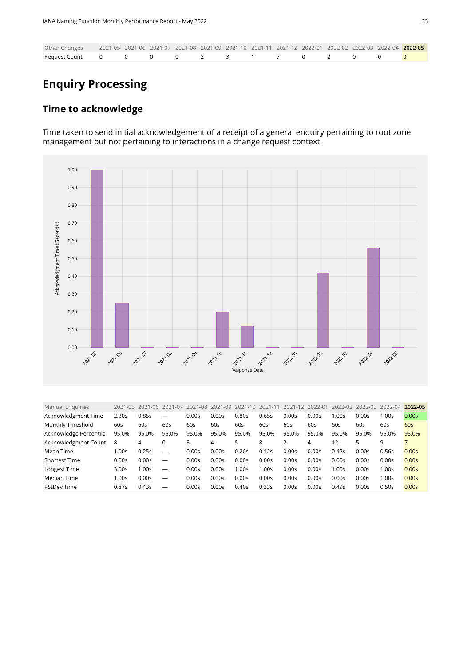| Other Changes 2021-05 2021-06 2021-07 2021-08 2021-09 2021-10 2021-11 2021-12 2022-01 2022-02 2022-03 2022-04 2022-05 |  |  |  |  |  |  |  |
|-----------------------------------------------------------------------------------------------------------------------|--|--|--|--|--|--|--|
| Request Count    0    0    0    2    3    1    7    0    2    0    0 <mark>0</mark>                                   |  |  |  |  |  |  |  |

# **Enquiry Processing**

#### **Time to acknowledge**

Time taken to send initial acknowledgement of a receipt of a general enquiry pertaining to root zone management but not pertaining to interactions in a change request context.



<span id="page-32-0"></span>

| <b>Manual Enguiries</b> |                   | 2021-05 2021-06 | 2021-07                  | 2021-08 | 2021-09 | 2021-10 | 2021-11 | 2021-12 | 2022-01 | 2022-02          | 2022-03 2022-04 |                   | 2022-05 |
|-------------------------|-------------------|-----------------|--------------------------|---------|---------|---------|---------|---------|---------|------------------|-----------------|-------------------|---------|
| Acknowledgment Time     | 2.30s             | 0.85s           |                          | 0.00s   | 0.00s   | 0.80s   | 0.65s   | 0.00s   | 0.00s   | .00 <sub>S</sub> | 0.00s           | 1.00s             | 0.00s   |
| Monthly Threshold       | 60s               | 60s             | 60s                      | 60s     | 60s     | 60s     | 60s     | 60s     | 60s     | 60s              | 60s             | 60s               | 60s     |
| Acknowledge Percentile  | 95.0%             | 95.0%           | 95.0%                    | 95.0%   | 95.0%   | 95.0%   | 95.0%   | 95.0%   | 95.0%   | 95.0%            | 95.0%           | 95.0%             | 95.0%   |
| Acknowledgment Count    | 8                 | 4               |                          | 3       | 4       | 5       | 8       |         | 4       | 12               |                 | 9                 |         |
| Mean Time               | 1.00s             | 0.25s           | $\overline{\phantom{m}}$ | 0.00s   | 0.00s   | 0.20s   | 0.12s   | 0.00s   | 0.00s   | 0.42s            | 0.00s           | 0.56s             | 0.00s   |
| <b>Shortest Time</b>    | 0.00s             | 0.00s           | $\overline{\phantom{m}}$ | 0.00s   | 0.00s   | 0.00s   | 0.00s   | 0.00s   | 0.00s   | 0.00s            | 0.00s           | 0.00s             | 0.00s   |
| Longest Time            | 3.00 <sub>S</sub> | 1.00s           | $\overline{\phantom{m}}$ | 0.00s   | 0.00s   | 1.00s   | 00s     | 0.00s   | 0.00s   | .00s             | 0.00s           | 1.00s             | 0.00s   |
| Median Time             | 1.00s             | 0.00s           | $\overline{\phantom{m}}$ | 0.00s   | 0.00s   | 0.00s   | 0.00s   | 0.00s   | 0.00s   | 0.00s            | 0.00s           | 1.00 <sub>S</sub> | 0.00s   |
| <b>PStDev Time</b>      | 0.87s             | 0.43s           | $\overline{\phantom{0}}$ | 0.00s   | 0.00s   | 0.40s   | 0.33s   | 0.00s   | 0.00s   | 0.49s            | 0.00s           | 0.50s             | 0.00s   |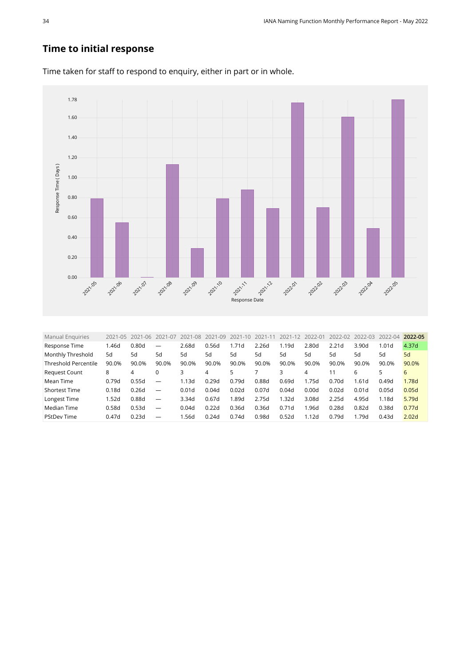## **Time to initial response**



Time taken for staff to respond to enquiry, either in part or in whole.

<span id="page-33-0"></span>

| <b>Manual Enquiries</b>     | $2021 - 05$ | 2021<br>$-06$ | 2021-07                         | 2021-08 | 2021-09 | $-10$<br>2021 | $-1$  | $2021 - 12$ | 2022-01 | 2022-02           | $2022 - 03$ | $2022 - 04$ | 2022-05           |
|-----------------------------|-------------|---------------|---------------------------------|---------|---------|---------------|-------|-------------|---------|-------------------|-------------|-------------|-------------------|
| Response Time               | 1.46d       | 0.80d         | $\overline{\phantom{0}}$        | 2.68d   | 0.56d   | 1.71d         | 2.26d | 1.19d       | 2.80d   | 2.21 <sub>d</sub> | 3.90d       | 1.01d       | 4.37d             |
| Monthly Threshold           | 5d          | 5d            | 5d                              | 5d      | 5d      | 5d            | 5d    | 5d          | 5d      | 5d                | 5d          | 5d          | 5d                |
| <b>Threshold Percentile</b> | 90.0%       | 90.0%         | 90.0%                           | 90.0%   | 90.0%   | 90.0%         | 90.0% | 90.0%       | 90.0%   | 90.0%             | 90.0%       | 90.0%       | 90.0%             |
| <b>Request Count</b>        | 8           | 4             | 0                               | 3       | 4       |               |       | 3           | 4       | 11                | 6           | 5           | 6                 |
| Mean Time                   | 0.79d       | 0.55d         | $\overline{\phantom{m}}$        | 1.13d   | 0.29d   | 0.79d         | 0.88d | 0.69d       | 1.75d   | 0.70d             | 1.61d       | 0.49d       | 1.78d             |
| <b>Shortest Time</b>        | 0.18d       | 0.26d         |                                 | 0.01d   | 0.04d   | 0.02d         | 0.07d | 0.04d       | 0.00d   | 0.02d             | 0.01d       | 0.05d       | 0.05d             |
| Longest Time                | 1.52d       | 0.88d         | $\hspace{0.1mm}-\hspace{0.1mm}$ | 3.34d   | 0.67d   | 1.89d         | 2.75d | 1.32d       | 3.08d   | 2.25d             | 4.95d       | 1.18d       | 5.79d             |
| Median Time                 | 0.58d       | 0.53d         | $\overline{\phantom{0}}$        | 0.04d   | 0.22d   | 0.36d         | 0.36d | 0.71d       | 1.96d   | 0.28d             | 0.82d       | 0.38d       | 0.77d             |
| <b>PStDev Time</b>          | 0.47d       | 0.23d         | $\overline{\phantom{m}}$        | 1.56d   | 0.24d   | 0.74d         | 0.98d | 0.52d       | 1.12d   | 0.79d             | 1.79d       | 0.43d       | 2.02 <sub>d</sub> |
|                             |             |               |                                 |         |         |               |       |             |         |                   |             |             |                   |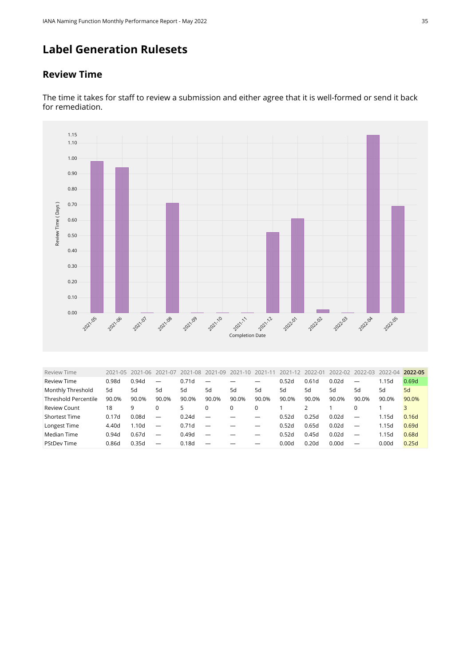# **Label Generation Rulesets**

#### **Review Time**



The time it takes for staff to review a submission and either agree that it is well-formed or send it back for remediation.

<span id="page-34-0"></span>

| <b>Review Time</b>          | 2021-05 | 2021-06           | 2021<br>$-()$            | 2021<br>$-08$ | $1 - 09$<br>$202^{\circ}$ | 2021-10 | $2021 - 1$ | 202<br>$1 - 12$ | $2022 - 0$ | 2022-02 | 2022-03                  | 2022-04 | 2022-05 |
|-----------------------------|---------|-------------------|--------------------------|---------------|---------------------------|---------|------------|-----------------|------------|---------|--------------------------|---------|---------|
| <b>Review Time</b>          | 0.98d   | 0.94d             |                          | 0.71d         |                           |         |            | 0.52d           | 0.61d      | 0.02d   |                          | 1.15d   | 0.69d   |
| Monthly Threshold           | 5d      | 5d                | 5d                       | 5d            | 5d                        | 5d      | 5d         | 5d              | 5d         | 5d      | 5d                       | 5d      | 5d      |
| <b>Threshold Percentile</b> | 90.0%   | 90.0%             | 90.0%                    | 90.0%         | 90.0%                     | 90.0%   | 90.0%      | 90.0%           | 90.0%      | 90.0%   | 90.0%                    | 90.0%   | 90.0%   |
| <b>Review Count</b>         | 18      | 9                 |                          | 5             |                           |         | 0          |                 |            |         |                          |         |         |
| <b>Shortest Time</b>        | 0.17d   | 0.08d             | $\overline{\phantom{m}}$ | 0.24d         | _                         |         |            | 0.52d           | 0.25d      | 0.02d   | _                        | 1.15d   | 0.16d   |
| Longest Time                | 4.40d   | 1.10 <sub>d</sub> | $\overline{\phantom{0}}$ | 0.71d         |                           |         |            | 0.52d           | 0.65d      | 0.02d   |                          | 1.15d   | 0.69d   |
| Median Time                 | 0.94d   | 0.67d             | $\overline{\phantom{0}}$ | 0.49d         |                           |         |            | 0.52d           | 0.45d      | 0.02d   | $\overline{\phantom{0}}$ | 1.15d   | 0.68d   |
| <b>PStDev Time</b>          | 0.86d   | 0.35d             | $\overline{\phantom{m}}$ | 0.18d         |                           |         |            | 0.00d           | 0.20d      | 0.00d   |                          | 0.00d   | 0.25d   |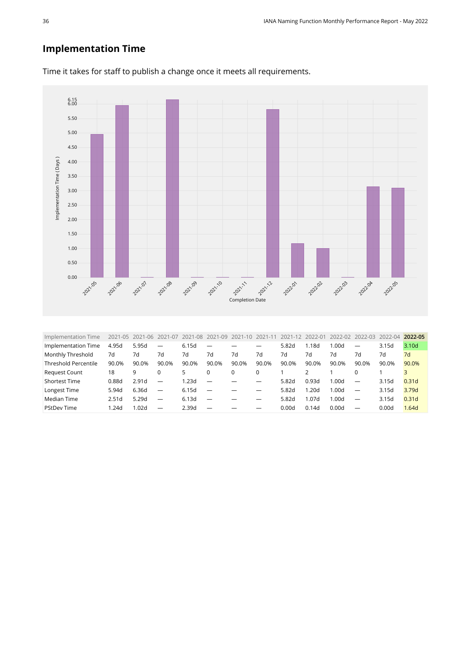## **Implementation Time**



Time it takes for staff to publish a change once it meets all requirements.

<span id="page-35-0"></span>

| Implementation Time<br>$2021 - 05$<br>2021-09<br>2022-04<br>2021-06<br>2021<br>$-08$<br>2021-10<br>2022-02<br>2022-03<br>2021-07<br>2021-12<br>2021-11<br>2022-01 | 2022-05           |
|-------------------------------------------------------------------------------------------------------------------------------------------------------------------|-------------------|
| 6.15d<br>4.95d<br>5.95d<br>Implementation Time<br>5.82d<br>1.18d<br>1.00d<br>3.15d<br>$\overline{\phantom{m}}$<br>$\overline{\phantom{0}}$                        | 3.10d             |
| Monthly Threshold<br>7d<br>7d<br>7d<br>7d<br>7d<br>7d<br>7d<br>7d<br>7d<br>7d<br>7d<br>7d                                                                         | 7d                |
| <b>Threshold Percentile</b><br>90.0%<br>90.0%<br>90.0%<br>90.0%<br>90.0%<br>90.0%<br>90.0%<br>90.0%<br>90.0%<br>90.0%<br>90.0%<br>90.0%                           | 90.0%             |
| <b>Request Count</b><br>18<br>9<br>0<br>5.                                                                                                                        |                   |
| <b>Shortest Time</b><br>0.93d<br>0.88d<br>2.91 <sub>d</sub><br>1.23d<br>1.00d<br>5.82d<br>3.15d<br>$\overline{\phantom{0}}$<br>$\overline{\phantom{0}}$           | 0.31 <sub>d</sub> |
| Longest Time<br>6.36d<br>6.15d<br>1.20d<br>5.82d<br>1.00d<br>3.15d<br>5.94d<br>$\overline{\phantom{m}}$                                                           | 3.79d             |
| Median Time<br>5.29d<br>6.13d<br>3.15d<br>5.82d<br>1.07d<br>1.00d<br>2.51d<br>$\overline{\phantom{0}}$<br>$\overline{\phantom{0}}$<br>$\overline{\phantom{0}}$    | 0.31 <sub>d</sub> |
| <b>PStDev Time</b><br>2.39d<br>1.24d<br>1.02d<br>0.00d<br>0.00d<br>0.14d<br>0.00d<br>$\overline{\phantom{0}}$<br>—                                                | 1.64d             |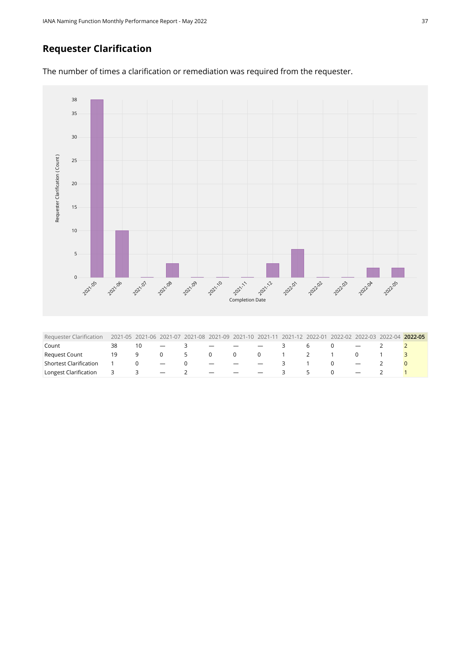## **Requester Clarification**

The number of times a clarification or remediation was required from the requester.



<span id="page-36-0"></span>

| Requester Clarification 2021-05 2021-06 2021-07 2021-08 2021-09 2021-10 2021-11 2021-12 2022-01 2022-02 2022-03 2022-04 2022-05 |    |                   |                                   |                               |                                   |                          |           |               |  |  |
|---------------------------------------------------------------------------------------------------------------------------------|----|-------------------|-----------------------------------|-------------------------------|-----------------------------------|--------------------------|-----------|---------------|--|--|
| Count                                                                                                                           | 38 |                   | $\overline{\phantom{a}}$          | and the state of the state of | and the state of the state of the | $\overline{\phantom{0}}$ |           | 6 -           |  |  |
| <b>Request Count</b>                                                                                                            | 19 | $\cdot$ 9 $\cdot$ | $0 \quad 5$                       |                               |                                   |                          | 0 0 0 1 2 |               |  |  |
| Shortest Clarification                                                                                                          |    |                   | and the state of the state of the |                               | and the state of the state of the |                          |           |               |  |  |
| Longest Clarification 3                                                                                                         |    | $\prec$           | $\overline{\phantom{0}}$          | $\sim$ 0.000 $\sim$           |                                   |                          |           | $\mathcal{P}$ |  |  |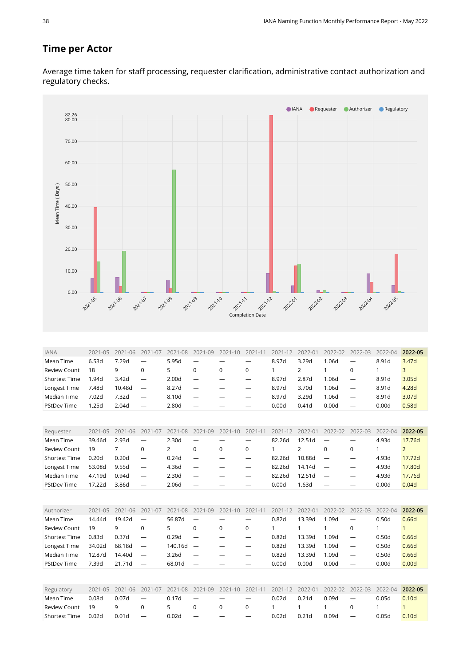#### **Time per Actor**

Average time taken for staff processing, requester clarification, administrative contact authorization and regulatory checks.

<span id="page-37-3"></span><span id="page-37-2"></span><span id="page-37-1"></span><span id="page-37-0"></span>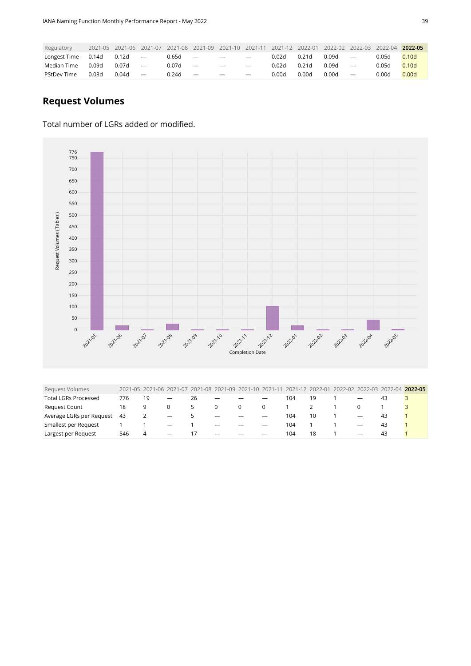| Regulatory   |       |       |                          |       |                          |                          |                          | 2021-05 2021-06 2021-07 2021-08 2021-09 2021-10 2021-11 2021-12 2022-01 |       | 2022-02 | 2022-03 2022-04          |       | 2022-05           |
|--------------|-------|-------|--------------------------|-------|--------------------------|--------------------------|--------------------------|-------------------------------------------------------------------------|-------|---------|--------------------------|-------|-------------------|
| Longest Time | 0.14d | 0.12d | $\overline{\phantom{a}}$ | 0.65d | $\overline{\phantom{a}}$ | $\overline{\phantom{m}}$ | $\overline{\phantom{a}}$ | 0.02d                                                                   | 0.21d | 0.09d   | $\overline{\phantom{a}}$ | 0.05d | 0.10 <sub>d</sub> |
| Median Time  | 0.09d | 0.07d | $\overline{\phantom{a}}$ | 0.07d | $\overline{\phantom{a}}$ | $\overline{\phantom{0}}$ | $\overline{\phantom{0}}$ | 0.02d                                                                   | 0.21d | 0.09d   | $\overline{\phantom{m}}$ | 0.05d | 0.10d             |
| PStDev Time  | 0.03d | 0.04d | $\overline{\phantom{0}}$ | 0.24d | $\overline{\phantom{a}}$ |                          | $\overline{\phantom{m}}$ | 0.00d                                                                   | 0.00d | 0.00d   | $\overline{\phantom{a}}$ | 0.00d | 0.00d             |

## **Request Volumes**

#### Total number of LGRs added or modified.



<span id="page-38-0"></span>

| <b>Request Volumes</b>      |     |    |                          |               |                          |                          |                          |     |    |                          |    | 2021-05 2021-06 2021-07 2021-08 2021-09 2021-10 2021-11 2021-12 2022-01 2022-02 2022-03 2022-04 2022-05 |
|-----------------------------|-----|----|--------------------------|---------------|--------------------------|--------------------------|--------------------------|-----|----|--------------------------|----|---------------------------------------------------------------------------------------------------------|
| <b>Total LGRs Processed</b> | 776 | 19 | $\overline{\phantom{m}}$ | 26            | $\overline{\phantom{m}}$ |                          |                          | 104 | 19 |                          | 43 |                                                                                                         |
| <b>Request Count</b>        | 18  | 9  |                          |               | $\Omega$                 | 0                        |                          |     |    |                          |    |                                                                                                         |
| Average LGRs per Request    | 43  |    | $\overline{\phantom{0}}$ | $\mathcal{P}$ | $\overline{\phantom{a}}$ | $\overline{\phantom{0}}$ | $\overline{\phantom{0}}$ | 104 | 10 | $\overline{\phantom{0}}$ | 43 |                                                                                                         |
| Smallest per Request        |     |    | $\overline{\phantom{0}}$ |               | $\overline{\phantom{m}}$ |                          |                          | 104 |    | $\overline{\phantom{m}}$ | 43 |                                                                                                         |
| Largest per Request         | 546 | 4  | $\overline{\phantom{0}}$ | 17            | $\overline{\phantom{0}}$ | $\overline{\phantom{0}}$ |                          | 104 | 18 | $\overline{\phantom{0}}$ | 43 |                                                                                                         |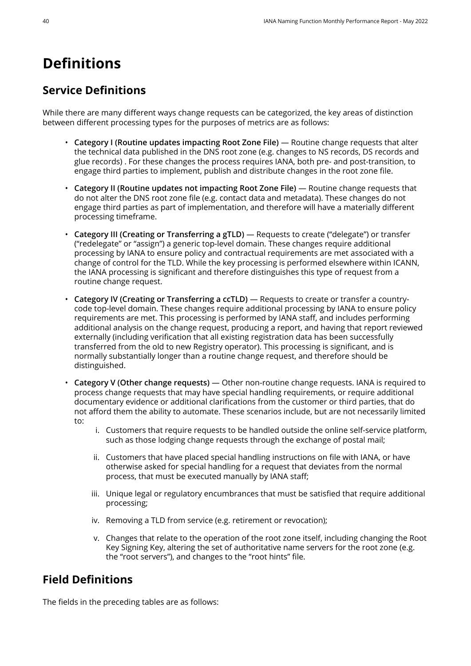# <span id="page-39-0"></span>**Definitions**

# **Service Definitions**

While there are many different ways change requests can be categorized, the key areas of distinction between different processing types for the purposes of metrics are as follows:

- **Category I (Routine updates impacting Root Zone File)** Routine change requests that alter the technical data published in the DNS root zone (e.g. changes to NS records, DS records and glue records) . For these changes the process requires IANA, both pre- and post-transition, to engage third parties to implement, publish and distribute changes in the root zone file.
- **Category II (Routine updates not impacting Root Zone File)** Routine change requests that do not alter the DNS root zone file (e.g. contact data and metadata). These changes do not engage third parties as part of implementation, and therefore will have a materially different processing timeframe.
- **Category III (Creating or Transferring a gTLD)** Requests to create ("delegate") or transfer ("redelegate" or "assign") a generic top-level domain. These changes require additional processing by IANA to ensure policy and contractual requirements are met associated with a change of control for the TLD. While the key processing is performed elsewhere within ICANN, the IANA processing is significant and therefore distinguishes this type of request from a routine change request.
- **Category IV (Creating or Transferring a ccTLD)** Requests to create or transfer a countrycode top-level domain. These changes require additional processing by IANA to ensure policy requirements are met. This processing is performed by IANA staff, and includes performing additional analysis on the change request, producing a report, and having that report reviewed externally (including verification that all existing registration data has been successfully transferred from the old to new Registry operator). This processing is significant, and is normally substantially longer than a routine change request, and therefore should be distinguished.
- **Category V (Other change requests)** Other non-routine change requests. IANA is required to process change requests that may have special handling requirements, or require additional documentary evidence or additional clarifications from the customer or third parties, that do not afford them the ability to automate. These scenarios include, but are not necessarily limited to:
	- i. Customers that require requests to be handled outside the online self-service platform, such as those lodging change requests through the exchange of postal mail;
	- ii. Customers that have placed special handling instructions on file with IANA, or have otherwise asked for special handling for a request that deviates from the normal process, that must be executed manually by IANA staff;
	- iii. Unique legal or regulatory encumbrances that must be satisfied that require additional processing;
	- iv. Removing a TLD from service (e.g. retirement or revocation);
	- v. Changes that relate to the operation of the root zone itself, including changing the Root Key Signing Key, altering the set of authoritative name servers for the root zone (e.g. the "root servers"), and changes to the "root hints" file.

## **Field Definitions**

The fields in the preceding tables are as follows: